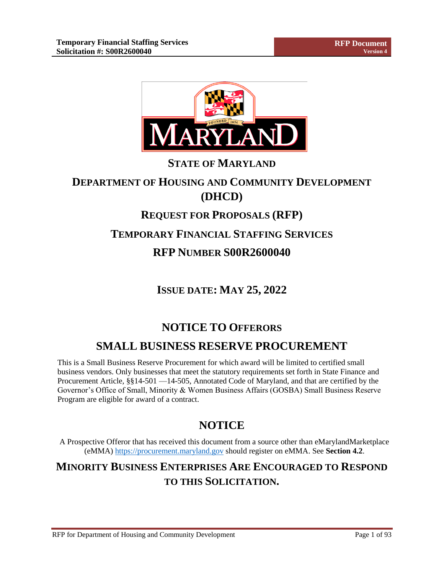

## **STATE OF MARYLAND**

## **DEPARTMENT OF HOUSING AND COMMUNITY DEVELOPMENT (DHCD)**

## **REQUEST FOR PROPOSALS (RFP)**

## **TEMPORARY FINANCIAL STAFFING SERVICES**

## **RFP NUMBER S00R2600040**

**ISSUE DATE: MAY 25, 2022**

## **NOTICE TO OFFERORS**

## **SMALL BUSINESS RESERVE PROCUREMENT**

This is a Small Business Reserve Procurement for which award will be limited to certified small business vendors. Only businesses that meet the statutory requirements set forth in State Finance and Procurement Article, §§14-501 —14-505, Annotated Code of Maryland, and that are certified by the Governor's Office of Small, Minority & Women Business Affairs (GOSBA) Small Business Reserve Program are eligible for award of a contract.

# **NOTICE**

A Prospective Offeror that has received this document from a source other than eMarylandMarketplace (eMMA) https://procurement.maryland.gov should register on eMMA. See **Section 4.2**.

# **MINORITY BUSINESS ENTERPRISES ARE ENCOURAGED TO RESPOND TO THIS SOLICITATION.**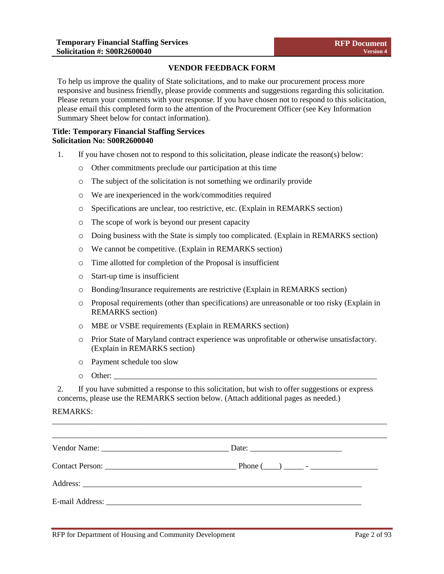#### **VENDOR FEEDBACK FORM**

To help us improve the quality of State solicitations, and to make our procurement process more responsive and business friendly, please provide comments and suggestions regarding this solicitation. Please return your comments with your response. If you have chosen not to respond to this solicitation, please email this completed form to the attention of the Procurement Officer (see Key Information Summary Sheet below for contact information).

#### **Title: Temporary Financial Staffing Services Solicitation No: S00R2600040**

- 1. If you have chosen not to respond to this solicitation, please indicate the reason(s) below:
	- o Other commitments preclude our participation at this time
	- o The subject of the solicitation is not something we ordinarily provide
	- o We are inexperienced in the work/commodities required
	- o Specifications are unclear, too restrictive, etc. (Explain in REMARKS section)
	- o The scope of work is beyond our present capacity
	- o Doing business with the State is simply too complicated. (Explain in REMARKS section)
	- o We cannot be competitive. (Explain in REMARKS section)
	- o Time allotted for completion of the Proposal is insufficient
	- o Start-up time is insufficient
	- o Bonding/Insurance requirements are restrictive (Explain in REMARKS section)
	- o Proposal requirements (other than specifications) are unreasonable or too risky (Explain in REMARKS section)
	- o MBE or VSBE requirements (Explain in REMARKS section)
	- o Prior State of Maryland contract experience was unprofitable or otherwise unsatisfactory. (Explain in REMARKS section)
	- o Payment schedule too slow
	- $\circ$  Other:

2. If you have submitted a response to this solicitation, but wish to offer suggestions or express concerns, please use the REMARKS section below. (Attach additional pages as needed.)

\_\_\_\_\_\_\_\_\_\_\_\_\_\_\_\_\_\_\_\_\_\_\_\_\_\_\_\_\_\_\_\_\_\_\_\_\_\_\_\_\_\_\_\_\_\_\_\_\_\_\_\_\_\_\_\_\_\_\_\_\_\_\_\_\_\_\_\_\_\_\_\_\_\_\_\_\_\_\_\_\_\_\_\_

#### REMARKS:

| Phone $(\_\_)$ $\_\_$ - $\_\_$ |
|--------------------------------|
|                                |
|                                |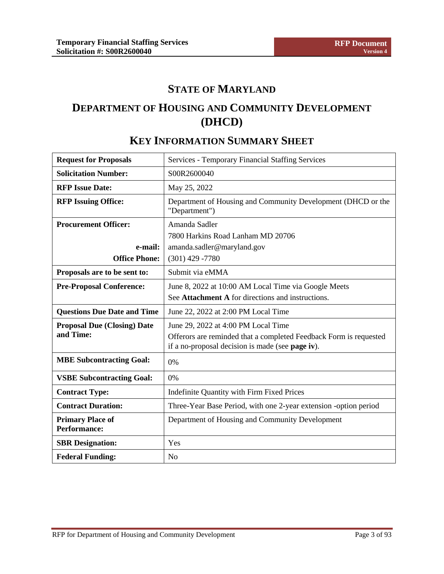## **STATE OF MARYLAND**

# **DEPARTMENT OF HOUSING AND COMMUNITY DEVELOPMENT (DHCD)**

| <b>Request for Proposals</b>                   | <b>Services - Temporary Financial Staffing Services</b>                                                               |  |  |
|------------------------------------------------|-----------------------------------------------------------------------------------------------------------------------|--|--|
| <b>Solicitation Number:</b>                    | S00R2600040                                                                                                           |  |  |
| <b>RFP Issue Date:</b>                         | May 25, 2022                                                                                                          |  |  |
| <b>RFP Issuing Office:</b>                     | Department of Housing and Community Development (DHCD or the<br>"Department")                                         |  |  |
| <b>Procurement Officer:</b>                    | Amanda Sadler                                                                                                         |  |  |
|                                                | 7800 Harkins Road Lanham MD 20706                                                                                     |  |  |
| e-mail:                                        | amanda.sadler@maryland.gov                                                                                            |  |  |
| <b>Office Phone:</b>                           | $(301)$ 429 -7780                                                                                                     |  |  |
| Proposals are to be sent to:                   | Submit via eMMA                                                                                                       |  |  |
| <b>Pre-Proposal Conference:</b>                | June 8, 2022 at 10:00 AM Local Time via Google Meets                                                                  |  |  |
|                                                | See Attachment A for directions and instructions.                                                                     |  |  |
| <b>Ouestions Due Date and Time</b>             | June 22, 2022 at 2:00 PM Local Time                                                                                   |  |  |
| <b>Proposal Due (Closing) Date</b>             | June 29, 2022 at 4:00 PM Local Time                                                                                   |  |  |
| and Time:                                      | Offerors are reminded that a completed Feedback Form is requested<br>if a no-proposal decision is made (see page iv). |  |  |
| <b>MBE Subcontracting Goal:</b>                | 0%                                                                                                                    |  |  |
| <b>VSBE Subcontracting Goal:</b>               | 0%                                                                                                                    |  |  |
| <b>Contract Type:</b>                          | Indefinite Quantity with Firm Fixed Prices                                                                            |  |  |
| <b>Contract Duration:</b>                      | Three-Year Base Period, with one 2-year extension -option period                                                      |  |  |
| <b>Primary Place of</b><br><b>Performance:</b> | Department of Housing and Community Development                                                                       |  |  |
| <b>SBR</b> Designation:                        | Yes                                                                                                                   |  |  |
| <b>Federal Funding:</b>                        | N <sub>0</sub>                                                                                                        |  |  |

## **KEY INFORMATION SUMMARY SHEET**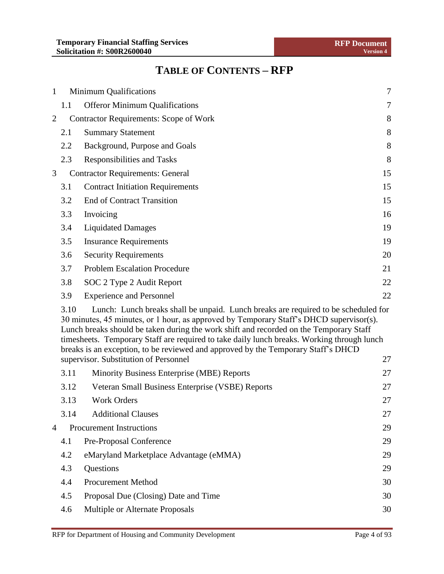# **TABLE OF CONTENTS – RFP**

| $\mathbf{1}$   |                                                                                                                                                                                                                                                                                                                                                                                                                                                                                                                   | <b>Minimum Qualifications</b>                    | $\tau$ |  |  |
|----------------|-------------------------------------------------------------------------------------------------------------------------------------------------------------------------------------------------------------------------------------------------------------------------------------------------------------------------------------------------------------------------------------------------------------------------------------------------------------------------------------------------------------------|--------------------------------------------------|--------|--|--|
|                | 1.1                                                                                                                                                                                                                                                                                                                                                                                                                                                                                                               | <b>Offeror Minimum Qualifications</b>            | $\tau$ |  |  |
| $\overline{c}$ |                                                                                                                                                                                                                                                                                                                                                                                                                                                                                                                   | <b>Contractor Requirements: Scope of Work</b>    | 8      |  |  |
|                | 2.1                                                                                                                                                                                                                                                                                                                                                                                                                                                                                                               | <b>Summary Statement</b>                         | 8      |  |  |
|                | 2.2                                                                                                                                                                                                                                                                                                                                                                                                                                                                                                               | Background, Purpose and Goals                    | 8      |  |  |
|                | 2.3                                                                                                                                                                                                                                                                                                                                                                                                                                                                                                               | <b>Responsibilities and Tasks</b>                | 8      |  |  |
| 3              |                                                                                                                                                                                                                                                                                                                                                                                                                                                                                                                   | <b>Contractor Requirements: General</b>          | 15     |  |  |
|                | 3.1                                                                                                                                                                                                                                                                                                                                                                                                                                                                                                               | <b>Contract Initiation Requirements</b>          | 15     |  |  |
|                | 3.2                                                                                                                                                                                                                                                                                                                                                                                                                                                                                                               | <b>End of Contract Transition</b>                | 15     |  |  |
|                | 3.3                                                                                                                                                                                                                                                                                                                                                                                                                                                                                                               | Invoicing                                        | 16     |  |  |
|                | 3.4                                                                                                                                                                                                                                                                                                                                                                                                                                                                                                               | <b>Liquidated Damages</b>                        | 19     |  |  |
|                | 3.5                                                                                                                                                                                                                                                                                                                                                                                                                                                                                                               | <b>Insurance Requirements</b>                    | 19     |  |  |
|                | 3.6                                                                                                                                                                                                                                                                                                                                                                                                                                                                                                               | <b>Security Requirements</b>                     | 20     |  |  |
|                | 3.7                                                                                                                                                                                                                                                                                                                                                                                                                                                                                                               | <b>Problem Escalation Procedure</b>              | 21     |  |  |
|                | 3.8                                                                                                                                                                                                                                                                                                                                                                                                                                                                                                               | SOC 2 Type 2 Audit Report                        | 22     |  |  |
|                | 3.9                                                                                                                                                                                                                                                                                                                                                                                                                                                                                                               | <b>Experience and Personnel</b>                  | 22     |  |  |
|                | 3.10<br>Lunch: Lunch breaks shall be unpaid. Lunch breaks are required to be scheduled for<br>30 minutes, 45 minutes, or 1 hour, as approved by Temporary Staff's DHCD supervisor(s).<br>Lunch breaks should be taken during the work shift and recorded on the Temporary Staff<br>timesheets. Temporary Staff are required to take daily lunch breaks. Working through lunch<br>breaks is an exception, to be reviewed and approved by the Temporary Staff's DHCD<br>supervisor. Substitution of Personnel<br>27 |                                                  |        |  |  |
|                | 3.11                                                                                                                                                                                                                                                                                                                                                                                                                                                                                                              | Minority Business Enterprise (MBE) Reports       | 27     |  |  |
|                | 3.12                                                                                                                                                                                                                                                                                                                                                                                                                                                                                                              | Veteran Small Business Enterprise (VSBE) Reports | 27     |  |  |
|                | 3.13                                                                                                                                                                                                                                                                                                                                                                                                                                                                                                              | <b>Work Orders</b>                               | 27     |  |  |
|                | 3.14                                                                                                                                                                                                                                                                                                                                                                                                                                                                                                              | <b>Additional Clauses</b>                        | 27     |  |  |
| 4              |                                                                                                                                                                                                                                                                                                                                                                                                                                                                                                                   | <b>Procurement Instructions</b>                  | 29     |  |  |
|                | 4.1                                                                                                                                                                                                                                                                                                                                                                                                                                                                                                               | Pre-Proposal Conference                          | 29     |  |  |
|                | 4.2                                                                                                                                                                                                                                                                                                                                                                                                                                                                                                               | eMaryland Marketplace Advantage (eMMA)           | 29     |  |  |
|                | 4.3                                                                                                                                                                                                                                                                                                                                                                                                                                                                                                               | Questions                                        | 29     |  |  |
|                | 4.4                                                                                                                                                                                                                                                                                                                                                                                                                                                                                                               | <b>Procurement Method</b>                        | 30     |  |  |
|                | 4.5                                                                                                                                                                                                                                                                                                                                                                                                                                                                                                               | Proposal Due (Closing) Date and Time             | 30     |  |  |
|                | 4.6                                                                                                                                                                                                                                                                                                                                                                                                                                                                                                               | Multiple or Alternate Proposals                  | 30     |  |  |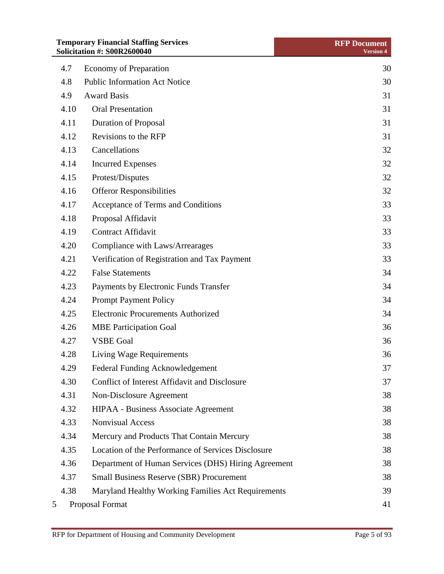| <b>Temporary Financial Staffing Services</b><br><b>Solicitation #: S00R2600040</b> |                                                     | <b>RFP Document</b><br><b>Version 4</b> |  |
|------------------------------------------------------------------------------------|-----------------------------------------------------|-----------------------------------------|--|
| 4.7                                                                                | Economy of Preparation                              | 30                                      |  |
| 4.8                                                                                | <b>Public Information Act Notice</b>                | 30                                      |  |
| 4.9                                                                                | <b>Award Basis</b>                                  | 31                                      |  |
| 4.10                                                                               | <b>Oral Presentation</b>                            | 31                                      |  |
| 4.11                                                                               | <b>Duration of Proposal</b>                         | 31                                      |  |
| 4.12                                                                               | Revisions to the RFP                                | 31                                      |  |
| 4.13                                                                               | Cancellations                                       | 32                                      |  |
| 4.14                                                                               | <b>Incurred Expenses</b>                            | 32                                      |  |
| 4.15                                                                               | Protest/Disputes                                    | 32                                      |  |
| 4.16                                                                               | <b>Offeror Responsibilities</b>                     | 32                                      |  |
| 4.17                                                                               | Acceptance of Terms and Conditions                  | 33                                      |  |
| 4.18                                                                               | Proposal Affidavit                                  | 33                                      |  |
| 4.19                                                                               | <b>Contract Affidavit</b>                           | 33                                      |  |
| 4.20                                                                               | Compliance with Laws/Arrearages                     | 33                                      |  |
| 4.21                                                                               | Verification of Registration and Tax Payment        | 33                                      |  |
| 4.22                                                                               | <b>False Statements</b>                             | 34                                      |  |
| 4.23                                                                               | Payments by Electronic Funds Transfer               | 34                                      |  |
| 4.24                                                                               | <b>Prompt Payment Policy</b>                        | 34                                      |  |
| 4.25                                                                               | <b>Electronic Procurements Authorized</b>           | 34                                      |  |
| 4.26                                                                               | <b>MBE Participation Goal</b>                       | 36                                      |  |
| 4.27                                                                               | <b>VSBE Goal</b>                                    | 36                                      |  |
| 4.28                                                                               | Living Wage Requirements                            | 36                                      |  |
| 4.29                                                                               | <b>Federal Funding Acknowledgement</b>              | 37                                      |  |
| 4.30                                                                               | Conflict of Interest Affidavit and Disclosure       | 37                                      |  |
| 4.31                                                                               | Non-Disclosure Agreement                            | 38                                      |  |
| 4.32                                                                               | HIPAA - Business Associate Agreement                | 38                                      |  |
| 4.33                                                                               | <b>Nonvisual Access</b>                             | 38                                      |  |
| 4.34                                                                               | Mercury and Products That Contain Mercury           | 38                                      |  |
| 4.35                                                                               | Location of the Performance of Services Disclosure  | 38                                      |  |
| 4.36                                                                               | Department of Human Services (DHS) Hiring Agreement | 38                                      |  |
| 4.37                                                                               | <b>Small Business Reserve (SBR) Procurement</b>     | 38                                      |  |
| 4.38                                                                               | Maryland Healthy Working Families Act Requirements  | 39                                      |  |
| 5                                                                                  | Proposal Format                                     | 41                                      |  |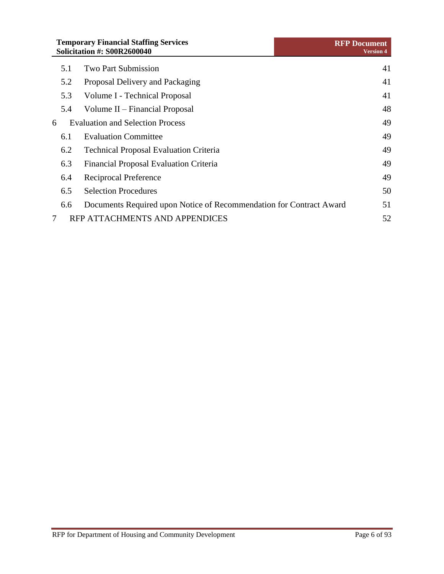|     | <b>Temporary Financial Staffing Services</b><br><b>Solicitation #: S00R2600040</b> | <b>RFP Document</b><br><b>Version 4</b> |  |
|-----|------------------------------------------------------------------------------------|-----------------------------------------|--|
| 5.1 | <b>Two Part Submission</b>                                                         | 41                                      |  |
| 5.2 | Proposal Delivery and Packaging                                                    | 41                                      |  |
| 5.3 | Volume I - Technical Proposal                                                      | 41                                      |  |
| 5.4 | Volume II – Financial Proposal                                                     | 48                                      |  |
| 6   | <b>Evaluation and Selection Process</b>                                            | 49                                      |  |
| 6.1 | <b>Evaluation Committee</b>                                                        | 49                                      |  |
| 6.2 | <b>Technical Proposal Evaluation Criteria</b>                                      | 49                                      |  |
| 6.3 | Financial Proposal Evaluation Criteria                                             | 49                                      |  |
| 6.4 | Reciprocal Preference                                                              | 49                                      |  |
| 6.5 | <b>Selection Procedures</b>                                                        | 50                                      |  |
| 6.6 | Documents Required upon Notice of Recommendation for Contract Award                | 51                                      |  |
| 7   | RFP ATTACHMENTS AND APPENDICES                                                     | 52                                      |  |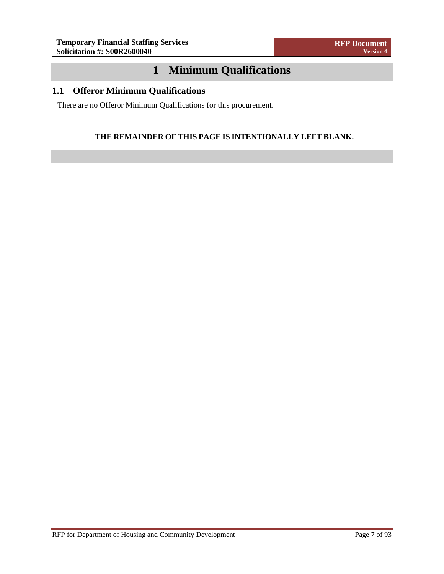# **1 Minimum Qualifications**

## <span id="page-6-1"></span><span id="page-6-0"></span>**1.1 Offeror Minimum Qualifications**

There are no Offeror Minimum Qualifications for this procurement.

#### **THE REMAINDER OF THIS PAGE IS INTENTIONALLY LEFT BLANK.**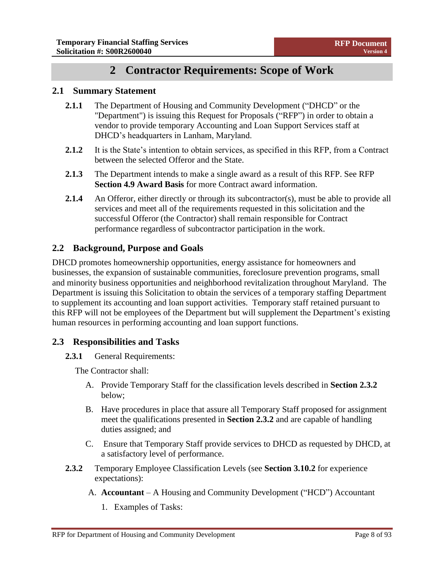## **2 Contractor Requirements: Scope of Work**

### <span id="page-7-1"></span><span id="page-7-0"></span>**2.1 Summary Statement**

- **2.1.1** The Department of Housing and Community Development ("DHCD" or the "Department") is issuing this Request for Proposals ("RFP") in order to obtain a vendor to provide temporary Accounting and Loan Support Services staff at DHCD's headquarters in Lanham, Maryland.
- **2.1.2** It is the State's intention to obtain services, as specified in this RFP, from a Contract between the selected Offeror and the State.
- **2.1.3** The Department intends to make a single award as a result of this RFP. See RFP **Section 4.9 Award Basis** for more Contract award information.
- **2.1.4** An Offeror, either directly or through its subcontractor(s), must be able to provide all services and meet all of the requirements requested in this solicitation and the successful Offeror (the Contractor) shall remain responsible for Contract performance regardless of subcontractor participation in the work.

## <span id="page-7-2"></span>**2.2 Background, Purpose and Goals**

DHCD promotes homeownership opportunities, energy assistance for homeowners and businesses, the expansion of sustainable communities, foreclosure prevention programs, small and minority business opportunities and neighborhood revitalization throughout Maryland. The Department is issuing this Solicitation to obtain the services of a temporary staffing Department to supplement its accounting and loan support activities. Temporary staff retained pursuant to this RFP will not be employees of the Department but will supplement the Department's existing human resources in performing accounting and loan support functions.

## <span id="page-7-3"></span>**2.3 Responsibilities and Tasks**

**2.3.1** General Requirements:

The Contractor shall:

- A. Provide Temporary Staff for the classification levels described in **Section 2.3.2** below;
- B. Have procedures in place that assure all Temporary Staff proposed for assignment meet the qualifications presented in **Section 2.3.2** and are capable of handling duties assigned; and
- C. Ensure that Temporary Staff provide services to DHCD as requested by DHCD, at a satisfactory level of performance.
- **2.3.2** Temporary Employee Classification Levels (see **Section 3.10.2** for experience expectations):
	- A. **Accountant** A Housing and Community Development ("HCD") Accountant
		- 1. Examples of Tasks: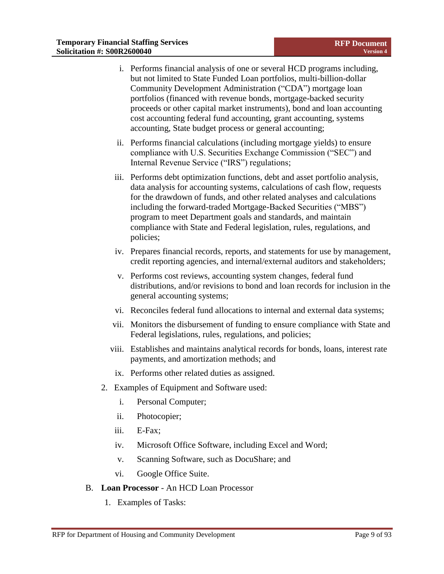- i. Performs financial analysis of one or several HCD programs including, but not limited to State Funded Loan portfolios, multi-billion-dollar Community Development Administration ("CDA") mortgage loan portfolios (financed with revenue bonds, mortgage-backed security proceeds or other capital market instruments), bond and loan accounting cost accounting federal fund accounting, grant accounting, systems accounting, State budget process or general accounting;
- ii. Performs financial calculations (including mortgage yields) to ensure compliance with U.S. Securities Exchange Commission ("SEC") and Internal Revenue Service ("IRS") regulations;
- iii. Performs debt optimization functions, debt and asset portfolio analysis, data analysis for accounting systems, calculations of cash flow, requests for the drawdown of funds, and other related analyses and calculations including the forward-traded Mortgage-Backed Securities ("MBS") program to meet Department goals and standards, and maintain compliance with State and Federal legislation, rules, regulations, and policies;
- iv. Prepares financial records, reports, and statements for use by management, credit reporting agencies, and internal/external auditors and stakeholders;
- v. Performs cost reviews, accounting system changes, federal fund distributions, and/or revisions to bond and loan records for inclusion in the general accounting systems;
- vi. Reconciles federal fund allocations to internal and external data systems;
- vii. Monitors the disbursement of funding to ensure compliance with State and Federal legislations, rules, regulations, and policies;
- viii. Establishes and maintains analytical records for bonds, loans, interest rate payments, and amortization methods; and
	- ix. Performs other related duties as assigned.
- 2. Examples of Equipment and Software used:
	- i. Personal Computer;
	- ii. Photocopier;
	- iii. E-Fax;
	- iv. Microsoft Office Software, including Excel and Word;
	- v. Scanning Software, such as DocuShare; and
	- vi. Google Office Suite.
- B. **Loan Processor** An HCD Loan Processor
	- 1. Examples of Tasks: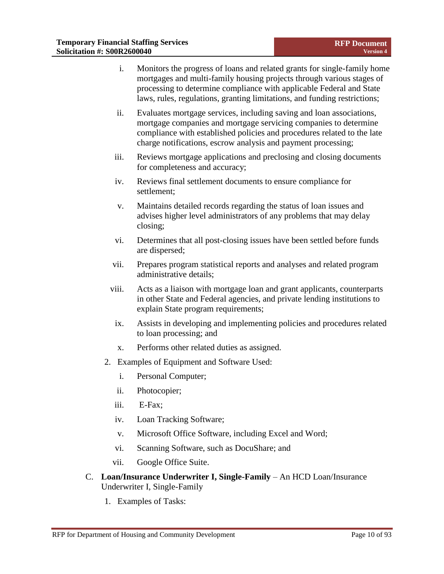- i. Monitors the progress of loans and related grants for single-family home mortgages and multi-family housing projects through various stages of processing to determine compliance with applicable Federal and State laws, rules, regulations, granting limitations, and funding restrictions;
- ii. Evaluates mortgage services, including saving and loan associations, mortgage companies and mortgage servicing companies to determine compliance with established policies and procedures related to the late charge notifications, escrow analysis and payment processing;
- iii. Reviews mortgage applications and preclosing and closing documents for completeness and accuracy;
- iv. Reviews final settlement documents to ensure compliance for settlement;
- v. Maintains detailed records regarding the status of loan issues and advises higher level administrators of any problems that may delay closing;
- vi. Determines that all post-closing issues have been settled before funds are dispersed;
- vii. Prepares program statistical reports and analyses and related program administrative details;
- viii. Acts as a liaison with mortgage loan and grant applicants, counterparts in other State and Federal agencies, and private lending institutions to explain State program requirements;
- ix. Assists in developing and implementing policies and procedures related to loan processing; and
- x. Performs other related duties as assigned.
- 2. Examples of Equipment and Software Used:
	- i. Personal Computer;
	- ii. Photocopier;
	- iii. E-Fax;
	- iv. Loan Tracking Software;
	- v. Microsoft Office Software, including Excel and Word;
	- vi. Scanning Software, such as DocuShare; and
	- vii. Google Office Suite.
- C. **Loan/Insurance Underwriter I, Single-Family** An HCD Loan/Insurance Underwriter I, Single-Family
	- 1. Examples of Tasks: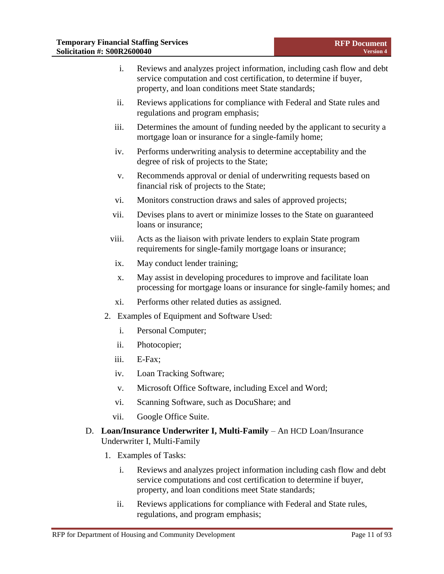- i. Reviews and analyzes project information, including cash flow and debt service computation and cost certification, to determine if buyer, property, and loan conditions meet State standards;
- ii. Reviews applications for compliance with Federal and State rules and regulations and program emphasis;
- iii. Determines the amount of funding needed by the applicant to security a mortgage loan or insurance for a single-family home;
- iv. Performs underwriting analysis to determine acceptability and the degree of risk of projects to the State;
- v. Recommends approval or denial of underwriting requests based on financial risk of projects to the State;
- vi. Monitors construction draws and sales of approved projects;
- vii. Devises plans to avert or minimize losses to the State on guaranteed loans or insurance;
- viii. Acts as the liaison with private lenders to explain State program requirements for single-family mortgage loans or insurance;
- ix. May conduct lender training;
- x. May assist in developing procedures to improve and facilitate loan processing for mortgage loans or insurance for single-family homes; and
- xi. Performs other related duties as assigned.
- 2. Examples of Equipment and Software Used:
	- i. Personal Computer;
	- ii. Photocopier;
	- iii. E-Fax;
	- iv. Loan Tracking Software;
	- v. Microsoft Office Software, including Excel and Word;
	- vi. Scanning Software, such as DocuShare; and
	- vii. Google Office Suite.
- D. **Loan/Insurance Underwriter I, Multi-Family** An HCD Loan/Insurance Underwriter I, Multi-Family
	- 1. Examples of Tasks:
		- i. Reviews and analyzes project information including cash flow and debt service computations and cost certification to determine if buyer, property, and loan conditions meet State standards;
		- ii. Reviews applications for compliance with Federal and State rules, regulations, and program emphasis;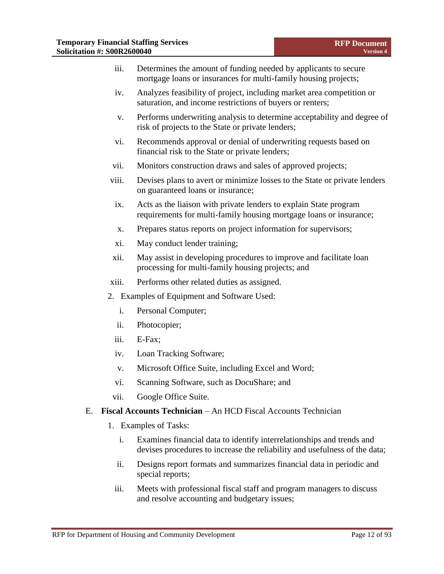- iii. Determines the amount of funding needed by applicants to secure mortgage loans or insurances for multi-family housing projects;
- iv. Analyzes feasibility of project, including market area competition or saturation, and income restrictions of buyers or renters;
- v. Performs underwriting analysis to determine acceptability and degree of risk of projects to the State or private lenders;
- vi. Recommends approval or denial of underwriting requests based on financial risk to the State or private lenders;
- vii. Monitors construction draws and sales of approved projects;
- viii. Devises plans to avert or minimize losses to the State or private lenders on guaranteed loans or insurance;
- ix. Acts as the liaison with private lenders to explain State program requirements for multi-family housing mortgage loans or insurance;
- x. Prepares status reports on project information for supervisors;
- xi. May conduct lender training;
- xii. May assist in developing procedures to improve and facilitate loan processing for multi-family housing projects; and
- xiii. Performs other related duties as assigned.
- 2. Examples of Equipment and Software Used:
	- i. Personal Computer;
	- ii. Photocopier;
	- iii. E-Fax;
	- iv. Loan Tracking Software;
	- v. Microsoft Office Suite, including Excel and Word;
	- vi. Scanning Software, such as DocuShare; and
	- vii. Google Office Suite.
- E. **Fiscal Accounts Technician** An HCD Fiscal Accounts Technician
	- 1. Examples of Tasks:
		- i. Examines financial data to identify interrelationships and trends and devises procedures to increase the reliability and usefulness of the data;
		- ii. Designs report formats and summarizes financial data in periodic and special reports;
		- iii. Meets with professional fiscal staff and program managers to discuss and resolve accounting and budgetary issues;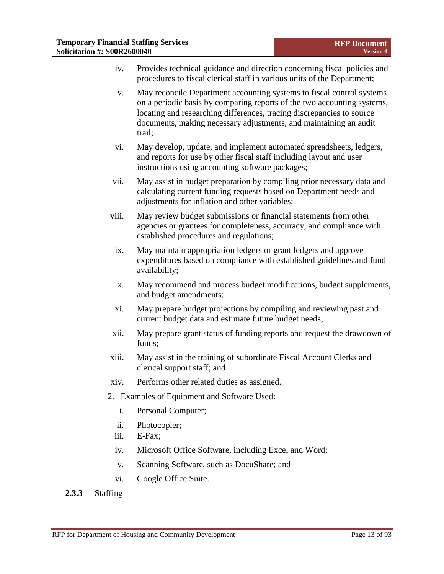- iv. Provides technical guidance and direction concerning fiscal policies and procedures to fiscal clerical staff in various units of the Department;
- v. May reconcile Department accounting systems to fiscal control systems on a periodic basis by comparing reports of the two accounting systems, locating and researching differences, tracing discrepancies to source documents, making necessary adjustments, and maintaining an audit trail;
- vi. May develop, update, and implement automated spreadsheets, ledgers, and reports for use by other fiscal staff including layout and user instructions using accounting software packages;
- vii. May assist in budget preparation by compiling prior necessary data and calculating current funding requests based on Department needs and adjustments for inflation and other variables;
- viii. May review budget submissions or financial statements from other agencies or grantees for completeness, accuracy, and compliance with established procedures and regulations;
- ix. May maintain appropriation ledgers or grant ledgers and approve expenditures based on compliance with established guidelines and fund availability;
- x. May recommend and process budget modifications, budget supplements, and budget amendments;
- xi. May prepare budget projections by compiling and reviewing past and current budget data and estimate future budget needs;
- xii. May prepare grant status of funding reports and request the drawdown of funds;
- xiii. May assist in the training of subordinate Fiscal Account Clerks and clerical support staff; and
- xiv. Performs other related duties as assigned.
- 2. Examples of Equipment and Software Used:
	- i. Personal Computer;
	- ii. Photocopier;
	- iii. E-Fax;
	- iv. Microsoft Office Software, including Excel and Word;
	- v. Scanning Software, such as DocuShare; and
	- vi. Google Office Suite.
- **2.3.3** Staffing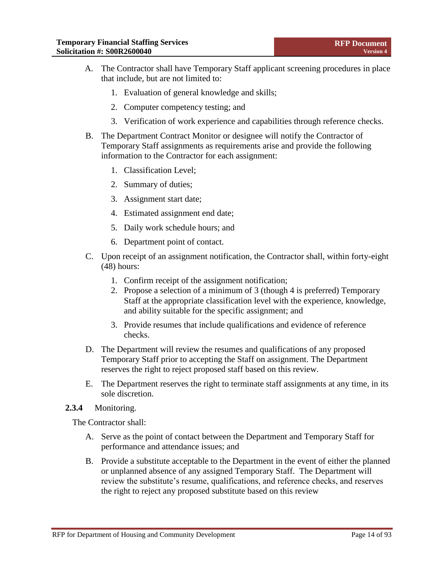- A. The Contractor shall have Temporary Staff applicant screening procedures in place that include, but are not limited to:
	- 1. Evaluation of general knowledge and skills;
	- 2. Computer competency testing; and
	- 3. Verification of work experience and capabilities through reference checks.
- B. The Department Contract Monitor or designee will notify the Contractor of Temporary Staff assignments as requirements arise and provide the following information to the Contractor for each assignment:
	- 1. Classification Level;
	- 2. Summary of duties;
	- 3. Assignment start date;
	- 4. Estimated assignment end date;
	- 5. Daily work schedule hours; and
	- 6. Department point of contact.
- C. Upon receipt of an assignment notification, the Contractor shall, within forty-eight (48) hours:
	- 1. Confirm receipt of the assignment notification;
	- 2. Propose a selection of a minimum of 3 (though 4 is preferred) Temporary Staff at the appropriate classification level with the experience, knowledge, and ability suitable for the specific assignment; and
	- 3. Provide resumes that include qualifications and evidence of reference checks.
- D. The Department will review the resumes and qualifications of any proposed Temporary Staff prior to accepting the Staff on assignment. The Department reserves the right to reject proposed staff based on this review.
- E. The Department reserves the right to terminate staff assignments at any time, in its sole discretion.

#### **2.3.4** Monitoring.

The Contractor shall:

- A. Serve as the point of contact between the Department and Temporary Staff for performance and attendance issues; and
- B. Provide a substitute acceptable to the Department in the event of either the planned or unplanned absence of any assigned Temporary Staff. The Department will review the substitute's resume, qualifications, and reference checks, and reserves the right to reject any proposed substitute based on this review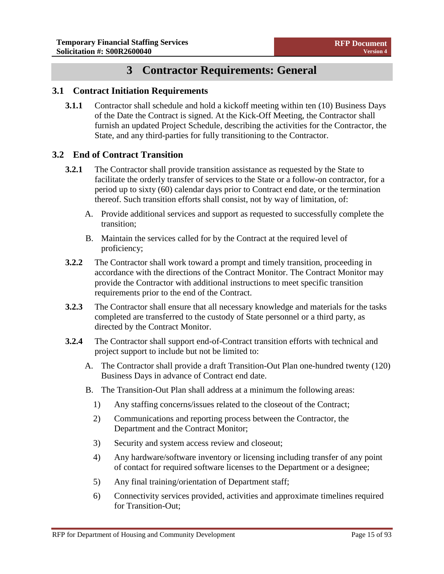## **3 Contractor Requirements: General**

### <span id="page-14-1"></span><span id="page-14-0"></span>**3.1 Contract Initiation Requirements**

**3.1.1** Contractor shall schedule and hold a kickoff meeting within ten (10) Business Days of the Date the Contract is signed. At the Kick-Off Meeting, the Contractor shall furnish an updated Project Schedule, describing the activities for the Contractor, the State, and any third-parties for fully transitioning to the Contractor.

### <span id="page-14-2"></span>**3.2 End of Contract Transition**

- **3.2.1** The Contractor shall provide transition assistance as requested by the State to facilitate the orderly transfer of services to the State or a follow-on contractor, for a period up to sixty (60) calendar days prior to Contract end date, or the termination thereof. Such transition efforts shall consist, not by way of limitation, of:
	- A. Provide additional services and support as requested to successfully complete the transition;
	- B. Maintain the services called for by the Contract at the required level of proficiency;
- **3.2.2** The Contractor shall work toward a prompt and timely transition, proceeding in accordance with the directions of the Contract Monitor. The Contract Monitor may provide the Contractor with additional instructions to meet specific transition requirements prior to the end of the Contract.
- **3.2.3** The Contractor shall ensure that all necessary knowledge and materials for the tasks completed are transferred to the custody of State personnel or a third party, as directed by the Contract Monitor.
- **3.2.4** The Contractor shall support end-of-Contract transition efforts with technical and project support to include but not be limited to:
	- A. The Contractor shall provide a draft Transition-Out Plan one-hundred twenty (120) Business Days in advance of Contract end date.
	- B. The Transition-Out Plan shall address at a minimum the following areas:
		- 1) Any staffing concerns/issues related to the closeout of the Contract;
		- 2) Communications and reporting process between the Contractor, the Department and the Contract Monitor;
		- 3) Security and system access review and closeout;
		- 4) Any hardware/software inventory or licensing including transfer of any point of contact for required software licenses to the Department or a designee;
		- 5) Any final training/orientation of Department staff;
		- 6) Connectivity services provided, activities and approximate timelines required for Transition-Out;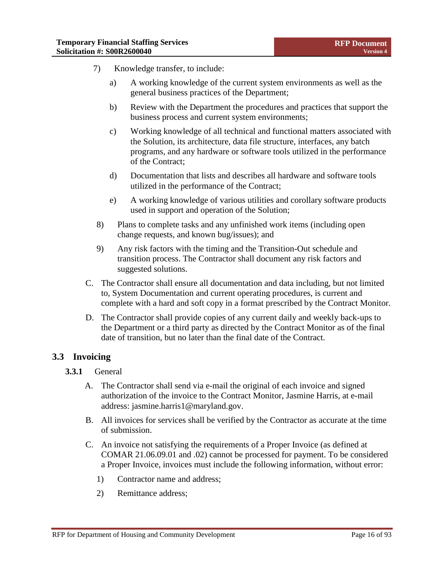- 7) Knowledge transfer, to include:
	- a) A working knowledge of the current system environments as well as the general business practices of the Department;
	- b) Review with the Department the procedures and practices that support the business process and current system environments;
	- c) Working knowledge of all technical and functional matters associated with the Solution, its architecture, data file structure, interfaces, any batch programs, and any hardware or software tools utilized in the performance of the Contract;
	- d) Documentation that lists and describes all hardware and software tools utilized in the performance of the Contract;
	- e) A working knowledge of various utilities and corollary software products used in support and operation of the Solution;
- 8) Plans to complete tasks and any unfinished work items (including open change requests, and known bug/issues); and
- 9) Any risk factors with the timing and the Transition-Out schedule and transition process. The Contractor shall document any risk factors and suggested solutions.
- C. The Contractor shall ensure all documentation and data including, but not limited to, System Documentation and current operating procedures, is current and complete with a hard and soft copy in a format prescribed by the Contract Monitor.
- D. The Contractor shall provide copies of any current daily and weekly back-ups to the Department or a third party as directed by the Contract Monitor as of the final date of transition, but no later than the final date of the Contract.

## <span id="page-15-0"></span>**3.3 Invoicing**

- **3.3.1** General
	- A. The Contractor shall send via e-mail the original of each invoice and signed authorization of the invoice to the Contract Monitor, Jasmine Harris, at e-mail address: jasmine.harris1@maryland.gov.
	- B. All invoices for services shall be verified by the Contractor as accurate at the time of submission.
	- C. An invoice not satisfying the requirements of a Proper Invoice (as defined at COMAR 21.06.09.01 and .02) cannot be processed for payment. To be considered a Proper Invoice, invoices must include the following information, without error:
		- 1) Contractor name and address;
		- 2) Remittance address;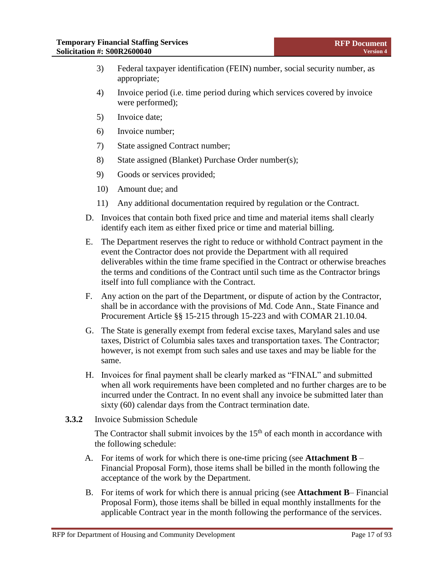- 3) Federal taxpayer identification (FEIN) number, social security number, as appropriate;
- 4) Invoice period (i.e. time period during which services covered by invoice were performed);
- 5) Invoice date;
- 6) Invoice number;
- 7) State assigned Contract number;
- 8) State assigned (Blanket) Purchase Order number(s);
- 9) Goods or services provided;
- 10) Amount due; and
- 11) Any additional documentation required by regulation or the Contract.
- D. Invoices that contain both fixed price and time and material items shall clearly identify each item as either fixed price or time and material billing.
- E. The Department reserves the right to reduce or withhold Contract payment in the event the Contractor does not provide the Department with all required deliverables within the time frame specified in the Contract or otherwise breaches the terms and conditions of the Contract until such time as the Contractor brings itself into full compliance with the Contract.
- F. Any action on the part of the Department, or dispute of action by the Contractor, shall be in accordance with the provisions of Md. Code Ann., State Finance and Procurement Article §§ 15-215 through 15-223 and with COMAR 21.10.04.
- G. The State is generally exempt from federal excise taxes, Maryland sales and use taxes, District of Columbia sales taxes and transportation taxes. The Contractor; however, is not exempt from such sales and use taxes and may be liable for the same.
- H. Invoices for final payment shall be clearly marked as "FINAL" and submitted when all work requirements have been completed and no further charges are to be incurred under the Contract. In no event shall any invoice be submitted later than sixty (60) calendar days from the Contract termination date.
- **3.3.2** Invoice Submission Schedule

The Contractor shall submit invoices by the  $15<sup>th</sup>$  of each month in accordance with the following schedule:

- A. For items of work for which there is one-time pricing (see **Attachment B** Financial Proposal Form), those items shall be billed in the month following the acceptance of the work by the Department.
- B. For items of work for which there is annual pricing (see **Attachment B** Financial Proposal Form), those items shall be billed in equal monthly installments for the applicable Contract year in the month following the performance of the services.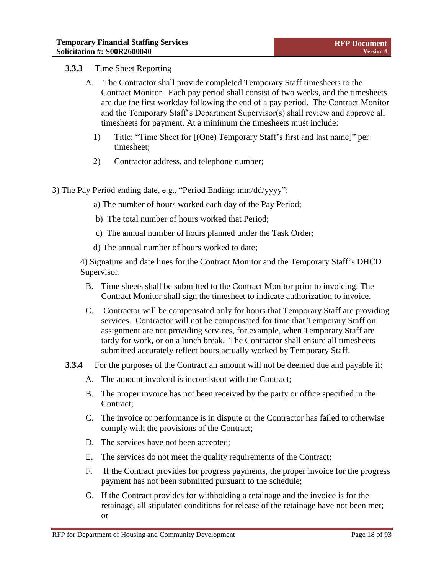### **3.3.3** Time Sheet Reporting

- A. The Contractor shall provide completed Temporary Staff timesheets to the Contract Monitor. Each pay period shall consist of two weeks, and the timesheets are due the first workday following the end of a pay period. The Contract Monitor and the Temporary Staff's Department Supervisor(s) shall review and approve all timesheets for payment. At a minimum the timesheets must include:
	- 1) Title: "Time Sheet for [(One) Temporary Staff's first and last name]" per timesheet;
	- 2) Contractor address, and telephone number;
- 3) The Pay Period ending date, e.g., "Period Ending: mm/dd/yyyy":
	- a) The number of hours worked each day of the Pay Period;
	- b) The total number of hours worked that Period;
	- c) The annual number of hours planned under the Task Order;
	- d) The annual number of hours worked to date;

4) Signature and date lines for the Contract Monitor and the Temporary Staff's DHCD Supervisor.

- B. Time sheets shall be submitted to the Contract Monitor prior to invoicing. The Contract Monitor shall sign the timesheet to indicate authorization to invoice.
- C. Contractor will be compensated only for hours that Temporary Staff are providing services. Contractor will not be compensated for time that Temporary Staff on assignment are not providing services, for example, when Temporary Staff are tardy for work, or on a lunch break. The Contractor shall ensure all timesheets submitted accurately reflect hours actually worked by Temporary Staff.
- **3.3.4** For the purposes of the Contract an amount will not be deemed due and payable if:
	- A. The amount invoiced is inconsistent with the Contract;
	- B. The proper invoice has not been received by the party or office specified in the Contract;
	- C. The invoice or performance is in dispute or the Contractor has failed to otherwise comply with the provisions of the Contract;
	- D. The services have not been accepted;
	- E. The services do not meet the quality requirements of the Contract;
	- F. If the Contract provides for progress payments, the proper invoice for the progress payment has not been submitted pursuant to the schedule;
	- G. If the Contract provides for withholding a retainage and the invoice is for the retainage, all stipulated conditions for release of the retainage have not been met; or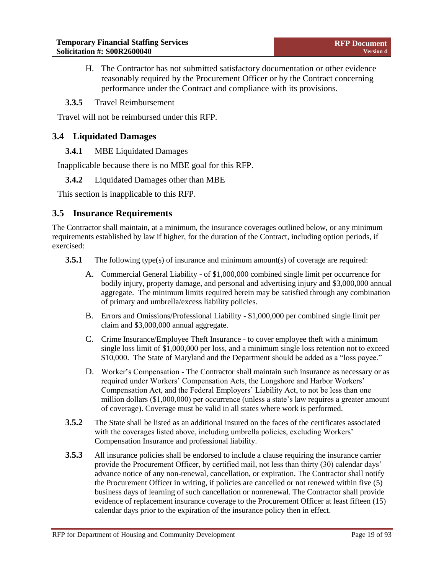- H. The Contractor has not submitted satisfactory documentation or other evidence reasonably required by the Procurement Officer or by the Contract concerning performance under the Contract and compliance with its provisions.
- **3.3.5** Travel Reimbursement

Travel will not be reimbursed under this RFP.

## <span id="page-18-0"></span>**3.4 Liquidated Damages**

**3.4.1** MBE Liquidated Damages

Inapplicable because there is no MBE goal for this RFP.

#### **3.4.2** Liquidated Damages other than MBE

This section is inapplicable to this RFP.

### <span id="page-18-1"></span>**3.5 Insurance Requirements**

The Contractor shall maintain, at a minimum, the insurance coverages outlined below, or any minimum requirements established by law if higher, for the duration of the Contract, including option periods, if exercised:

- **3.5.1** The following type(s) of insurance and minimum amount(s) of coverage are required:
	- A. Commercial General Liability of \$1,000,000 combined single limit per occurrence for bodily injury, property damage, and personal and advertising injury and \$3,000,000 annual aggregate. The minimum limits required herein may be satisfied through any combination of primary and umbrella/excess liability policies.
	- B. Errors and Omissions/Professional Liability \$1,000,000 per combined single limit per claim and \$3,000,000 annual aggregate.
	- C. Crime Insurance/Employee Theft Insurance to cover employee theft with a minimum single loss limit of \$1,000,000 per loss, and a minimum single loss retention not to exceed \$10,000. The State of Maryland and the Department should be added as a "loss payee."
	- D. Worker's Compensation The Contractor shall maintain such insurance as necessary or as required under Workers' Compensation Acts, the Longshore and Harbor Workers' Compensation Act, and the Federal Employers' Liability Act, to not be less than one million dollars (\$1,000,000) per occurrence (unless a state's law requires a greater amount of coverage). Coverage must be valid in all states where work is performed.
- **3.5.2** The State shall be listed as an additional insured on the faces of the certificates associated with the coverages listed above, including umbrella policies, excluding Workers' Compensation Insurance and professional liability.
- **3.5.3** All insurance policies shall be endorsed to include a clause requiring the insurance carrier provide the Procurement Officer, by certified mail, not less than thirty (30) calendar days' advance notice of any non-renewal, cancellation, or expiration. The Contractor shall notify the Procurement Officer in writing, if policies are cancelled or not renewed within five (5) business days of learning of such cancellation or nonrenewal. The Contractor shall provide evidence of replacement insurance coverage to the Procurement Officer at least fifteen (15) calendar days prior to the expiration of the insurance policy then in effect.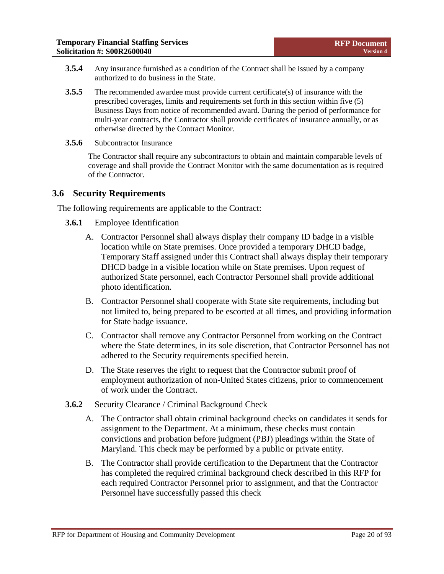- **3.5.4** Any insurance furnished as a condition of the Contract shall be issued by a company authorized to do business in the State.
- **3.5.5** The recommended awardee must provide current certificate(s) of insurance with the prescribed coverages, limits and requirements set forth in this section within five (5) Business Days from notice of recommended award. During the period of performance for multi-year contracts, the Contractor shall provide certificates of insurance annually, or as otherwise directed by the Contract Monitor.
- **3.5.6** Subcontractor Insurance

The Contractor shall require any subcontractors to obtain and maintain comparable levels of coverage and shall provide the Contract Monitor with the same documentation as is required of the Contractor.

#### <span id="page-19-0"></span>**3.6 Security Requirements**

The following requirements are applicable to the Contract:

- **3.6.1** Employee Identification
	- A. Contractor Personnel shall always display their company ID badge in a visible location while on State premises. Once provided a temporary DHCD badge, Temporary Staff assigned under this Contract shall always display their temporary DHCD badge in a visible location while on State premises. Upon request of authorized State personnel, each Contractor Personnel shall provide additional photo identification.
	- B. Contractor Personnel shall cooperate with State site requirements, including but not limited to, being prepared to be escorted at all times, and providing information for State badge issuance.
	- C. Contractor shall remove any Contractor Personnel from working on the Contract where the State determines, in its sole discretion, that Contractor Personnel has not adhered to the Security requirements specified herein.
	- D. The State reserves the right to request that the Contractor submit proof of employment authorization of non-United States citizens, prior to commencement of work under the Contract.
- **3.6.2** Security Clearance / Criminal Background Check
	- A. The Contractor shall obtain criminal background checks on candidates it sends for assignment to the Department. At a minimum, these checks must contain convictions and probation before judgment (PBJ) pleadings within the State of Maryland. This check may be performed by a public or private entity.
	- B. The Contractor shall provide certification to the Department that the Contractor has completed the required criminal background check described in this RFP for each required Contractor Personnel prior to assignment, and that the Contractor Personnel have successfully passed this check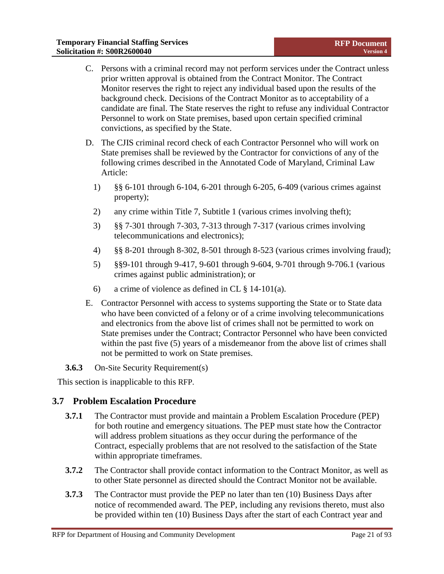- C. Persons with a criminal record may not perform services under the Contract unless prior written approval is obtained from the Contract Monitor. The Contract Monitor reserves the right to reject any individual based upon the results of the background check. Decisions of the Contract Monitor as to acceptability of a candidate are final. The State reserves the right to refuse any individual Contractor Personnel to work on State premises, based upon certain specified criminal convictions, as specified by the State.
- D. The CJIS criminal record check of each Contractor Personnel who will work on State premises shall be reviewed by the Contractor for convictions of any of the following crimes described in the Annotated Code of Maryland, Criminal Law Article:
	- 1) §§ 6-101 through 6-104, 6-201 through 6-205, 6-409 (various crimes against property);
	- 2) any crime within Title 7, Subtitle 1 (various crimes involving theft);
	- 3) §§ 7-301 through 7-303, 7-313 through 7-317 (various crimes involving telecommunications and electronics);
	- 4) §§ 8-201 through 8-302, 8-501 through 8-523 (various crimes involving fraud);
	- 5) §§9-101 through 9-417, 9-601 through 9-604, 9-701 through 9-706.1 (various crimes against public administration); or
	- 6) a crime of violence as defined in CL  $\S$  14-101(a).
- E. Contractor Personnel with access to systems supporting the State or to State data who have been convicted of a felony or of a crime involving telecommunications and electronics from the above list of crimes shall not be permitted to work on State premises under the Contract; Contractor Personnel who have been convicted within the past five (5) years of a misdemeanor from the above list of crimes shall not be permitted to work on State premises.
- **3.6.3** On-Site Security Requirement(s)

This section is inapplicable to this RFP.

## <span id="page-20-0"></span>**3.7 Problem Escalation Procedure**

- **3.7.1** The Contractor must provide and maintain a Problem Escalation Procedure (PEP) for both routine and emergency situations. The PEP must state how the Contractor will address problem situations as they occur during the performance of the Contract, especially problems that are not resolved to the satisfaction of the State within appropriate timeframes.
- **3.7.2** The Contractor shall provide contact information to the Contract Monitor, as well as to other State personnel as directed should the Contract Monitor not be available.
- **3.7.3** The Contractor must provide the PEP no later than ten (10) Business Days after notice of recommended award. The PEP, including any revisions thereto, must also be provided within ten (10) Business Days after the start of each Contract year and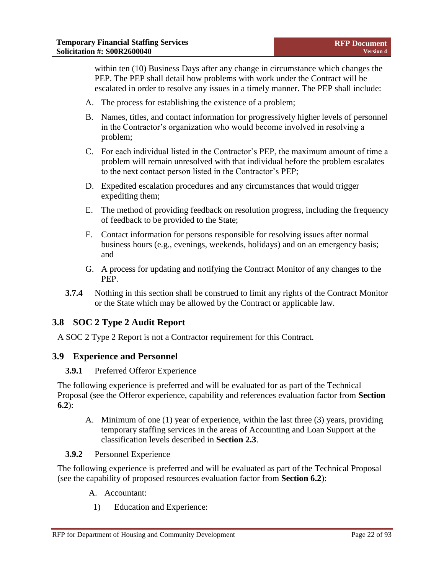within ten (10) Business Days after any change in circumstance which changes the PEP. The PEP shall detail how problems with work under the Contract will be escalated in order to resolve any issues in a timely manner. The PEP shall include:

- A. The process for establishing the existence of a problem;
- B. Names, titles, and contact information for progressively higher levels of personnel in the Contractor's organization who would become involved in resolving a problem;
- C. For each individual listed in the Contractor's PEP, the maximum amount of time a problem will remain unresolved with that individual before the problem escalates to the next contact person listed in the Contractor's PEP;
- D. Expedited escalation procedures and any circumstances that would trigger expediting them;
- E. The method of providing feedback on resolution progress, including the frequency of feedback to be provided to the State;
- F. Contact information for persons responsible for resolving issues after normal business hours (e.g., evenings, weekends, holidays) and on an emergency basis; and
- G. A process for updating and notifying the Contract Monitor of any changes to the PEP.
- **3.7.4** Nothing in this section shall be construed to limit any rights of the Contract Monitor or the State which may be allowed by the Contract or applicable law.

## <span id="page-21-0"></span>**3.8 SOC 2 Type 2 Audit Report**

A SOC 2 Type 2 Report is not a Contractor requirement for this Contract.

## <span id="page-21-1"></span>**3.9 Experience and Personnel**

#### **3.9.1** Preferred Offeror Experience

The following experience is preferred and will be evaluated for as part of the Technical Proposal (see the Offeror experience, capability and references evaluation factor from **Section 6.2**):

- A. Minimum of one (1) year of experience, within the last three (3) years, providing temporary staffing services in the areas of Accounting and Loan Support at the classification levels described in **Section 2.3**.
- **3.9.2** Personnel Experience

The following experience is preferred and will be evaluated as part of the Technical Proposal (see the capability of proposed resources evaluation factor from **Section 6.2**):

- A. Accountant:
- 1) Education and Experience: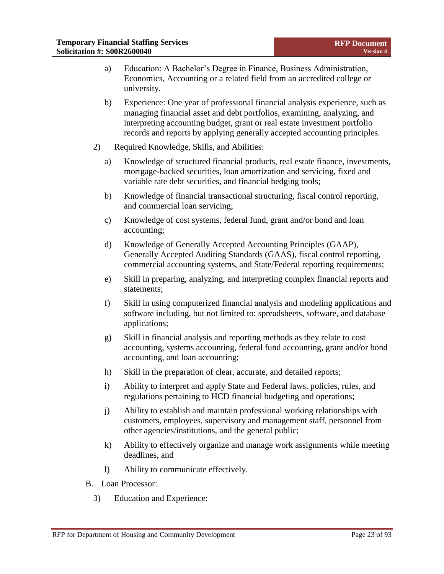- a) Education: A Bachelor's Degree in Finance, Business Administration, Economics, Accounting or a related field from an accredited college or university.
- b) Experience: One year of professional financial analysis experience, such as managing financial asset and debt portfolios, examining, analyzing, and interpreting accounting budget, grant or real estate investment portfolio records and reports by applying generally accepted accounting principles.
- 2) Required Knowledge, Skills, and Abilities:
	- a) Knowledge of structured financial products, real estate finance, investments, mortgage-backed securities, loan amortization and servicing, fixed and variable rate debt securities, and financial hedging tools;
	- b) Knowledge of financial transactional structuring, fiscal control reporting, and commercial loan servicing;
	- c) Knowledge of cost systems, federal fund, grant and/or bond and loan accounting;
	- d) Knowledge of Generally Accepted Accounting Principles (GAAP), Generally Accepted Auditing Standards (GAAS), fiscal control reporting, commercial accounting systems, and State/Federal reporting requirements;
	- e) Skill in preparing, analyzing, and interpreting complex financial reports and statements;
	- f) Skill in using computerized financial analysis and modeling applications and software including, but not limited to: spreadsheets, software, and database applications;
	- g) Skill in financial analysis and reporting methods as they relate to cost accounting, systems accounting, federal fund accounting, grant and/or bond accounting, and loan accounting;
	- h) Skill in the preparation of clear, accurate, and detailed reports;
	- i) Ability to interpret and apply State and Federal laws, policies, rules, and regulations pertaining to HCD financial budgeting and operations;
	- j) Ability to establish and maintain professional working relationships with customers, employees, supervisory and management staff, personnel from other agencies/institutions, and the general public;
	- k) Ability to effectively organize and manage work assignments while meeting deadlines, and
	- l) Ability to communicate effectively.
- B. Loan Processor:
	- 3) Education and Experience: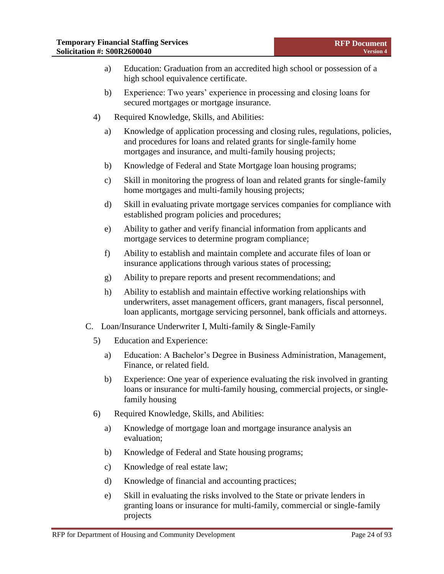- a) Education: Graduation from an accredited high school or possession of a high school equivalence certificate.
- b) Experience: Two years' experience in processing and closing loans for secured mortgages or mortgage insurance.
- 4) Required Knowledge, Skills, and Abilities:
	- a) Knowledge of application processing and closing rules, regulations, policies, and procedures for loans and related grants for single-family home mortgages and insurance, and multi-family housing projects;
	- b) Knowledge of Federal and State Mortgage loan housing programs;
	- c) Skill in monitoring the progress of loan and related grants for single-family home mortgages and multi-family housing projects;
	- d) Skill in evaluating private mortgage services companies for compliance with established program policies and procedures;
	- e) Ability to gather and verify financial information from applicants and mortgage services to determine program compliance;
	- f) Ability to establish and maintain complete and accurate files of loan or insurance applications through various states of processing;
	- g) Ability to prepare reports and present recommendations; and
	- h) Ability to establish and maintain effective working relationships with underwriters, asset management officers, grant managers, fiscal personnel, loan applicants, mortgage servicing personnel, bank officials and attorneys.
- C. Loan/Insurance Underwriter I, Multi-family & Single-Family
	- 5) Education and Experience:
		- a) Education: A Bachelor's Degree in Business Administration, Management, Finance, or related field.
		- b) Experience: One year of experience evaluating the risk involved in granting loans or insurance for multi-family housing, commercial projects, or singlefamily housing
	- 6) Required Knowledge, Skills, and Abilities:
		- a) Knowledge of mortgage loan and mortgage insurance analysis an evaluation;
		- b) Knowledge of Federal and State housing programs;
		- c) Knowledge of real estate law;
		- d) Knowledge of financial and accounting practices;
		- e) Skill in evaluating the risks involved to the State or private lenders in granting loans or insurance for multi-family, commercial or single-family projects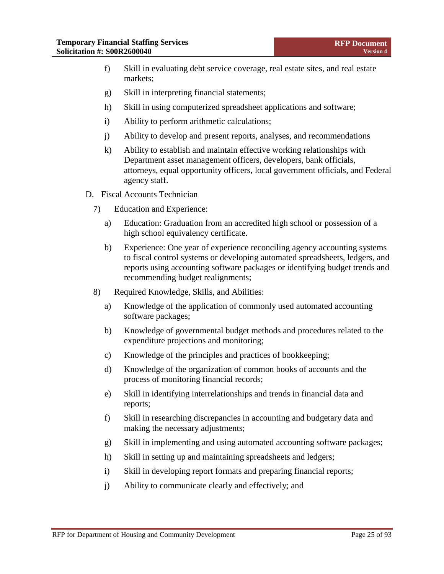- f) Skill in evaluating debt service coverage, real estate sites, and real estate markets;
- g) Skill in interpreting financial statements;
- h) Skill in using computerized spreadsheet applications and software;
- i) Ability to perform arithmetic calculations;
- j) Ability to develop and present reports, analyses, and recommendations
- k) Ability to establish and maintain effective working relationships with Department asset management officers, developers, bank officials, attorneys, equal opportunity officers, local government officials, and Federal agency staff.
- D. Fiscal Accounts Technician
	- 7) Education and Experience:
		- a) Education: Graduation from an accredited high school or possession of a high school equivalency certificate.
		- b) Experience: One year of experience reconciling agency accounting systems to fiscal control systems or developing automated spreadsheets, ledgers, and reports using accounting software packages or identifying budget trends and recommending budget realignments;
	- 8) Required Knowledge, Skills, and Abilities:
		- a) Knowledge of the application of commonly used automated accounting software packages;
		- b) Knowledge of governmental budget methods and procedures related to the expenditure projections and monitoring;
		- c) Knowledge of the principles and practices of bookkeeping;
		- d) Knowledge of the organization of common books of accounts and the process of monitoring financial records;
		- e) Skill in identifying interrelationships and trends in financial data and reports;
		- f) Skill in researching discrepancies in accounting and budgetary data and making the necessary adjustments;
		- g) Skill in implementing and using automated accounting software packages;
		- h) Skill in setting up and maintaining spreadsheets and ledgers;
		- i) Skill in developing report formats and preparing financial reports;
		- j) Ability to communicate clearly and effectively; and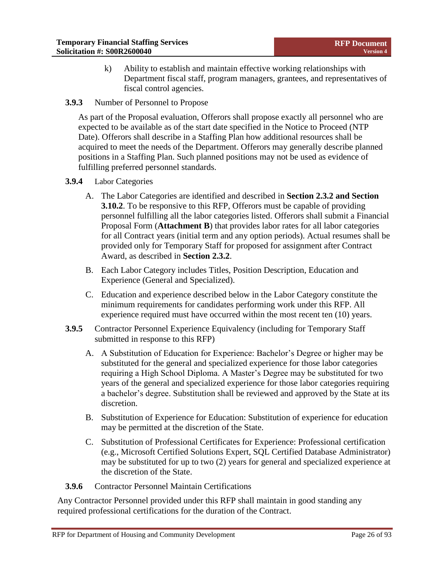k) Ability to establish and maintain effective working relationships with Department fiscal staff, program managers, grantees, and representatives of fiscal control agencies.

#### **3.9.3** Number of Personnel to Propose

As part of the Proposal evaluation, Offerors shall propose exactly all personnel who are expected to be available as of the start date specified in the Notice to Proceed (NTP Date). Offerors shall describe in a Staffing Plan how additional resources shall be acquired to meet the needs of the Department. Offerors may generally describe planned positions in a Staffing Plan. Such planned positions may not be used as evidence of fulfilling preferred personnel standards.

- **3.9.4** Labor Categories
	- A. The Labor Categories are identified and described in **Section 2.3.2 and Section 3.10.2**. To be responsive to this RFP, Offerors must be capable of providing personnel fulfilling all the labor categories listed. Offerors shall submit a Financial Proposal Form (**Attachment B**) that provides labor rates for all labor categories for all Contract years (initial term and any option periods). Actual resumes shall be provided only for Temporary Staff for proposed for assignment after Contract Award, as described in **Section 2.3.2**.
	- B. Each Labor Category includes Titles, Position Description, Education and Experience (General and Specialized).
	- C. Education and experience described below in the Labor Category constitute the minimum requirements for candidates performing work under this RFP. All experience required must have occurred within the most recent ten (10) years.
- **3.9.5** Contractor Personnel Experience Equivalency (including for Temporary Staff submitted in response to this RFP)
	- A. A Substitution of Education for Experience: Bachelor's Degree or higher may be substituted for the general and specialized experience for those labor categories requiring a High School Diploma. A Master's Degree may be substituted for two years of the general and specialized experience for those labor categories requiring a bachelor's degree. Substitution shall be reviewed and approved by the State at its discretion.
	- B. Substitution of Experience for Education: Substitution of experience for education may be permitted at the discretion of the State.
	- C. Substitution of Professional Certificates for Experience: Professional certification (e.g., Microsoft Certified Solutions Expert, SQL Certified Database Administrator) may be substituted for up to two (2) years for general and specialized experience at the discretion of the State.
- **3.9.6** Contractor Personnel Maintain Certifications

Any Contractor Personnel provided under this RFP shall maintain in good standing any required professional certifications for the duration of the Contract.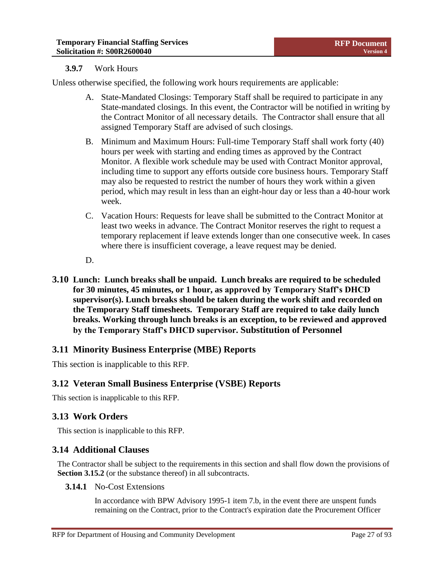#### **3.9.7** Work Hours

Unless otherwise specified, the following work hours requirements are applicable:

- A. State-Mandated Closings: Temporary Staff shall be required to participate in any State-mandated closings. In this event, the Contractor will be notified in writing by the Contract Monitor of all necessary details. The Contractor shall ensure that all assigned Temporary Staff are advised of such closings.
- B. Minimum and Maximum Hours: Full-time Temporary Staff shall work forty (40) hours per week with starting and ending times as approved by the Contract Monitor. A flexible work schedule may be used with Contract Monitor approval, including time to support any efforts outside core business hours. Temporary Staff may also be requested to restrict the number of hours they work within a given period, which may result in less than an eight-hour day or less than a 40-hour work week.
- C. Vacation Hours: Requests for leave shall be submitted to the Contract Monitor at least two weeks in advance. The Contract Monitor reserves the right to request a temporary replacement if leave extends longer than one consecutive week. In cases where there is insufficient coverage, a leave request may be denied.
- D.
- <span id="page-26-0"></span>**3.10 Lunch: Lunch breaks shall be unpaid. Lunch breaks are required to be scheduled for 30 minutes, 45 minutes, or 1 hour, as approved by Temporary Staff's DHCD supervisor(s). Lunch breaks should be taken during the work shift and recorded on the Temporary Staff timesheets. Temporary Staff are required to take daily lunch breaks. Working through lunch breaks is an exception, to be reviewed and approved by the Temporary Staff's DHCD supervisor. Substitution of Personnel**

## <span id="page-26-1"></span>**3.11 Minority Business Enterprise (MBE) Reports**

This section is inapplicable to this RFP.

## <span id="page-26-2"></span>**3.12 Veteran Small Business Enterprise (VSBE) Reports**

This section is inapplicable to this RFP.

## <span id="page-26-3"></span>**3.13 Work Orders**

This section is inapplicable to this RFP.

## <span id="page-26-4"></span>**3.14 Additional Clauses**

The Contractor shall be subject to the requirements in this section and shall flow down the provisions of **Section 3.15.2** (or the substance thereof) in all subcontracts.

#### **3.14.1** No-Cost Extensions

In accordance with BPW Advisory 1995-1 item 7.b, in the event there are unspent funds remaining on the Contract, prior to the Contract's expiration date the Procurement Officer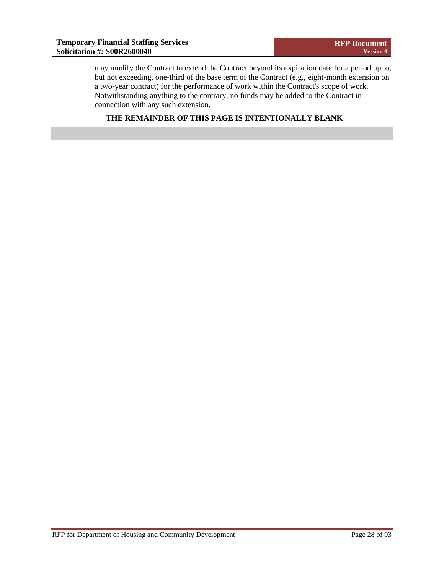may modify the Contract to extend the Contract beyond its expiration date for a period up to, but not exceeding, one-third of the base term of the Contract (e.g., eight-month extension on a two-year contract) for the performance of work within the Contract's scope of work. Notwithstanding anything to the contrary, no funds may be added to the Contract in connection with any such extension.

## **THE REMAINDER OF THIS PAGE IS INTENTIONALLY BLANK**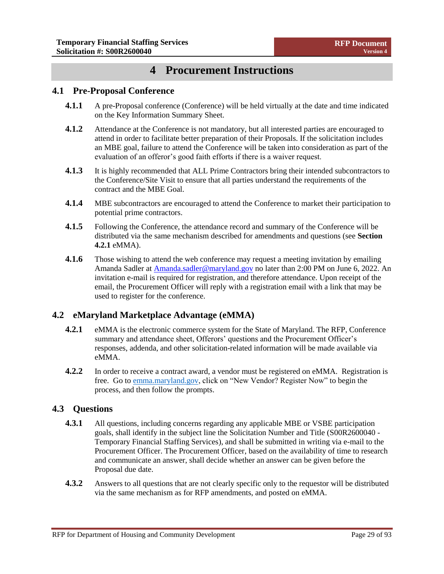## **4 Procurement Instructions**

#### <span id="page-28-1"></span><span id="page-28-0"></span>**4.1 Pre-Proposal Conference**

- **4.1.1** A pre-Proposal conference (Conference) will be held virtually at the date and time indicated on the Key Information Summary Sheet.
- **4.1.2** Attendance at the Conference is not mandatory, but all interested parties are encouraged to attend in order to facilitate better preparation of their Proposals. If the solicitation includes an MBE goal, failure to attend the Conference will be taken into consideration as part of the evaluation of an offeror's good faith efforts if there is a waiver request.
- **4.1.3** It is highly recommended that ALL Prime Contractors bring their intended subcontractors to the Conference/Site Visit to ensure that all parties understand the requirements of the contract and the MBE Goal.
- **4.1.4** MBE subcontractors are encouraged to attend the Conference to market their participation to potential prime contractors.
- **4.1.5** Following the Conference, the attendance record and summary of the Conference will be distributed via the same mechanism described for amendments and questions (see **Section 4.2.1** eMMA).
- **4.1.6** Those wishing to attend the web conference may request a meeting invitation by emailing Amanda Sadler at [Amanda.sadler@maryland.gov](mailto:Amanda.sadler@maryland.gov) no later than 2:00 PM on June 6, 2022. An invitation e-mail is required for registration, and therefore attendance. Upon receipt of the email, the Procurement Officer will reply with a registration email with a link that may be used to register for the conference.

#### <span id="page-28-2"></span>**4.2 eMaryland Marketplace Advantage (eMMA)**

- **4.2.1** eMMA is the electronic commerce system for the State of Maryland. The RFP, Conference summary and attendance sheet, Offerors' questions and the Procurement Officer's responses, addenda, and other solicitation-related information will be made available via eMMA.
- **4.2.2** In order to receive a contract award, a vendor must be registered on eMMA. Registration is free. Go to [emma.maryland.gov,](https://emma.maryland.gov/page.aspx/en/usr/login?ReturnUrl=%2fpage.aspx%2fen%2fbuy%2fhomepage) click on "New Vendor? Register Now" to begin the process, and then follow the prompts.

#### <span id="page-28-3"></span>**4.3 Questions**

- **4.3.1** All questions, including concerns regarding any applicable MBE or VSBE participation goals, shall identify in the subject line the Solicitation Number and Title (S00R2600040 - Temporary Financial Staffing Services), and shall be submitted in writing via e-mail to the Procurement Officer. The Procurement Officer, based on the availability of time to research and communicate an answer, shall decide whether an answer can be given before the Proposal due date.
- **4.3.2** Answers to all questions that are not clearly specific only to the requestor will be distributed via the same mechanism as for RFP amendments, and posted on eMMA.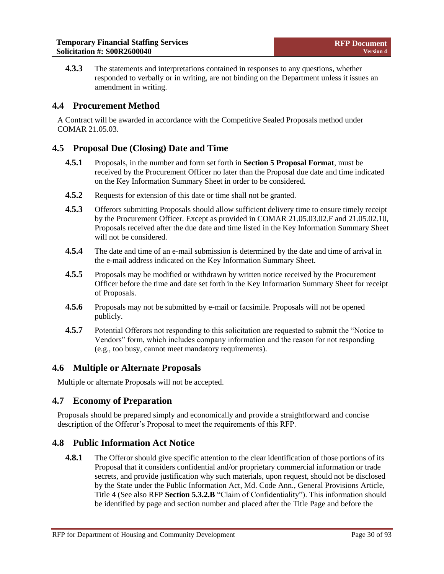**4.3.3** The statements and interpretations contained in responses to any questions, whether responded to verbally or in writing, are not binding on the Department unless it issues an amendment in writing.

## <span id="page-29-0"></span>**4.4 Procurement Method**

A Contract will be awarded in accordance with the Competitive Sealed Proposals method under COMAR 21.05.03.

#### <span id="page-29-1"></span>**4.5 Proposal Due (Closing) Date and Time**

- **4.5.1** Proposals, in the number and form set forth in **Section 5 Proposal Format**, must be received by the Procurement Officer no later than the Proposal due date and time indicated on the Key Information Summary Sheet in order to be considered.
- **4.5.2** Requests for extension of this date or time shall not be granted.
- **4.5.3** Offerors submitting Proposals should allow sufficient delivery time to ensure timely receipt by the Procurement Officer. Except as provided in COMAR 21.05.03.02.F and 21.05.02.10, Proposals received after the due date and time listed in the Key Information Summary Sheet will not be considered.
- **4.5.4** The date and time of an e-mail submission is determined by the date and time of arrival in the e-mail address indicated on the Key Information Summary Sheet.
- **4.5.5** Proposals may be modified or withdrawn by written notice received by the Procurement Officer before the time and date set forth in the Key Information Summary Sheet for receipt of Proposals.
- **4.5.6** Proposals may not be submitted by e-mail or facsimile. Proposals will not be opened publicly.
- **4.5.7** Potential Offerors not responding to this solicitation are requested to submit the "Notice to Vendors" form, which includes company information and the reason for not responding (e.g., too busy, cannot meet mandatory requirements).

#### <span id="page-29-2"></span>**4.6 Multiple or Alternate Proposals**

Multiple or alternate Proposals will not be accepted.

#### <span id="page-29-3"></span>**4.7 Economy of Preparation**

Proposals should be prepared simply and economically and provide a straightforward and concise description of the Offeror's Proposal to meet the requirements of this RFP.

#### <span id="page-29-4"></span>**4.8 Public Information Act Notice**

**4.8.1** The Offeror should give specific attention to the clear identification of those portions of its Proposal that it considers confidential and/or proprietary commercial information or trade secrets, and provide justification why such materials, upon request, should not be disclosed by the State under the Public Information Act, Md. Code Ann., General Provisions Article, Title 4 (See also RFP **Section 5.3.2.B** "Claim of Confidentiality"). This information should be identified by page and section number and placed after the Title Page and before the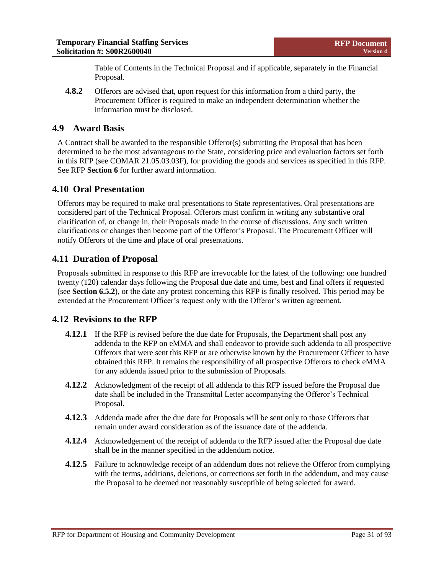Table of Contents in the Technical Proposal and if applicable, separately in the Financial Proposal.

**4.8.2** Offerors are advised that, upon request for this information from a third party, the Procurement Officer is required to make an independent determination whether the information must be disclosed.

### <span id="page-30-0"></span>**4.9 Award Basis**

A Contract shall be awarded to the responsible Offeror(s) submitting the Proposal that has been determined to be the most advantageous to the State, considering price and evaluation factors set forth in this RFP (see COMAR 21.05.03.03F), for providing the goods and services as specified in this RFP. See RFP **Section 6** for further award information.

### <span id="page-30-1"></span>**4.10 Oral Presentation**

Offerors may be required to make oral presentations to State representatives. Oral presentations are considered part of the Technical Proposal. Offerors must confirm in writing any substantive oral clarification of, or change in, their Proposals made in the course of discussions. Any such written clarifications or changes then become part of the Offeror's Proposal. The Procurement Officer will notify Offerors of the time and place of oral presentations.

### <span id="page-30-2"></span>**4.11 Duration of Proposal**

Proposals submitted in response to this RFP are irrevocable for the latest of the following: one hundred twenty (120) calendar days following the Proposal due date and time, best and final offers if requested (see **Section 6.5.2**), or the date any protest concerning this RFP is finally resolved. This period may be extended at the Procurement Officer's request only with the Offeror's written agreement.

#### <span id="page-30-3"></span>**4.12 Revisions to the RFP**

- **4.12.1** If the RFP is revised before the due date for Proposals, the Department shall post any addenda to the RFP on eMMA and shall endeavor to provide such addenda to all prospective Offerors that were sent this RFP or are otherwise known by the Procurement Officer to have obtained this RFP. It remains the responsibility of all prospective Offerors to check eMMA for any addenda issued prior to the submission of Proposals.
- **4.12.2** Acknowledgment of the receipt of all addenda to this RFP issued before the Proposal due date shall be included in the Transmittal Letter accompanying the Offeror's Technical Proposal.
- **4.12.3** Addenda made after the due date for Proposals will be sent only to those Offerors that remain under award consideration as of the issuance date of the addenda.
- **4.12.4** Acknowledgement of the receipt of addenda to the RFP issued after the Proposal due date shall be in the manner specified in the addendum notice.
- **4.12.5** Failure to acknowledge receipt of an addendum does not relieve the Offeror from complying with the terms, additions, deletions, or corrections set forth in the addendum, and may cause the Proposal to be deemed not reasonably susceptible of being selected for award.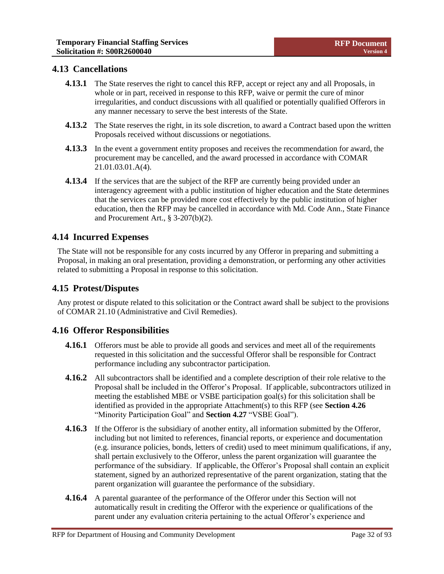### <span id="page-31-0"></span>**4.13 Cancellations**

- **4.13.1** The State reserves the right to cancel this RFP, accept or reject any and all Proposals, in whole or in part, received in response to this RFP, waive or permit the cure of minor irregularities, and conduct discussions with all qualified or potentially qualified Offerors in any manner necessary to serve the best interests of the State.
- **4.13.2** The State reserves the right, in its sole discretion, to award a Contract based upon the written Proposals received without discussions or negotiations.
- **4.13.3** In the event a government entity proposes and receives the recommendation for award, the procurement may be cancelled, and the award processed in accordance with COMAR 21.01.03.01.A(4).
- **4.13.4** If the services that are the subject of the RFP are currently being provided under an interagency agreement with a public institution of higher education and the State determines that the services can be provided more cost effectively by the public institution of higher education, then the RFP may be cancelled in accordance with Md. Code Ann., State Finance and Procurement Art., § 3-207(b)(2).

## <span id="page-31-1"></span>**4.14 Incurred Expenses**

The State will not be responsible for any costs incurred by any Offeror in preparing and submitting a Proposal, in making an oral presentation, providing a demonstration, or performing any other activities related to submitting a Proposal in response to this solicitation.

#### <span id="page-31-2"></span>**4.15 Protest/Disputes**

Any protest or dispute related to this solicitation or the Contract award shall be subject to the provisions of COMAR 21.10 (Administrative and Civil Remedies).

## <span id="page-31-3"></span>**4.16 Offeror Responsibilities**

- **4.16.1** Offerors must be able to provide all goods and services and meet all of the requirements requested in this solicitation and the successful Offeror shall be responsible for Contract performance including any subcontractor participation.
- **4.16.2** All subcontractors shall be identified and a complete description of their role relative to the Proposal shall be included in the Offeror's Proposal. If applicable, subcontractors utilized in meeting the established MBE or VSBE participation goal(s) for this solicitation shall be identified as provided in the appropriate Attachment(s) to this RFP (see **Section 4.26** "Minority Participation Goal" and **Section 4.27** "VSBE Goal").
- **4.16.3** If the Offeror is the subsidiary of another entity, all information submitted by the Offeror, including but not limited to references, financial reports, or experience and documentation (e.g. insurance policies, bonds, letters of credit) used to meet minimum qualifications, if any, shall pertain exclusively to the Offeror, unless the parent organization will guarantee the performance of the subsidiary. If applicable, the Offeror's Proposal shall contain an explicit statement, signed by an authorized representative of the parent organization, stating that the parent organization will guarantee the performance of the subsidiary.
- **4.16.4** A parental guarantee of the performance of the Offeror under this Section will not automatically result in crediting the Offeror with the experience or qualifications of the parent under any evaluation criteria pertaining to the actual Offeror's experience and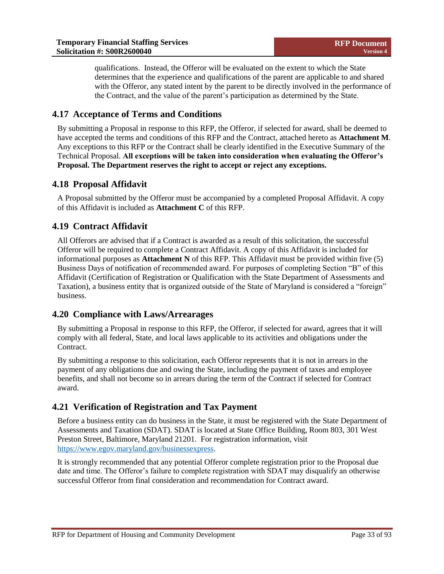qualifications. Instead, the Offeror will be evaluated on the extent to which the State determines that the experience and qualifications of the parent are applicable to and shared with the Offeror, any stated intent by the parent to be directly involved in the performance of the Contract, and the value of the parent's participation as determined by the State.

## <span id="page-32-0"></span>**4.17 Acceptance of Terms and Conditions**

By submitting a Proposal in response to this RFP, the Offeror, if selected for award, shall be deemed to have accepted the terms and conditions of this RFP and the Contract, attached hereto as **Attachment M**. Any exceptions to this RFP or the Contract shall be clearly identified in the Executive Summary of the Technical Proposal. **All exceptions will be taken into consideration when evaluating the Offeror's Proposal. The Department reserves the right to accept or reject any exceptions.**

## <span id="page-32-1"></span>**4.18 Proposal Affidavit**

A Proposal submitted by the Offeror must be accompanied by a completed Proposal Affidavit. A copy of this Affidavit is included as **Attachment C** of this RFP.

## <span id="page-32-2"></span>**4.19 Contract Affidavit**

All Offerors are advised that if a Contract is awarded as a result of this solicitation, the successful Offeror will be required to complete a Contract Affidavit. A copy of this Affidavit is included for informational purposes as **Attachment N** of this RFP. This Affidavit must be provided within five (5) Business Days of notification of recommended award. For purposes of completing Section "B" of this Affidavit (Certification of Registration or Qualification with the State Department of Assessments and Taxation), a business entity that is organized outside of the State of Maryland is considered a "foreign" business.

## <span id="page-32-3"></span>**4.20 Compliance with Laws/Arrearages**

By submitting a Proposal in response to this RFP, the Offeror, if selected for award, agrees that it will comply with all federal, State, and local laws applicable to its activities and obligations under the Contract.

By submitting a response to this solicitation, each Offeror represents that it is not in arrears in the payment of any obligations due and owing the State, including the payment of taxes and employee benefits, and shall not become so in arrears during the term of the Contract if selected for Contract award.

## <span id="page-32-4"></span>**4.21 Verification of Registration and Tax Payment**

Before a business entity can do business in the State, it must be registered with the State Department of Assessments and Taxation (SDAT). SDAT is located at State Office Building, Room 803, 301 West Preston Street, Baltimore, Maryland 21201. For registration information, visit https://www.egov.maryland.gov/businessexpress.

It is strongly recommended that any potential Offeror complete registration prior to the Proposal due date and time. The Offeror's failure to complete registration with SDAT may disqualify an otherwise successful Offeror from final consideration and recommendation for Contract award.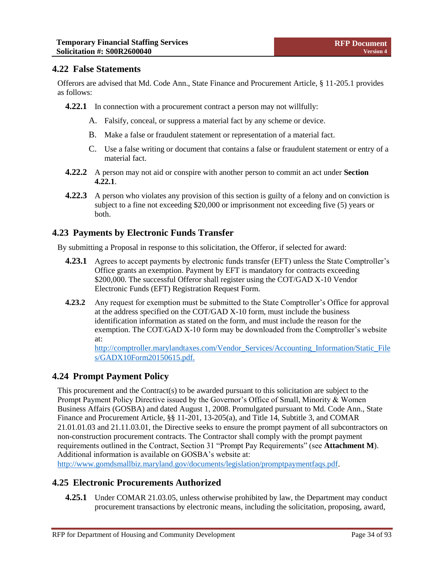#### <span id="page-33-0"></span>**4.22 False Statements**

Offerors are advised that Md. Code Ann., State Finance and Procurement Article, § 11-205.1 provides as follows:

- **4.22.1** In connection with a procurement contract a person may not willfully:
	- A. Falsify, conceal, or suppress a material fact by any scheme or device.
	- B. Make a false or fraudulent statement or representation of a material fact.
	- C. Use a false writing or document that contains a false or fraudulent statement or entry of a material fact.
- **4.22.2** A person may not aid or conspire with another person to commit an act under **Section 4.22.1**.
- **4.22.3** A person who violates any provision of this section is guilty of a felony and on conviction is subject to a fine not exceeding \$20,000 or imprisonment not exceeding five (5) years or both.

### <span id="page-33-1"></span>**4.23 Payments by Electronic Funds Transfer**

By submitting a Proposal in response to this solicitation, the Offeror, if selected for award:

- **4.23.1** Agrees to accept payments by electronic funds transfer (EFT) unless the State Comptroller's Office grants an exemption. Payment by EFT is mandatory for contracts exceeding \$200,000. The successful Offeror shall register using the COT/GAD X-10 Vendor Electronic Funds (EFT) Registration Request Form.
- **4.23.2** Any request for exemption must be submitted to the State Comptroller's Office for approval at the address specified on the COT/GAD X-10 form, must include the business identification information as stated on the form, and must include the reason for the exemption. The COT/GAD X-10 form may be downloaded from the Comptroller's website at:

http://comptroller.marylandtaxes.com/Vendor\_Services/Accounting\_Information/Static\_File s/GADX10Form20150615.pdf.

## <span id="page-33-2"></span>**4.24 Prompt Payment Policy**

This procurement and the Contract(s) to be awarded pursuant to this solicitation are subject to the Prompt Payment Policy Directive issued by the Governor's Office of Small, Minority & Women Business Affairs (GOSBA) and dated August 1, 2008. Promulgated pursuant to Md. Code Ann., State Finance and Procurement Article, §§ 11-201, 13-205(a), and Title 14, Subtitle 3, and COMAR 21.01.01.03 and 21.11.03.01, the Directive seeks to ensure the prompt payment of all subcontractors on non-construction procurement contracts. The Contractor shall comply with the prompt payment requirements outlined in the Contract, Section 31 "Prompt Pay Requirements" (see **Attachment M**). Additional information is available on GOSBA's website at:

http://www.gomdsmallbiz.maryland.gov/documents/legislation/promptpaymentfaqs.pdf.

#### <span id="page-33-3"></span>**4.25 Electronic Procurements Authorized**

**4.25.1** Under COMAR 21.03.05, unless otherwise prohibited by law, the Department may conduct procurement transactions by electronic means, including the solicitation, proposing, award,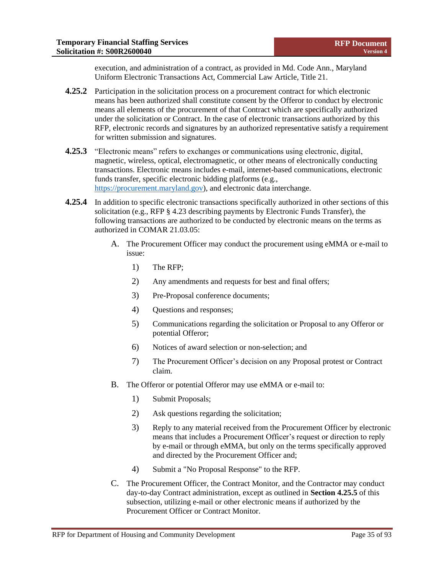execution, and administration of a contract, as provided in Md. Code Ann., Maryland Uniform Electronic Transactions Act, Commercial Law Article, Title 21.

- **4.25.2** Participation in the solicitation process on a procurement contract for which electronic means has been authorized shall constitute consent by the Offeror to conduct by electronic means all elements of the procurement of that Contract which are specifically authorized under the solicitation or Contract. In the case of electronic transactions authorized by this RFP, electronic records and signatures by an authorized representative satisfy a requirement for written submission and signatures.
- **4.25.3** "Electronic means" refers to exchanges or communications using electronic, digital, magnetic, wireless, optical, electromagnetic, or other means of electronically conducting transactions. Electronic means includes e-mail, internet-based communications, electronic funds transfer, specific electronic bidding platforms (e.g., [https://procurement.maryland.gov\)](https://procurement.maryland.gov/), and electronic data interchange.
- **4.25.4** In addition to specific electronic transactions specifically authorized in other sections of this solicitation (e.g., RFP § 4.23 describing payments by Electronic Funds Transfer), the following transactions are authorized to be conducted by electronic means on the terms as authorized in COMAR 21.03.05:
	- A. The Procurement Officer may conduct the procurement using eMMA or e-mail to issue:
		- 1) The RFP;
		- 2) Any amendments and requests for best and final offers;
		- 3) Pre-Proposal conference documents;
		- 4) Questions and responses;
		- 5) Communications regarding the solicitation or Proposal to any Offeror or potential Offeror;
		- 6) Notices of award selection or non-selection; and
		- 7) The Procurement Officer's decision on any Proposal protest or Contract claim.
	- B. The Offeror or potential Offeror may use eMMA or e-mail to:
		- 1) Submit Proposals;
		- 2) Ask questions regarding the solicitation;
		- 3) Reply to any material received from the Procurement Officer by electronic means that includes a Procurement Officer's request or direction to reply by e-mail or through eMMA, but only on the terms specifically approved and directed by the Procurement Officer and;
		- 4) Submit a "No Proposal Response" to the RFP.
	- C. The Procurement Officer, the Contract Monitor, and the Contractor may conduct day-to-day Contract administration, except as outlined in **Section 4.25.5** of this subsection, utilizing e-mail or other electronic means if authorized by the Procurement Officer or Contract Monitor.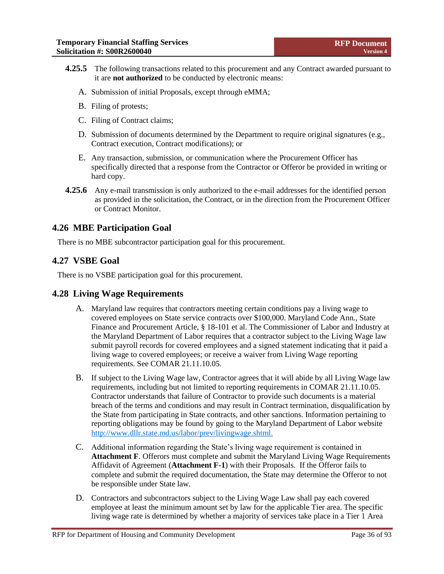- **4.25.5** The following transactions related to this procurement and any Contract awarded pursuant to it are **not authorized** to be conducted by electronic means:
	- A. Submission of initial Proposals, except through eMMA;
	- B. Filing of protests;
	- C. Filing of Contract claims;
	- D. Submission of documents determined by the Department to require original signatures (e.g., Contract execution, Contract modifications); or
	- E. Any transaction, submission, or communication where the Procurement Officer has specifically directed that a response from the Contractor or Offeror be provided in writing or hard copy.
- **4.25.6** Any e-mail transmission is only authorized to the e-mail addresses for the identified person as provided in the solicitation, the Contract, or in the direction from the Procurement Officer or Contract Monitor.

### <span id="page-35-0"></span>**4.26 MBE Participation Goal**

There is no MBE subcontractor participation goal for this procurement.

### <span id="page-35-1"></span>**4.27 VSBE Goal**

There is no VSBE participation goal for this procurement.

#### <span id="page-35-2"></span>**4.28 Living Wage Requirements**

- A. Maryland law requires that contractors meeting certain conditions pay a living wage to covered employees on State service contracts over \$100,000. Maryland Code Ann., State Finance and Procurement Article, § 18-101 et al. The Commissioner of Labor and Industry at the Maryland Department of Labor requires that a contractor subject to the Living Wage law submit payroll records for covered employees and a signed statement indicating that it paid a living wage to covered employees; or receive a waiver from Living Wage reporting requirements. See COMAR 21.11.10.05.
- B. If subject to the Living Wage law, Contractor agrees that it will abide by all Living Wage law requirements, including but not limited to reporting requirements in COMAR 21.11.10.05. Contractor understands that failure of Contractor to provide such documents is a material breach of the terms and conditions and may result in Contract termination, disqualification by the State from participating in State contracts, and other sanctions. Information pertaining to reporting obligations may be found by going to the Maryland Department of Labor website [http://www.dllr.state.md.us/labor/prev/livingwage.shtml.](http://www.dllr.state.md.us/labor/prev/livingwage.shtml)
- C. Additional information regarding the State's living wage requirement is contained in **Attachment F**. Offerors must complete and submit the Maryland Living Wage Requirements Affidavit of Agreement (**Attachment F-1**) with their Proposals. If the Offeror fails to complete and submit the required documentation, the State may determine the Offeror to not be responsible under State law.
- D. Contractors and subcontractors subject to the Living Wage Law shall pay each covered employee at least the minimum amount set by law for the applicable Tier area. The specific living wage rate is determined by whether a majority of services take place in a Tier 1 Area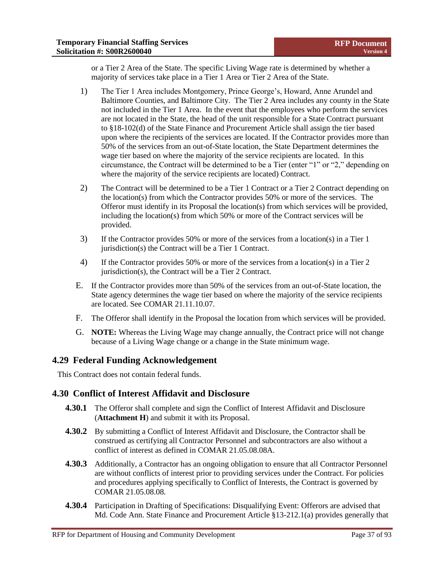or a Tier 2 Area of the State. The specific Living Wage rate is determined by whether a majority of services take place in a Tier 1 Area or Tier 2 Area of the State.

- 1) The Tier 1 Area includes Montgomery, Prince George's, Howard, Anne Arundel and Baltimore Counties, and Baltimore City. The Tier 2 Area includes any county in the State not included in the Tier 1 Area. In the event that the employees who perform the services are not located in the State, the head of the unit responsible for a State Contract pursuant to §18-102(d) of the State Finance and Procurement Article shall assign the tier based upon where the recipients of the services are located. If the Contractor provides more than 50% of the services from an out-of-State location, the State Department determines the wage tier based on where the majority of the service recipients are located. In this circumstance, the Contract will be determined to be a Tier (enter "1" or "2," depending on where the majority of the service recipients are located) Contract.
- 2) The Contract will be determined to be a Tier 1 Contract or a Tier 2 Contract depending on the location(s) from which the Contractor provides 50% or more of the services. The Offeror must identify in its Proposal the location(s) from which services will be provided, including the location(s) from which 50% or more of the Contract services will be provided.
- 3) If the Contractor provides 50% or more of the services from a location(s) in a Tier 1 jurisdiction(s) the Contract will be a Tier 1 Contract.
- 4) If the Contractor provides 50% or more of the services from a location(s) in a Tier 2 jurisdiction(s), the Contract will be a Tier 2 Contract.
- E. If the Contractor provides more than 50% of the services from an out-of-State location, the State agency determines the wage tier based on where the majority of the service recipients are located. See COMAR 21.11.10.07.
- F. The Offeror shall identify in the Proposal the location from which services will be provided.
- G. **NOTE:** Whereas the Living Wage may change annually, the Contract price will not change because of a Living Wage change or a change in the State minimum wage.

## **4.29 Federal Funding Acknowledgement**

This Contract does not contain federal funds.

## **4.30 Conflict of Interest Affidavit and Disclosure**

- **4.30.1** The Offeror shall complete and sign the Conflict of Interest Affidavit and Disclosure (**Attachment H**) and submit it with its Proposal.
- **4.30.2** By submitting a Conflict of Interest Affidavit and Disclosure, the Contractor shall be construed as certifying all Contractor Personnel and subcontractors are also without a conflict of interest as defined in COMAR 21.05.08.08A.
- **4.30.3** Additionally, a Contractor has an ongoing obligation to ensure that all Contractor Personnel are without conflicts of interest prior to providing services under the Contract. For policies and procedures applying specifically to Conflict of Interests, the Contract is governed by COMAR 21.05.08.08.
- **4.30.4** Participation in Drafting of Specifications: Disqualifying Event: Offerors are advised that Md. Code Ann. State Finance and Procurement Article §13-212.1(a) provides generally that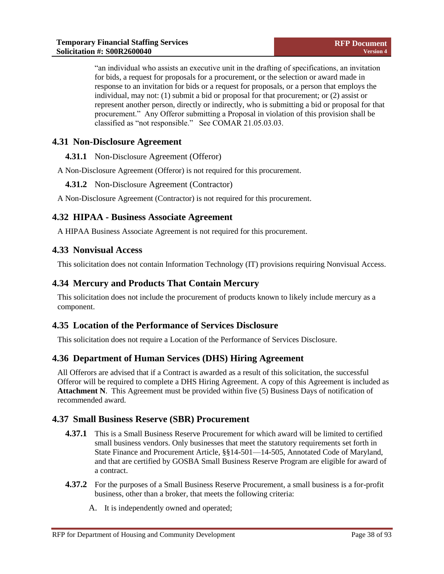"an individual who assists an executive unit in the drafting of specifications, an invitation for bids, a request for proposals for a procurement, or the selection or award made in response to an invitation for bids or a request for proposals, or a person that employs the individual, may not: (1) submit a bid or proposal for that procurement; or (2) assist or represent another person, directly or indirectly, who is submitting a bid or proposal for that procurement." Any Offeror submitting a Proposal in violation of this provision shall be classified as "not responsible." See COMAR 21.05.03.03.

#### **4.31 Non-Disclosure Agreement**

**4.31.1** Non-Disclosure Agreement (Offeror)

A Non-Disclosure Agreement (Offeror) is not required for this procurement.

**4.31.2** Non-Disclosure Agreement (Contractor)

A Non-Disclosure Agreement (Contractor) is not required for this procurement.

## **4.32 HIPAA - Business Associate Agreement**

A HIPAA Business Associate Agreement is not required for this procurement.

#### **4.33 Nonvisual Access**

This solicitation does not contain Information Technology (IT) provisions requiring Nonvisual Access.

## **4.34 Mercury and Products That Contain Mercury**

This solicitation does not include the procurement of products known to likely include mercury as a component.

## **4.35 Location of the Performance of Services Disclosure**

This solicitation does not require a Location of the Performance of Services Disclosure.

## **4.36 Department of Human Services (DHS) Hiring Agreement**

All Offerors are advised that if a Contract is awarded as a result of this solicitation, the successful Offeror will be required to complete a DHS Hiring Agreement. A copy of this Agreement is included as **Attachment N**. This Agreement must be provided within five (5) Business Days of notification of recommended award.

#### **4.37 Small Business Reserve (SBR) Procurement**

- **4.37.1** This is a Small Business Reserve Procurement for which award will be limited to certified small business vendors. Only businesses that meet the statutory requirements set forth in State Finance and Procurement Article, §§14-501—14-505, Annotated Code of Maryland, and that are certified by GOSBA Small Business Reserve Program are eligible for award of a contract.
- **4.37.2** For the purposes of a Small Business Reserve Procurement, a small business is a for-profit business, other than a broker, that meets the following criteria:
	- A. It is independently owned and operated;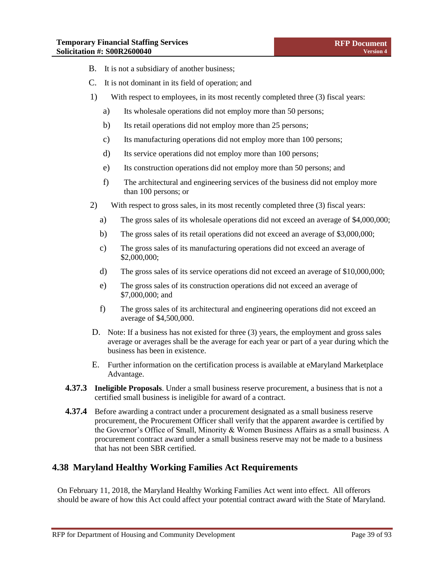- B. It is not a subsidiary of another business;
- C. It is not dominant in its field of operation; and
- 1) With respect to employees, in its most recently completed three (3) fiscal years:
	- a) Its wholesale operations did not employ more than 50 persons;
	- b) Its retail operations did not employ more than 25 persons;
	- c) Its manufacturing operations did not employ more than 100 persons;
	- d) Its service operations did not employ more than 100 persons;
	- e) Its construction operations did not employ more than 50 persons; and
	- f) The architectural and engineering services of the business did not employ more than 100 persons; or
- 2) With respect to gross sales, in its most recently completed three (3) fiscal years:
	- a) The gross sales of its wholesale operations did not exceed an average of \$4,000,000;
	- b) The gross sales of its retail operations did not exceed an average of \$3,000,000;
	- c) The gross sales of its manufacturing operations did not exceed an average of \$2,000,000;
	- d) The gross sales of its service operations did not exceed an average of \$10,000,000;
	- e) The gross sales of its construction operations did not exceed an average of \$7,000,000; and
	- f) The gross sales of its architectural and engineering operations did not exceed an average of \$4,500,000.
- D. Note: If a business has not existed for three (3) years, the employment and gross sales average or averages shall be the average for each year or part of a year during which the business has been in existence.
- E. Further information on the certification process is available at eMaryland Marketplace Advantage.
- **4.37.3 Ineligible Proposals**. Under a small business reserve procurement, a business that is not a certified small business is ineligible for award of a contract.
- **4.37.4** Before awarding a contract under a procurement designated as a small business reserve procurement, the Procurement Officer shall verify that the apparent awardee is certified by the Governor's Office of Small, Minority & Women Business Affairs as a small business. A procurement contract award under a small business reserve may not be made to a business that has not been SBR certified.

## **4.38 Maryland Healthy Working Families Act Requirements**

On February 11, 2018, the Maryland Healthy Working Families Act went into effect. All offerors should be aware of how this Act could affect your potential contract award with the State of Maryland.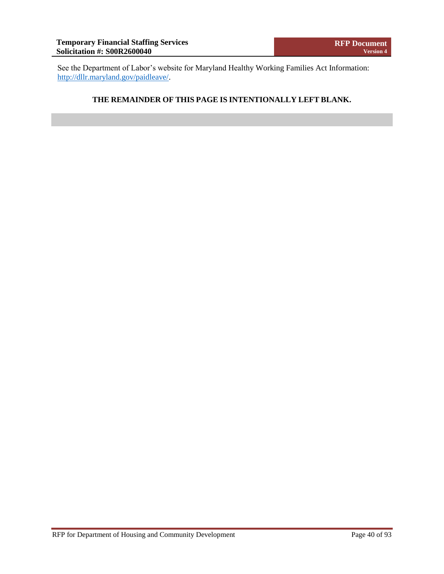See the Department of Labor's website for Maryland Healthy Working Families Act Information: [http://dllr.maryland.gov/paidleave/.](http://dllr.maryland.gov/paidleave/)

#### **THE REMAINDER OF THIS PAGE IS INTENTIONALLY LEFT BLANK.**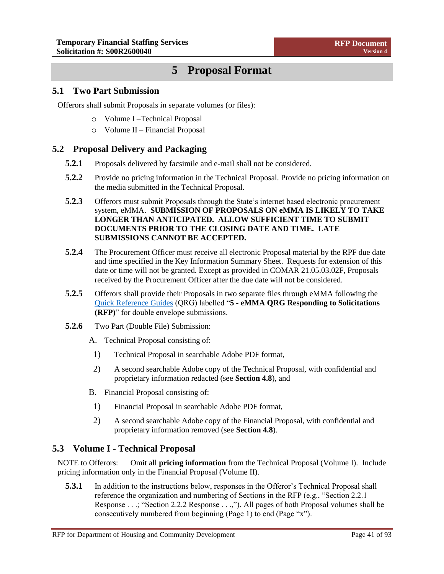# **5 Proposal Format**

#### **5.1 Two Part Submission**

Offerors shall submit Proposals in separate volumes (or files):

- o Volume I –Technical Proposal
- o Volume II Financial Proposal

#### **5.2 Proposal Delivery and Packaging**

- **5.2.1** Proposals delivered by facsimile and e-mail shall not be considered.
- **5.2.2** Provide no pricing information in the Technical Proposal. Provide no pricing information on the media submitted in the Technical Proposal.
- **5.2.3** Offerors must submit Proposals through the State's internet based electronic procurement system, eMMA. **SUBMISSION OF PROPOSALS ON eMMA IS LIKELY TO TAKE LONGER THAN ANTICIPATED. ALLOW SUFFICIENT TIME TO SUBMIT DOCUMENTS PRIOR TO THE CLOSING DATE AND TIME. LATE SUBMISSIONS CANNOT BE ACCEPTED.**
- **5.2.4** The Procurement Officer must receive all electronic Proposal material by the RPF due date and time specified in the Key Information Summary Sheet. Requests for extension of this date or time will not be granted. Except as provided in COMAR 21.05.03.02F, Proposals received by the Procurement Officer after the due date will not be considered.
- **5.2.5** Offerors shall provide their Proposals in two separate files through eMMA following the [Quick Reference Guides](https://procurement.maryland.gov/emma-qrgs/) (QRG) labelled "**5 - eMMA QRG Responding to Solicitations (RFP)**" for double envelope submissions.
- **5.2.6** Two Part (Double File) Submission:
	- A. Technical Proposal consisting of:
		- 1) Technical Proposal in searchable Adobe PDF format,
		- 2) A second searchable Adobe copy of the Technical Proposal, with confidential and proprietary information redacted (see **Section 4.8**), and
	- B. Financial Proposal consisting of:
	- 1) Financial Proposal in searchable Adobe PDF format,
	- 2) A second searchable Adobe copy of the Financial Proposal, with confidential and proprietary information removed (see **Section 4.8**).

#### **5.3 Volume I - Technical Proposal**

NOTE to Offerors: Omit all **pricing information** from the Technical Proposal (Volume I). Include pricing information only in the Financial Proposal (Volume II).

**5.3.1** In addition to the instructions below, responses in the Offeror's Technical Proposal shall reference the organization and numbering of Sections in the RFP (e.g., "Section 2.2.1 Response . . .; "Section 2.2.2 Response . . .,"). All pages of both Proposal volumes shall be consecutively numbered from beginning (Page 1) to end (Page "x").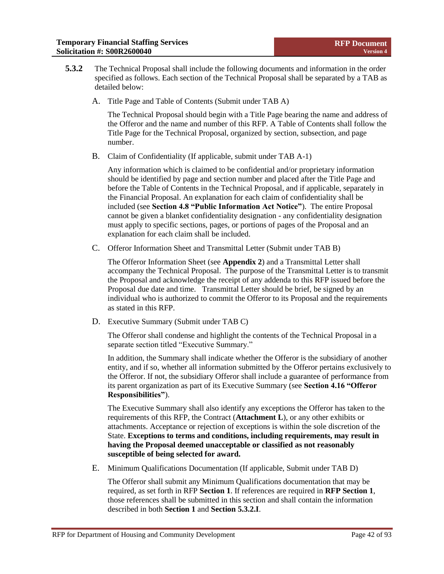- **5.3.2** The Technical Proposal shall include the following documents and information in the order specified as follows. Each section of the Technical Proposal shall be separated by a TAB as detailed below:
	- A. Title Page and Table of Contents (Submit under TAB A)

The Technical Proposal should begin with a Title Page bearing the name and address of the Offeror and the name and number of this RFP. A Table of Contents shall follow the Title Page for the Technical Proposal, organized by section, subsection, and page number.

B. Claim of Confidentiality (If applicable, submit under TAB A-1)

Any information which is claimed to be confidential and/or proprietary information should be identified by page and section number and placed after the Title Page and before the Table of Contents in the Technical Proposal, and if applicable, separately in the Financial Proposal. An explanation for each claim of confidentiality shall be included (see **Section 4.8 "Public Information Act Notice"**). The entire Proposal cannot be given a blanket confidentiality designation - any confidentiality designation must apply to specific sections, pages, or portions of pages of the Proposal and an explanation for each claim shall be included.

C. Offeror Information Sheet and Transmittal Letter (Submit under TAB B)

The Offeror Information Sheet (see **Appendix 2**) and a Transmittal Letter shall accompany the Technical Proposal. The purpose of the Transmittal Letter is to transmit the Proposal and acknowledge the receipt of any addenda to this RFP issued before the Proposal due date and time. Transmittal Letter should be brief, be signed by an individual who is authorized to commit the Offeror to its Proposal and the requirements as stated in this RFP.

D. Executive Summary (Submit under TAB C)

The Offeror shall condense and highlight the contents of the Technical Proposal in a separate section titled "Executive Summary."

In addition, the Summary shall indicate whether the Offeror is the subsidiary of another entity, and if so, whether all information submitted by the Offeror pertains exclusively to the Offeror. If not, the subsidiary Offeror shall include a guarantee of performance from its parent organization as part of its Executive Summary (see **Section 4.16 "Offeror Responsibilities"**).

The Executive Summary shall also identify any exceptions the Offeror has taken to the requirements of this RFP, the Contract (**Attachment L**), or any other exhibits or attachments. Acceptance or rejection of exceptions is within the sole discretion of the State. **Exceptions to terms and conditions, including requirements, may result in having the Proposal deemed unacceptable or classified as not reasonably susceptible of being selected for award.**

E. Minimum Qualifications Documentation (If applicable, Submit under TAB D)

The Offeror shall submit any Minimum Qualifications documentation that may be required, as set forth in RFP **Section 1**. If references are required in **RFP Section 1**, those references shall be submitted in this section and shall contain the information described in both **Section 1** and **Section 5.3.2.I**.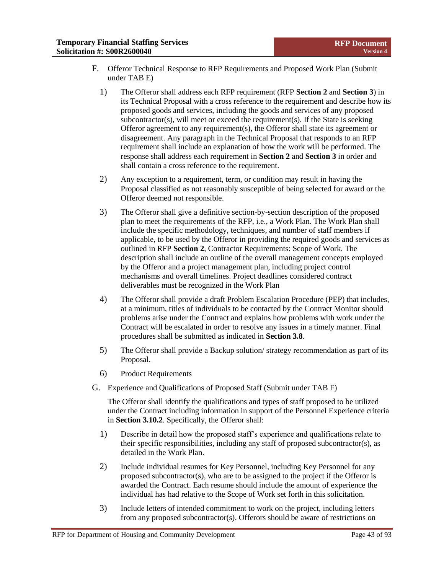- F. Offeror Technical Response to RFP Requirements and Proposed Work Plan (Submit under TAB E)
	- 1) The Offeror shall address each RFP requirement (RFP **Section 2** and **Section 3**) in its Technical Proposal with a cross reference to the requirement and describe how its proposed goods and services, including the goods and services of any proposed  $subcontractor(s)$ , will meet or exceed the requirement(s). If the State is seeking Offeror agreement to any requirement(s), the Offeror shall state its agreement or disagreement. Any paragraph in the Technical Proposal that responds to an RFP requirement shall include an explanation of how the work will be performed. The response shall address each requirement in **Section 2** and **Section 3** in order and shall contain a cross reference to the requirement.
	- 2) Any exception to a requirement, term, or condition may result in having the Proposal classified as not reasonably susceptible of being selected for award or the Offeror deemed not responsible.
	- 3) The Offeror shall give a definitive section-by-section description of the proposed plan to meet the requirements of the RFP, i.e., a Work Plan. The Work Plan shall include the specific methodology, techniques, and number of staff members if applicable, to be used by the Offeror in providing the required goods and services as outlined in RFP **Section 2**, Contractor Requirements: Scope of Work. The description shall include an outline of the overall management concepts employed by the Offeror and a project management plan, including project control mechanisms and overall timelines. Project deadlines considered contract deliverables must be recognized in the Work Plan
	- 4) The Offeror shall provide a draft Problem Escalation Procedure (PEP) that includes, at a minimum, titles of individuals to be contacted by the Contract Monitor should problems arise under the Contract and explains how problems with work under the Contract will be escalated in order to resolve any issues in a timely manner. Final procedures shall be submitted as indicated in **Section 3.8**.
	- 5) The Offeror shall provide a Backup solution/ strategy recommendation as part of its Proposal.
	- 6) Product Requirements
- G. Experience and Qualifications of Proposed Staff (Submit under TAB F)

The Offeror shall identify the qualifications and types of staff proposed to be utilized under the Contract including information in support of the Personnel Experience criteria in **Section 3.10.2**. Specifically, the Offeror shall:

- 1) Describe in detail how the proposed staff's experience and qualifications relate to their specific responsibilities, including any staff of proposed subcontractor(s), as detailed in the Work Plan.
- 2) Include individual resumes for Key Personnel, including Key Personnel for any proposed subcontractor(s), who are to be assigned to the project if the Offeror is awarded the Contract. Each resume should include the amount of experience the individual has had relative to the Scope of Work set forth in this solicitation.
- 3) Include letters of intended commitment to work on the project, including letters from any proposed subcontractor(s). Offerors should be aware of restrictions on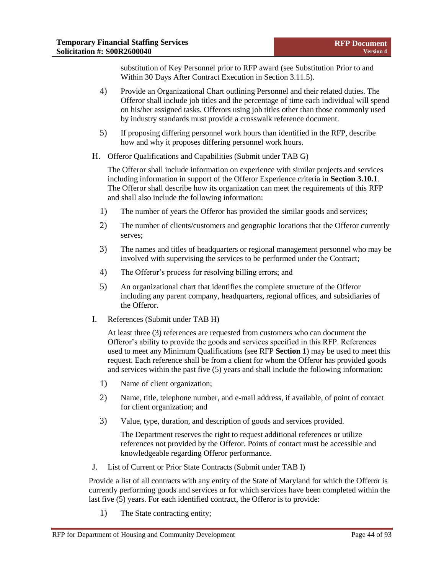substitution of Key Personnel prior to RFP award (see Substitution Prior to and Within 30 Days After Contract Execution in Section 3.11.5).

- 4) Provide an Organizational Chart outlining Personnel and their related duties. The Offeror shall include job titles and the percentage of time each individual will spend on his/her assigned tasks. Offerors using job titles other than those commonly used by industry standards must provide a crosswalk reference document.
- 5) If proposing differing personnel work hours than identified in the RFP, describe how and why it proposes differing personnel work hours.
- H. Offeror Qualifications and Capabilities (Submit under TAB G)

The Offeror shall include information on experience with similar projects and services including information in support of the Offeror Experience criteria in **Section 3.10.1**. The Offeror shall describe how its organization can meet the requirements of this RFP and shall also include the following information:

- 1) The number of years the Offeror has provided the similar goods and services;
- 2) The number of clients/customers and geographic locations that the Offeror currently serves;
- 3) The names and titles of headquarters or regional management personnel who may be involved with supervising the services to be performed under the Contract;
- 4) The Offeror's process for resolving billing errors; and
- 5) An organizational chart that identifies the complete structure of the Offeror including any parent company, headquarters, regional offices, and subsidiaries of the Offeror.
- I. References (Submit under TAB H)

At least three (3) references are requested from customers who can document the Offeror's ability to provide the goods and services specified in this RFP. References used to meet any Minimum Qualifications (see RFP **Section 1**) may be used to meet this request. Each reference shall be from a client for whom the Offeror has provided goods and services within the past five (5) years and shall include the following information:

- 1) Name of client organization;
- 2) Name, title, telephone number, and e-mail address, if available, of point of contact for client organization; and
- 3) Value, type, duration, and description of goods and services provided.

The Department reserves the right to request additional references or utilize references not provided by the Offeror. Points of contact must be accessible and knowledgeable regarding Offeror performance.

J. List of Current or Prior State Contracts (Submit under TAB I)

Provide a list of all contracts with any entity of the State of Maryland for which the Offeror is currently performing goods and services or for which services have been completed within the last five (5) years. For each identified contract, the Offeror is to provide:

1) The State contracting entity;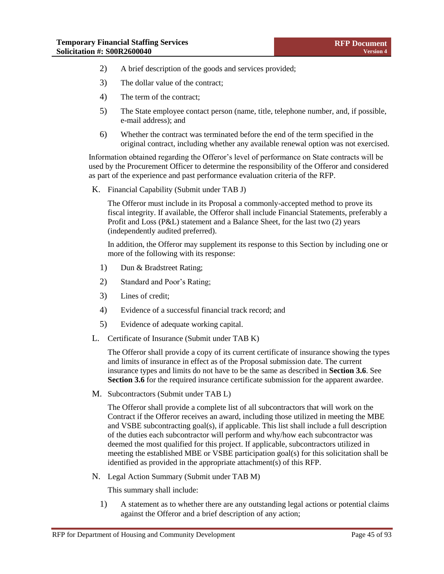- 2) A brief description of the goods and services provided;
- 3) The dollar value of the contract;
- 4) The term of the contract;
- 5) The State employee contact person (name, title, telephone number, and, if possible, e-mail address); and
- 6) Whether the contract was terminated before the end of the term specified in the original contract, including whether any available renewal option was not exercised.

Information obtained regarding the Offeror's level of performance on State contracts will be used by the Procurement Officer to determine the responsibility of the Offeror and considered as part of the experience and past performance evaluation criteria of the RFP.

K. Financial Capability (Submit under TAB J)

The Offeror must include in its Proposal a commonly-accepted method to prove its fiscal integrity. If available, the Offeror shall include Financial Statements, preferably a Profit and Loss (P&L) statement and a Balance Sheet, for the last two (2) years (independently audited preferred).

In addition, the Offeror may supplement its response to this Section by including one or more of the following with its response:

- 1) Dun & Bradstreet Rating;
- 2) Standard and Poor's Rating;
- 3) Lines of credit;
- 4) Evidence of a successful financial track record; and
- 5) Evidence of adequate working capital.
- L. Certificate of Insurance (Submit under TAB K)

The Offeror shall provide a copy of its current certificate of insurance showing the types and limits of insurance in effect as of the Proposal submission date. The current insurance types and limits do not have to be the same as described in **Section 3.6**. See **Section 3.6** for the required insurance certificate submission for the apparent awardee.

M. Subcontractors (Submit under TAB L)

The Offeror shall provide a complete list of all subcontractors that will work on the Contract if the Offeror receives an award, including those utilized in meeting the MBE and VSBE subcontracting goal(s), if applicable. This list shall include a full description of the duties each subcontractor will perform and why/how each subcontractor was deemed the most qualified for this project. If applicable, subcontractors utilized in meeting the established MBE or VSBE participation goal(s) for this solicitation shall be identified as provided in the appropriate attachment(s) of this RFP.

N. Legal Action Summary (Submit under TAB M)

This summary shall include:

1) A statement as to whether there are any outstanding legal actions or potential claims against the Offeror and a brief description of any action;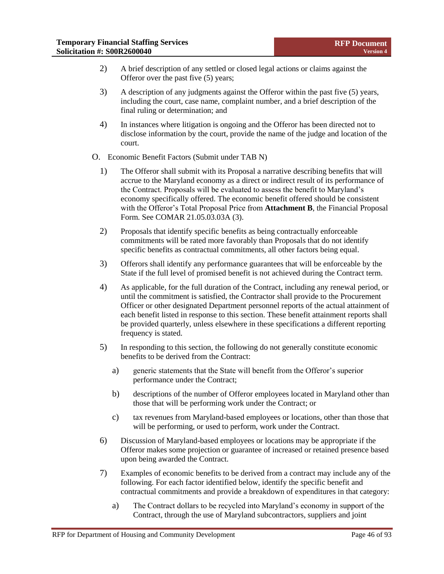- 2) A brief description of any settled or closed legal actions or claims against the Offeror over the past five (5) years;
- 3) A description of any judgments against the Offeror within the past five (5) years, including the court, case name, complaint number, and a brief description of the final ruling or determination; and
- 4) In instances where litigation is ongoing and the Offeror has been directed not to disclose information by the court, provide the name of the judge and location of the court.

O. Economic Benefit Factors (Submit under TAB N)

- 1) The Offeror shall submit with its Proposal a narrative describing benefits that will accrue to the Maryland economy as a direct or indirect result of its performance of the Contract. Proposals will be evaluated to assess the benefit to Maryland's economy specifically offered. The economic benefit offered should be consistent with the Offeror's Total Proposal Price from **Attachment B**, the Financial Proposal Form. See COMAR 21.05.03.03A (3).
- 2) Proposals that identify specific benefits as being contractually enforceable commitments will be rated more favorably than Proposals that do not identify specific benefits as contractual commitments, all other factors being equal.
- 3) Offerors shall identify any performance guarantees that will be enforceable by the State if the full level of promised benefit is not achieved during the Contract term.
- 4) As applicable, for the full duration of the Contract, including any renewal period, or until the commitment is satisfied, the Contractor shall provide to the Procurement Officer or other designated Department personnel reports of the actual attainment of each benefit listed in response to this section. These benefit attainment reports shall be provided quarterly, unless elsewhere in these specifications a different reporting frequency is stated.
- 5) In responding to this section, the following do not generally constitute economic benefits to be derived from the Contract:
	- a) generic statements that the State will benefit from the Offeror's superior performance under the Contract;
	- b) descriptions of the number of Offeror employees located in Maryland other than those that will be performing work under the Contract; or
	- c) tax revenues from Maryland-based employees or locations, other than those that will be performing, or used to perform, work under the Contract.
- 6) Discussion of Maryland-based employees or locations may be appropriate if the Offeror makes some projection or guarantee of increased or retained presence based upon being awarded the Contract.
- 7) Examples of economic benefits to be derived from a contract may include any of the following. For each factor identified below, identify the specific benefit and contractual commitments and provide a breakdown of expenditures in that category:
	- a) The Contract dollars to be recycled into Maryland's economy in support of the Contract, through the use of Maryland subcontractors, suppliers and joint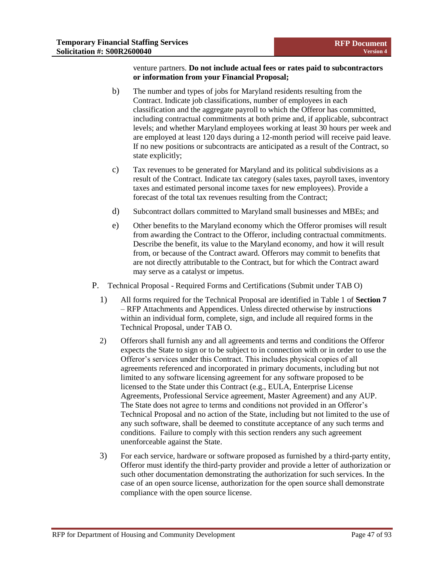venture partners. **Do not include actual fees or rates paid to subcontractors or information from your Financial Proposal;**

- b) The number and types of jobs for Maryland residents resulting from the Contract. Indicate job classifications, number of employees in each classification and the aggregate payroll to which the Offeror has committed, including contractual commitments at both prime and, if applicable, subcontract levels; and whether Maryland employees working at least 30 hours per week and are employed at least 120 days during a 12-month period will receive paid leave. If no new positions or subcontracts are anticipated as a result of the Contract, so state explicitly;
- c) Tax revenues to be generated for Maryland and its political subdivisions as a result of the Contract. Indicate tax category (sales taxes, payroll taxes, inventory taxes and estimated personal income taxes for new employees). Provide a forecast of the total tax revenues resulting from the Contract;
- d) Subcontract dollars committed to Maryland small businesses and MBEs; and
- e) Other benefits to the Maryland economy which the Offeror promises will result from awarding the Contract to the Offeror, including contractual commitments. Describe the benefit, its value to the Maryland economy, and how it will result from, or because of the Contract award. Offerors may commit to benefits that are not directly attributable to the Contract, but for which the Contract award may serve as a catalyst or impetus.
- P. Technical Proposal Required Forms and Certifications (Submit under TAB O)
	- 1) All forms required for the Technical Proposal are identified in Table 1 of **Section 7** – RFP Attachments and Appendices. Unless directed otherwise by instructions within an individual form, complete, sign, and include all required forms in the Technical Proposal, under TAB O.
	- 2) Offerors shall furnish any and all agreements and terms and conditions the Offeror expects the State to sign or to be subject to in connection with or in order to use the Offeror's services under this Contract. This includes physical copies of all agreements referenced and incorporated in primary documents, including but not limited to any software licensing agreement for any software proposed to be licensed to the State under this Contract (e.g., EULA, Enterprise License Agreements, Professional Service agreement, Master Agreement) and any AUP. The State does not agree to terms and conditions not provided in an Offeror's Technical Proposal and no action of the State, including but not limited to the use of any such software, shall be deemed to constitute acceptance of any such terms and conditions. Failure to comply with this section renders any such agreement unenforceable against the State.
	- 3) For each service, hardware or software proposed as furnished by a third-party entity, Offeror must identify the third-party provider and provide a letter of authorization or such other documentation demonstrating the authorization for such services. In the case of an open source license, authorization for the open source shall demonstrate compliance with the open source license.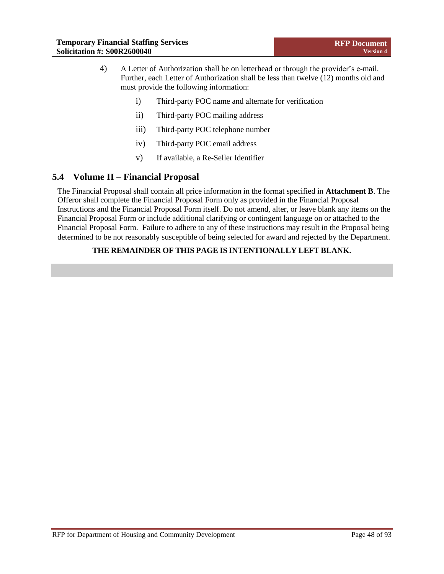- 4) A Letter of Authorization shall be on letterhead or through the provider's e-mail. Further, each Letter of Authorization shall be less than twelve (12) months old and must provide the following information:
	- i) Third-party POC name and alternate for verification
	- ii) Third-party POC mailing address
	- iii) Third-party POC telephone number
	- iv) Third-party POC email address
	- v) If available, a Re-Seller Identifier

## **5.4 Volume II – Financial Proposal**

The Financial Proposal shall contain all price information in the format specified in **Attachment B**. The Offeror shall complete the Financial Proposal Form only as provided in the Financial Proposal Instructions and the Financial Proposal Form itself. Do not amend, alter, or leave blank any items on the Financial Proposal Form or include additional clarifying or contingent language on or attached to the Financial Proposal Form. Failure to adhere to any of these instructions may result in the Proposal being determined to be not reasonably susceptible of being selected for award and rejected by the Department.

#### **THE REMAINDER OF THIS PAGE IS INTENTIONALLY LEFT BLANK.**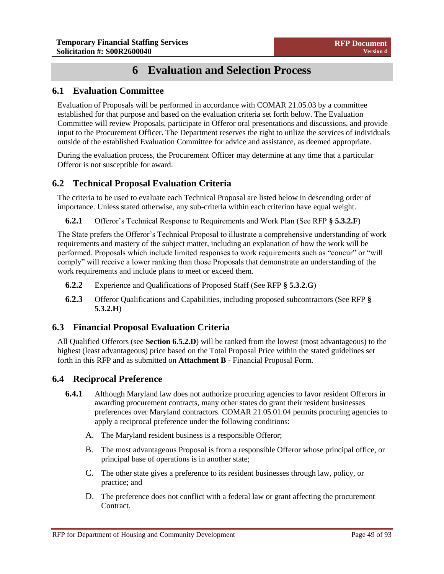# **6 Evaluation and Selection Process**

#### **6.1 Evaluation Committee**

Evaluation of Proposals will be performed in accordance with COMAR 21.05.03 by a committee established for that purpose and based on the evaluation criteria set forth below. The Evaluation Committee will review Proposals, participate in Offeror oral presentations and discussions, and provide input to the Procurement Officer. The Department reserves the right to utilize the services of individuals outside of the established Evaluation Committee for advice and assistance, as deemed appropriate.

During the evaluation process, the Procurement Officer may determine at any time that a particular Offeror is not susceptible for award.

## **6.2 Technical Proposal Evaluation Criteria**

The criteria to be used to evaluate each Technical Proposal are listed below in descending order of importance. Unless stated otherwise, any sub-criteria within each criterion have equal weight.

**6.2.1** Offeror's Technical Response to Requirements and Work Plan (See RFP **§ 5.3.2.F**)

The State prefers the Offeror's Technical Proposal to illustrate a comprehensive understanding of work requirements and mastery of the subject matter, including an explanation of how the work will be performed. Proposals which include limited responses to work requirements such as "concur" or "will comply" will receive a lower ranking than those Proposals that demonstrate an understanding of the work requirements and include plans to meet or exceed them.

- **6.2.2** Experience and Qualifications of Proposed Staff (See RFP **§ 5.3.2.G**)
- **6.2.3** Offeror Qualifications and Capabilities, including proposed subcontractors (See RFP **§ 5.3.2.H**)

## **6.3 Financial Proposal Evaluation Criteria**

All Qualified Offerors (see **Section 6.5.2.D**) will be ranked from the lowest (most advantageous) to the highest (least advantageous) price based on the Total Proposal Price within the stated guidelines set forth in this RFP and as submitted on **Attachment B** - Financial Proposal Form.

## **6.4 Reciprocal Preference**

- **6.4.1** Although Maryland law does not authorize procuring agencies to favor resident Offerors in awarding procurement contracts, many other states do grant their resident businesses preferences over Maryland contractors. COMAR 21.05.01.04 permits procuring agencies to apply a reciprocal preference under the following conditions:
	- A. The Maryland resident business is a responsible Offeror;
	- B. The most advantageous Proposal is from a responsible Offeror whose principal office, or principal base of operations is in another state;
	- C. The other state gives a preference to its resident businesses through law, policy, or practice; and
	- D. The preference does not conflict with a federal law or grant affecting the procurement Contract.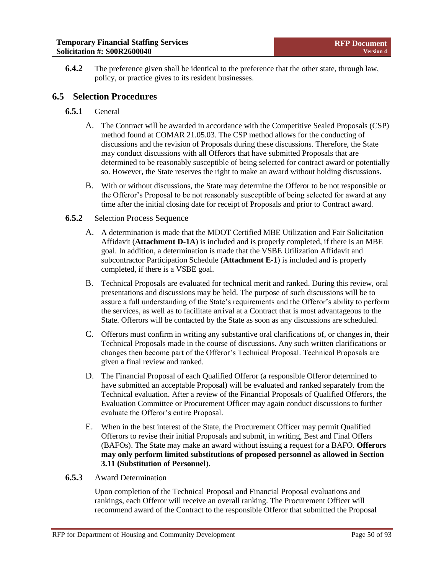**6.4.2** The preference given shall be identical to the preference that the other state, through law, policy, or practice gives to its resident businesses.

## **6.5 Selection Procedures**

#### **6.5.1** General

- A. The Contract will be awarded in accordance with the Competitive Sealed Proposals (CSP) method found at COMAR 21.05.03. The CSP method allows for the conducting of discussions and the revision of Proposals during these discussions. Therefore, the State may conduct discussions with all Offerors that have submitted Proposals that are determined to be reasonably susceptible of being selected for contract award or potentially so. However, the State reserves the right to make an award without holding discussions.
- B. With or without discussions, the State may determine the Offeror to be not responsible or the Offeror's Proposal to be not reasonably susceptible of being selected for award at any time after the initial closing date for receipt of Proposals and prior to Contract award.

#### **6.5.2** Selection Process Sequence

- A. A determination is made that the MDOT Certified MBE Utilization and Fair Solicitation Affidavit (**Attachment D-1A**) is included and is properly completed, if there is an MBE goal. In addition, a determination is made that the VSBE Utilization Affidavit and subcontractor Participation Schedule (**Attachment E-1**) is included and is properly completed, if there is a VSBE goal.
- B. Technical Proposals are evaluated for technical merit and ranked. During this review, oral presentations and discussions may be held. The purpose of such discussions will be to assure a full understanding of the State's requirements and the Offeror's ability to perform the services, as well as to facilitate arrival at a Contract that is most advantageous to the State. Offerors will be contacted by the State as soon as any discussions are scheduled.
- C. Offerors must confirm in writing any substantive oral clarifications of, or changes in, their Technical Proposals made in the course of discussions. Any such written clarifications or changes then become part of the Offeror's Technical Proposal. Technical Proposals are given a final review and ranked.
- D. The Financial Proposal of each Qualified Offeror (a responsible Offeror determined to have submitted an acceptable Proposal) will be evaluated and ranked separately from the Technical evaluation. After a review of the Financial Proposals of Qualified Offerors, the Evaluation Committee or Procurement Officer may again conduct discussions to further evaluate the Offeror's entire Proposal.
- E. When in the best interest of the State, the Procurement Officer may permit Qualified Offerors to revise their initial Proposals and submit, in writing, Best and Final Offers (BAFOs). The State may make an award without issuing a request for a BAFO. **Offerors may only perform limited substitutions of proposed personnel as allowed in Section 3.11 (Substitution of Personnel**).
- **6.5.3** Award Determination

Upon completion of the Technical Proposal and Financial Proposal evaluations and rankings, each Offeror will receive an overall ranking. The Procurement Officer will recommend award of the Contract to the responsible Offeror that submitted the Proposal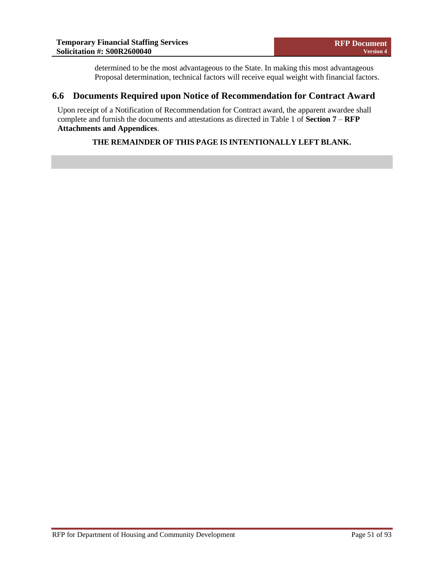determined to be the most advantageous to the State. In making this most advantageous Proposal determination, technical factors will receive equal weight with financial factors.

#### **6.6 Documents Required upon Notice of Recommendation for Contract Award**

Upon receipt of a Notification of Recommendation for Contract award, the apparent awardee shall complete and furnish the documents and attestations as directed in Table 1 of **Section 7** – **RFP Attachments and Appendices**.

#### **THE REMAINDER OF THIS PAGE IS INTENTIONALLY LEFT BLANK.**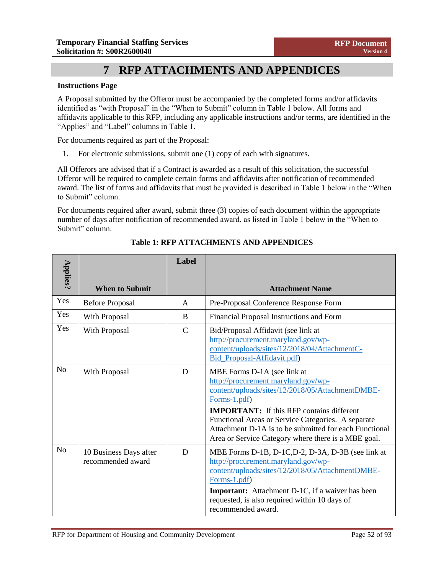# **7 RFP ATTACHMENTS AND APPENDICES**

#### **Instructions Page**

A Proposal submitted by the Offeror must be accompanied by the completed forms and/or affidavits identified as "with Proposal" in the "When to Submit" column in Table 1 below. All forms and affidavits applicable to this RFP, including any applicable instructions and/or terms, are identified in the "Applies" and "Label" columns in Table 1.

For documents required as part of the Proposal:

1. For electronic submissions, submit one (1) copy of each with signatures.

All Offerors are advised that if a Contract is awarded as a result of this solicitation, the successful Offeror will be required to complete certain forms and affidavits after notification of recommended award. The list of forms and affidavits that must be provided is described in Table 1 below in the "When to Submit" column.

For documents required after award, submit three (3) copies of each document within the appropriate number of days after notification of recommended award, as listed in Table 1 below in the "When to Submit" column.

| Applies?       |                                             | Label         |                                                                                                                                                                                                                                                                                                                                                                   |  |
|----------------|---------------------------------------------|---------------|-------------------------------------------------------------------------------------------------------------------------------------------------------------------------------------------------------------------------------------------------------------------------------------------------------------------------------------------------------------------|--|
|                | <b>When to Submit</b>                       |               | <b>Attachment Name</b>                                                                                                                                                                                                                                                                                                                                            |  |
| Yes            | <b>Before Proposal</b>                      | $\mathsf{A}$  | Pre-Proposal Conference Response Form                                                                                                                                                                                                                                                                                                                             |  |
| Yes            | With Proposal                               | <sub>B</sub>  | Financial Proposal Instructions and Form                                                                                                                                                                                                                                                                                                                          |  |
| Yes            | With Proposal                               | $\mathcal{C}$ | Bid/Proposal Affidavit (see link at<br>http://procurement.maryland.gov/wp-<br>content/uploads/sites/12/2018/04/AttachmentC-<br>Bid_Proposal-Affidavit.pdf)                                                                                                                                                                                                        |  |
| No             | With Proposal                               | D             | MBE Forms D-1A (see link at<br>http://procurement.maryland.gov/wp-<br>content/uploads/sites/12/2018/05/AttachmentDMBE-<br>Forms-1.pdf)<br><b>IMPORTANT:</b> If this RFP contains different<br>Functional Areas or Service Categories. A separate<br>Attachment D-1A is to be submitted for each Functional<br>Area or Service Category where there is a MBE goal. |  |
| N <sub>0</sub> | 10 Business Days after<br>recommended award | D             | MBE Forms D-1B, D-1C, D-2, D-3A, D-3B (see link at<br>http://procurement.maryland.gov/wp-<br>content/uploads/sites/12/2018/05/AttachmentDMBE-<br>Forms-1.pdf)<br><b>Important:</b> Attachment D-1C, if a waiver has been<br>requested, is also required within 10 days of<br>recommended award.                                                                   |  |

**Table 1: RFP ATTACHMENTS AND APPENDICES**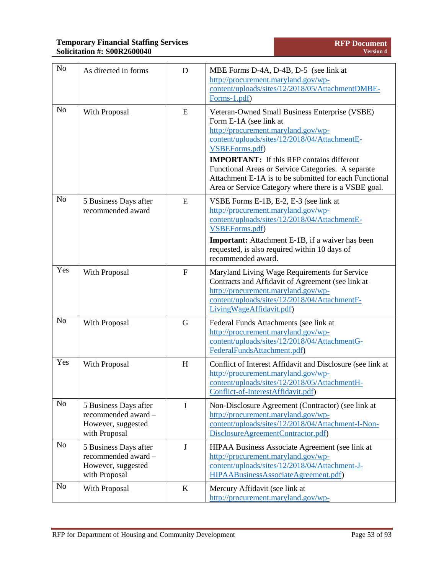| N <sub>o</sub> | As directed in forms                                                                | D           | MBE Forms D-4A, D-4B, D-5 (see link at<br>http://procurement.maryland.gov/wp-<br>content/uploads/sites/12/2018/05/AttachmentDMBE-<br>Forms-1.pdf)                                                                        |
|----------------|-------------------------------------------------------------------------------------|-------------|--------------------------------------------------------------------------------------------------------------------------------------------------------------------------------------------------------------------------|
| N <sub>0</sub> | With Proposal                                                                       | E           | Veteran-Owned Small Business Enterprise (VSBE)<br>Form E-1A (see link at<br>http://procurement.maryland.gov/wp-<br>content/uploads/sites/12/2018/04/AttachmentE-<br><b>VSBEForms.pdf)</b>                                |
|                |                                                                                     |             | <b>IMPORTANT:</b> If this RFP contains different<br>Functional Areas or Service Categories. A separate<br>Attachment E-1A is to be submitted for each Functional<br>Area or Service Category where there is a VSBE goal. |
| N <sub>o</sub> | 5 Business Days after<br>recommended award                                          | E           | VSBE Forms E-1B, E-2, E-3 (see link at<br>http://procurement.maryland.gov/wp-<br>content/uploads/sites/12/2018/04/AttachmentE-<br><b>VSBEForms.pdf</b> )                                                                 |
|                |                                                                                     |             | <b>Important:</b> Attachment E-1B, if a waiver has been<br>requested, is also required within 10 days of<br>recommended award.                                                                                           |
| Yes            | With Proposal                                                                       | F           | Maryland Living Wage Requirements for Service<br>Contracts and Affidavit of Agreement (see link at<br>http://procurement.maryland.gov/wp-<br>content/uploads/sites/12/2018/04/AttachmentF-<br>LivingWageAffidavit.pdf)   |
| N <sub>o</sub> | With Proposal                                                                       | G           | Federal Funds Attachments (see link at<br>http://procurement.maryland.gov/wp-<br>content/uploads/sites/12/2018/04/AttachmentG-<br>FederalFundsAttachment.pdf)                                                            |
| Yes            | With Proposal                                                                       | H           | Conflict of Interest Affidavit and Disclosure (see link at<br>http://procurement.maryland.gov/wp-<br>content/uploads/sites/12/2018/05/AttachmentH-<br>Conflict-of-InterestAffidavit.pdf)                                 |
| No             | 5 Business Days after<br>recommended award -<br>However, suggested<br>with Proposal | $\mathbf I$ | Non-Disclosure Agreement (Contractor) (see link at<br>http://procurement.maryland.gov/wp-<br>content/uploads/sites/12/2018/04/Attachment-I-Non-<br>DisclosureAgreementContractor.pdf)                                    |
| N <sub>o</sub> | 5 Business Days after<br>recommended award -<br>However, suggested<br>with Proposal | J           | HIPAA Business Associate Agreement (see link at<br>http://procurement.maryland.gov/wp-<br>content/uploads/sites/12/2018/04/Attachment-J-<br>HIPAABusinessAssociateAgreement.pdf)                                         |
| N <sub>o</sub> | With Proposal                                                                       | $\bf K$     | Mercury Affidavit (see link at<br>http://procurement.maryland.gov/wp-                                                                                                                                                    |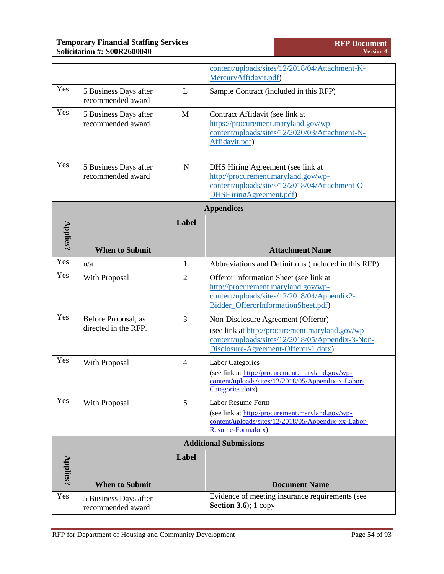|                               |                                             |                | content/uploads/sites/12/2018/04/Attachment-K-<br>MercuryAffidavit.pdf)                                                                                                            |  |  |  |
|-------------------------------|---------------------------------------------|----------------|------------------------------------------------------------------------------------------------------------------------------------------------------------------------------------|--|--|--|
| Yes                           | 5 Business Days after<br>recommended award  | L              | Sample Contract (included in this RFP)                                                                                                                                             |  |  |  |
| Yes                           | 5 Business Days after<br>recommended award  | M              | Contract Affidavit (see link at<br>https://procurement.maryland.gov/wp-<br>content/uploads/sites/12/2020/03/Attachment-N-<br>Affidavit.pdf)                                        |  |  |  |
| Yes                           | 5 Business Days after<br>recommended award  | $\mathbf N$    | DHS Hiring Agreement (see link at<br>http://procurement.maryland.gov/wp-<br>content/uploads/sites/12/2018/04/Attachment-O-<br>DHSHiringAgreement.pdf)                              |  |  |  |
|                               |                                             |                | <b>Appendices</b>                                                                                                                                                                  |  |  |  |
| Applies?                      | <b>When to Submit</b>                       | Label          | <b>Attachment Name</b>                                                                                                                                                             |  |  |  |
| Yes                           | n/a                                         | $\mathbf{1}$   | Abbreviations and Definitions (included in this RFP)                                                                                                                               |  |  |  |
| Yes                           | With Proposal                               | $\overline{2}$ | Offeror Information Sheet (see link at<br>http://procurement.maryland.gov/wp-<br>content/uploads/sites/12/2018/04/Appendix2-<br>Bidder_OfferorInformationSheet.pdf)                |  |  |  |
| Yes                           | Before Proposal, as<br>directed in the RFP. | 3              | Non-Disclosure Agreement (Offeror)<br>(see link at http://procurement.maryland.gov/wp-<br>content/uploads/sites/12/2018/05/Appendix-3-Non-<br>Disclosure-Agreement-Offeror-1.dotx) |  |  |  |
| Yes                           | With Proposal                               | $\overline{4}$ | <b>Labor Categories</b><br>(see link at http://procurement.maryland.gov/wp-<br>content/uploads/sites/12/2018/05/Appendix-x-Labor-<br>Categories.dotx)                              |  |  |  |
| Yes                           | With Proposal                               | 5              | Labor Resume Form<br>(see link at http://procurement.maryland.gov/wp-<br>content/uploads/sites/12/2018/05/Appendix-xx-Labor-<br>Resume-Form.dotx)                                  |  |  |  |
| <b>Additional Submissions</b> |                                             |                |                                                                                                                                                                                    |  |  |  |
| $\Delta$ pplies?              | <b>When to Submit</b>                       | Label          | <b>Document Name</b>                                                                                                                                                               |  |  |  |
| Yes                           | 5 Business Days after<br>recommended award  |                | Evidence of meeting insurance requirements (see<br><b>Section 3.6</b> ); $1$ copy                                                                                                  |  |  |  |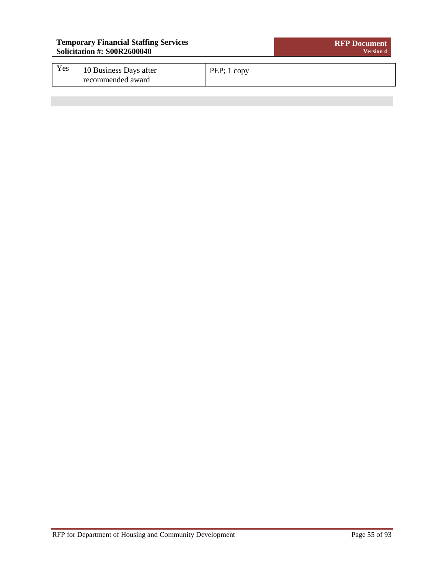|     | <b>Temporary Financial Staffing Services</b><br><b>Solicitation #: S00R2600040</b> | <b>RFP Document</b><br><b>Version 4</b> |                |  |
|-----|------------------------------------------------------------------------------------|-----------------------------------------|----------------|--|
| Yes | 10 Business Days after<br>recommended award                                        |                                         | $PEP$ ; 1 copy |  |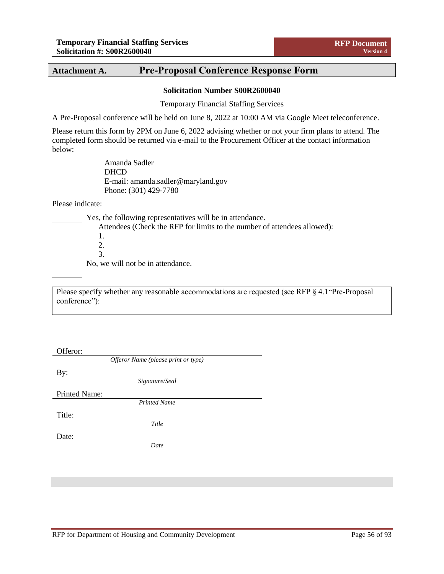## **Attachment A. Pre-Proposal Conference Response Form**

#### **Solicitation Number S00R2600040**

Temporary Financial Staffing Services

A Pre-Proposal conference will be held on June 8, 2022 at 10:00 AM via Google Meet teleconference.

Please return this form by 2PM on June 6, 2022 advising whether or not your firm plans to attend. The completed form should be returned via e-mail to the Procurement Officer at the contact information below:

> Amanda Sadler DHCD E-mail: amanda.sadler@maryland.gov Phone: (301) 429-7780

Please indicate:

Yes, the following representatives will be in attendance.

- Attendees (Check the RFP for limits to the number of attendees allowed):
- 1. 2.
- 3.

No, we will not be in attendance.

Please specify whether any reasonable accommodations are requested (see RFP § 4.1"Pre-Proposal conference"):

Offeror:

*Offeror Name (please print or type)* By: *Signature/Seal* Printed Name: *Printed Name* Title: *Title* Date: *Date*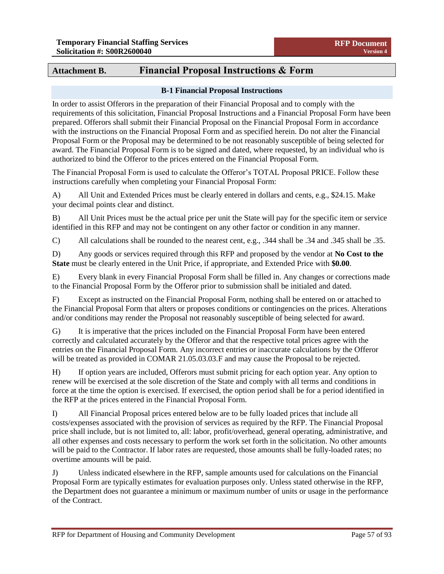## **Attachment B. Financial Proposal Instructions & Form**

#### **B-1 Financial Proposal Instructions**

In order to assist Offerors in the preparation of their Financial Proposal and to comply with the requirements of this solicitation, Financial Proposal Instructions and a Financial Proposal Form have been prepared. Offerors shall submit their Financial Proposal on the Financial Proposal Form in accordance with the instructions on the Financial Proposal Form and as specified herein. Do not alter the Financial Proposal Form or the Proposal may be determined to be not reasonably susceptible of being selected for award. The Financial Proposal Form is to be signed and dated, where requested, by an individual who is authorized to bind the Offeror to the prices entered on the Financial Proposal Form.

The Financial Proposal Form is used to calculate the Offeror's TOTAL Proposal PRICE. Follow these instructions carefully when completing your Financial Proposal Form:

A) All Unit and Extended Prices must be clearly entered in dollars and cents, e.g., \$24.15. Make your decimal points clear and distinct.

B) All Unit Prices must be the actual price per unit the State will pay for the specific item or service identified in this RFP and may not be contingent on any other factor or condition in any manner.

C) All calculations shall be rounded to the nearest cent, e.g., .344 shall be .34 and .345 shall be .35.

D) Any goods or services required through this RFP and proposed by the vendor at **No Cost to the State** must be clearly entered in the Unit Price, if appropriate, and Extended Price with **\$0.00**.

E) Every blank in every Financial Proposal Form shall be filled in. Any changes or corrections made to the Financial Proposal Form by the Offeror prior to submission shall be initialed and dated.

F) Except as instructed on the Financial Proposal Form, nothing shall be entered on or attached to the Financial Proposal Form that alters or proposes conditions or contingencies on the prices. Alterations and/or conditions may render the Proposal not reasonably susceptible of being selected for award.

G) It is imperative that the prices included on the Financial Proposal Form have been entered correctly and calculated accurately by the Offeror and that the respective total prices agree with the entries on the Financial Proposal Form. Any incorrect entries or inaccurate calculations by the Offeror will be treated as provided in COMAR 21.05.03.03.F and may cause the Proposal to be rejected.

H) If option years are included, Offerors must submit pricing for each option year. Any option to renew will be exercised at the sole discretion of the State and comply with all terms and conditions in force at the time the option is exercised. If exercised, the option period shall be for a period identified in the RFP at the prices entered in the Financial Proposal Form.

I) All Financial Proposal prices entered below are to be fully loaded prices that include all costs/expenses associated with the provision of services as required by the RFP. The Financial Proposal price shall include, but is not limited to, all: labor, profit/overhead, general operating, administrative, and all other expenses and costs necessary to perform the work set forth in the solicitation. No other amounts will be paid to the Contractor. If labor rates are requested, those amounts shall be fully-loaded rates; no overtime amounts will be paid.

J) Unless indicated elsewhere in the RFP, sample amounts used for calculations on the Financial Proposal Form are typically estimates for evaluation purposes only. Unless stated otherwise in the RFP, the Department does not guarantee a minimum or maximum number of units or usage in the performance of the Contract.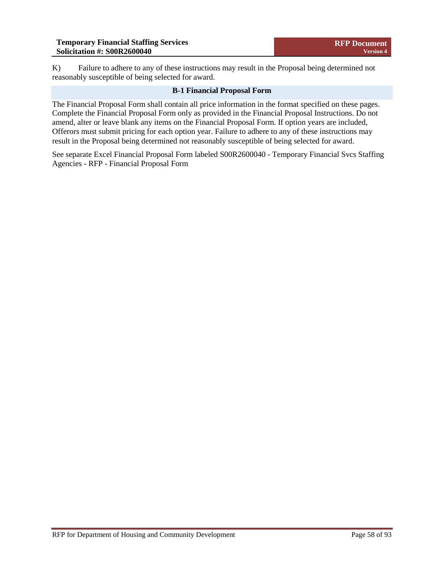K) Failure to adhere to any of these instructions may result in the Proposal being determined not reasonably susceptible of being selected for award.

#### **B-1 Financial Proposal Form**

The Financial Proposal Form shall contain all price information in the format specified on these pages. Complete the Financial Proposal Form only as provided in the Financial Proposal Instructions. Do not amend, alter or leave blank any items on the Financial Proposal Form. If option years are included, Offerors must submit pricing for each option year. Failure to adhere to any of these instructions may result in the Proposal being determined not reasonably susceptible of being selected for award.

See separate Excel Financial Proposal Form labeled S00R2600040 - Temporary Financial Svcs Staffing Agencies - RFP - Financial Proposal Form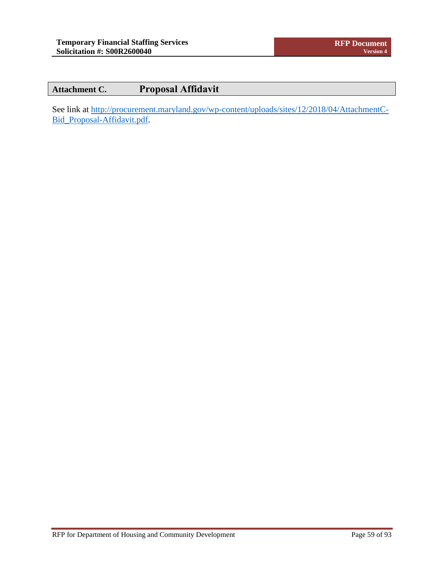## **Attachment C. Proposal Affidavit**

See link at [http://procurement.maryland.gov/wp-content/uploads/sites/12/2018/04/AttachmentC-](http://procurement.maryland.gov/wp-content/uploads/sites/12/2018/04/AttachmentC-Bid_Proposal-Affidavit.pdf)[Bid\\_Proposal-Affidavit.pdf.](http://procurement.maryland.gov/wp-content/uploads/sites/12/2018/04/AttachmentC-Bid_Proposal-Affidavit.pdf)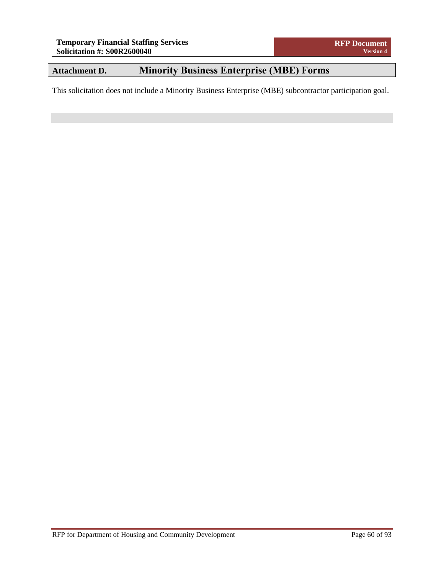## **Attachment D. Minority Business Enterprise (MBE) Forms**

This solicitation does not include a Minority Business Enterprise (MBE) subcontractor participation goal.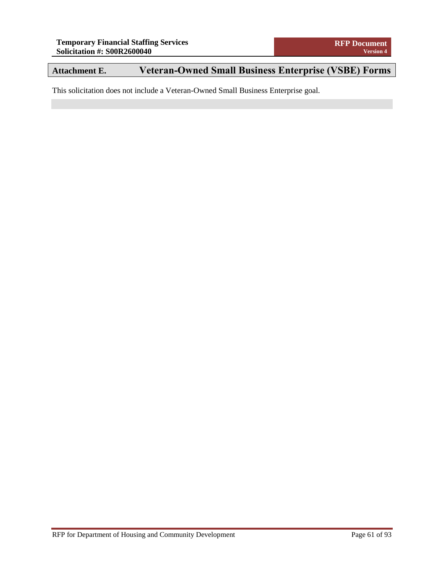**Attachment E. Veteran-Owned Small Business Enterprise (VSBE) Forms**

This solicitation does not include a Veteran-Owned Small Business Enterprise goal.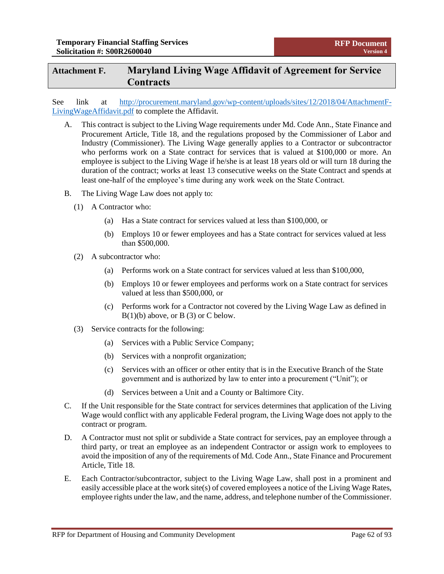## **Attachment F. Maryland Living Wage Affidavit of Agreement for Service Contracts**

See link at [http://procurement.maryland.gov/wp-content/uploads/sites/12/2018/04/AttachmentF-](http://procurement.maryland.gov/wp-content/uploads/sites/12/2018/04/AttachmentF-LivingWageAffidavit.pdf)[LivingWageAffidavit.pdf](http://procurement.maryland.gov/wp-content/uploads/sites/12/2018/04/AttachmentF-LivingWageAffidavit.pdf) to complete the Affidavit.

- A. This contract is subject to the Living Wage requirements under Md. Code Ann., State Finance and Procurement Article, Title 18, and the regulations proposed by the Commissioner of Labor and Industry (Commissioner). The Living Wage generally applies to a Contractor or subcontractor who performs work on a State contract for services that is valued at \$100,000 or more. An employee is subject to the Living Wage if he/she is at least 18 years old or will turn 18 during the duration of the contract; works at least 13 consecutive weeks on the State Contract and spends at least one-half of the employee's time during any work week on the State Contract.
- B. The Living Wage Law does not apply to:
	- (1) A Contractor who:
		- (a) Has a State contract for services valued at less than \$100,000, or
		- (b) Employs 10 or fewer employees and has a State contract for services valued at less than \$500,000.
	- (2) A subcontractor who:
		- (a) Performs work on a State contract for services valued at less than \$100,000,
		- (b) Employs 10 or fewer employees and performs work on a State contract for services valued at less than \$500,000, or
		- (c) Performs work for a Contractor not covered by the Living Wage Law as defined in  $B(1)(b)$  above, or  $B(3)$  or C below.
	- (3) Service contracts for the following:
		- (a) Services with a Public Service Company;
		- (b) Services with a nonprofit organization;
		- (c) Services with an officer or other entity that is in the Executive Branch of the State government and is authorized by law to enter into a procurement ("Unit"); or
		- (d) Services between a Unit and a County or Baltimore City.
- C. If the Unit responsible for the State contract for services determines that application of the Living Wage would conflict with any applicable Federal program, the Living Wage does not apply to the contract or program.
- D. A Contractor must not split or subdivide a State contract for services, pay an employee through a third party, or treat an employee as an independent Contractor or assign work to employees to avoid the imposition of any of the requirements of Md. Code Ann., State Finance and Procurement Article, Title 18.
- E. Each Contractor/subcontractor, subject to the Living Wage Law, shall post in a prominent and easily accessible place at the work site(s) of covered employees a notice of the Living Wage Rates, employee rights under the law, and the name, address, and telephone number of the Commissioner.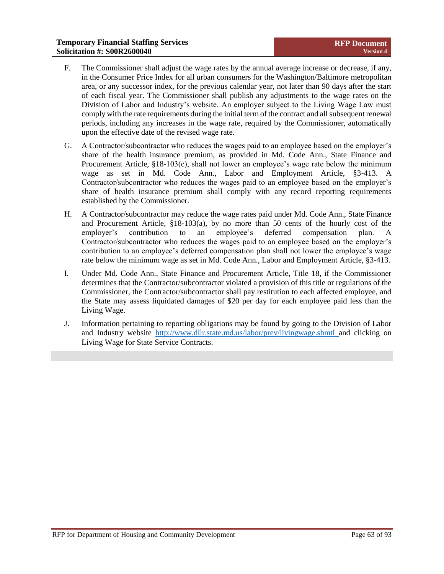- F. The Commissioner shall adjust the wage rates by the annual average increase or decrease, if any, in the Consumer Price Index for all urban consumers for the Washington/Baltimore metropolitan area, or any successor index, for the previous calendar year, not later than 90 days after the start of each fiscal year. The Commissioner shall publish any adjustments to the wage rates on the Division of Labor and Industry's website. An employer subject to the Living Wage Law must comply with the rate requirements during the initial term of the contract and all subsequent renewal periods, including any increases in the wage rate, required by the Commissioner, automatically upon the effective date of the revised wage rate.
- G. A Contractor/subcontractor who reduces the wages paid to an employee based on the employer's share of the health insurance premium, as provided in Md. Code Ann., State Finance and Procurement Article, §18-103(c), shall not lower an employee's wage rate below the minimum wage as set in Md. Code Ann., Labor and Employment Article, §3-413. A Contractor/subcontractor who reduces the wages paid to an employee based on the employer's share of health insurance premium shall comply with any record reporting requirements established by the Commissioner.
- H. A Contractor/subcontractor may reduce the wage rates paid under Md. Code Ann., State Finance and Procurement Article, §18-103(a), by no more than 50 cents of the hourly cost of the employer's contribution to an employee's deferred compensation plan. A Contractor/subcontractor who reduces the wages paid to an employee based on the employer's contribution to an employee's deferred compensation plan shall not lower the employee's wage rate below the minimum wage as set in Md. Code Ann., Labor and Employment Article, §3-413.
- I. Under Md. Code Ann., State Finance and Procurement Article, Title 18, if the Commissioner determines that the Contractor/subcontractor violated a provision of this title or regulations of the Commissioner, the Contractor/subcontractor shall pay restitution to each affected employee, and the State may assess liquidated damages of \$20 per day for each employee paid less than the Living Wage.
- J. Information pertaining to reporting obligations may be found by going to the Division of Labor and Industry website <http://www.dllr.state.md.us/labor/prev/livingwage.shmtl> and clicking on Living Wage for State Service Contracts.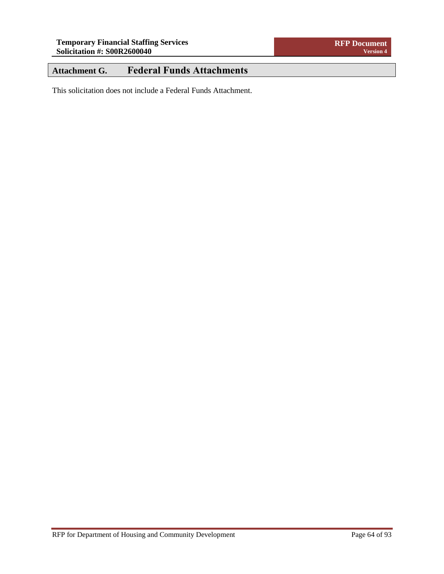## **Attachment G. Federal Funds Attachments**

This solicitation does not include a Federal Funds Attachment.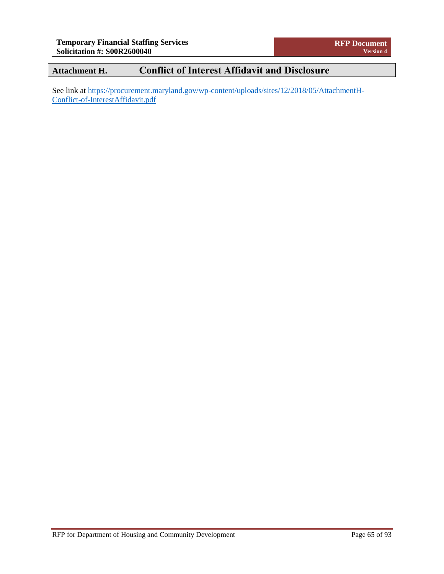# **Attachment H. Conflict of Interest Affidavit and Disclosure**

See link at [https://procurement.maryland.gov/wp-content/uploads/sites/12/2018/05/AttachmentH-](https://procurement.maryland.gov/wp-content/uploads/sites/12/2018/05/AttachmentH-Conflict-of-InterestAffidavit.pdf)[Conflict-of-InterestAffidavit.pdf](https://procurement.maryland.gov/wp-content/uploads/sites/12/2018/05/AttachmentH-Conflict-of-InterestAffidavit.pdf)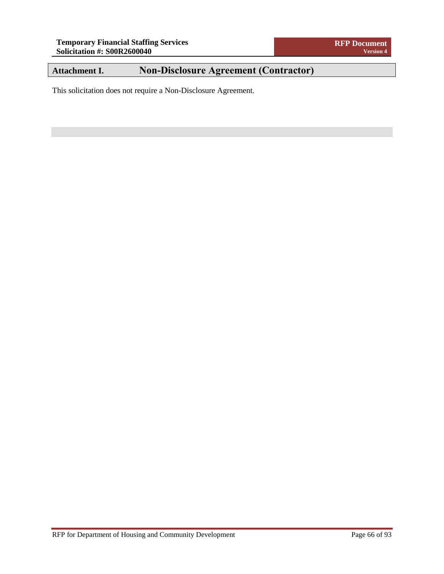## **Attachment I. Non-Disclosure Agreement (Contractor)**

This solicitation does not require a Non-Disclosure Agreement.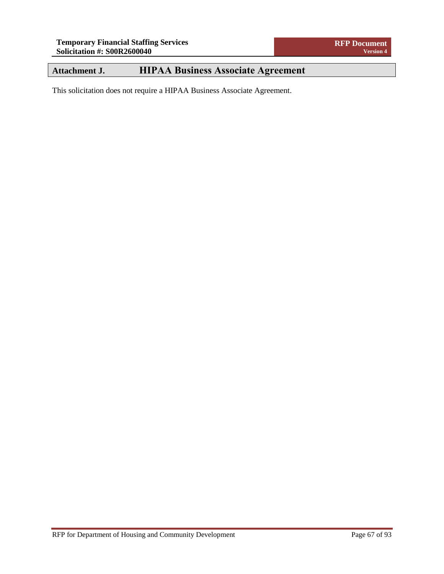## **Attachment J. HIPAA Business Associate Agreement**

This solicitation does not require a HIPAA Business Associate Agreement.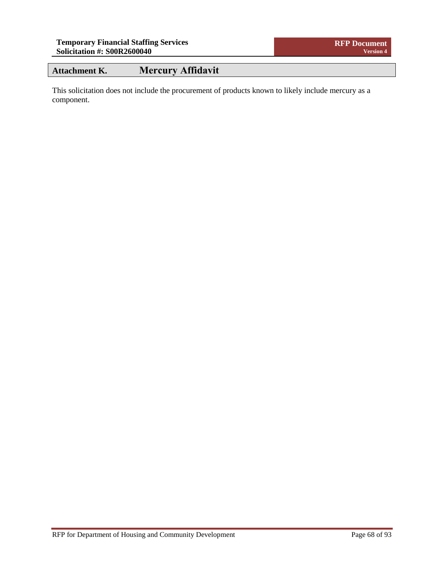## **Attachment K. Mercury Affidavit**

This solicitation does not include the procurement of products known to likely include mercury as a component.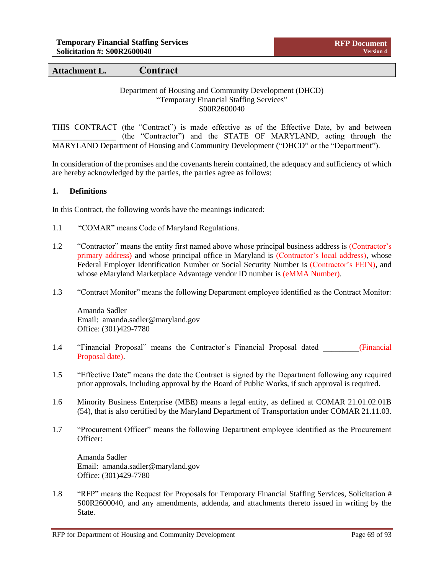**Attachment L. Contract**

#### Department of Housing and Community Development (DHCD) "Temporary Financial Staffing Services" S00R2600040

THIS CONTRACT (the "Contract") is made effective as of the Effective Date, by and between \_\_\_\_\_\_\_\_\_\_\_\_\_\_\_\_ (the "Contractor") and the STATE OF MARYLAND, acting through the MARYLAND Department of Housing and Community Development ("DHCD" or the "Department").

In consideration of the promises and the covenants herein contained, the adequacy and sufficiency of which are hereby acknowledged by the parties, the parties agree as follows:

#### **1. Definitions**

In this Contract, the following words have the meanings indicated:

- 1.1 "COMAR" means Code of Maryland Regulations.
- 1.2 "Contractor" means the entity first named above whose principal business address is (Contractor's primary address) and whose principal office in Maryland is (Contractor's local address), whose Federal Employer Identification Number or Social Security Number is (Contractor's FEIN), and whose eMaryland Marketplace Advantage vendor ID number is (eMMA Number).
- 1.3 "Contract Monitor" means the following Department employee identified as the Contract Monitor:

Amanda Sadler Email: amanda.sadler@maryland.gov Office: (301)429-7780

- 1.4 "Financial Proposal" means the Contractor's Financial Proposal dated (Financial Proposal date).
- 1.5 "Effective Date" means the date the Contract is signed by the Department following any required prior approvals, including approval by the Board of Public Works, if such approval is required.
- 1.6 Minority Business Enterprise (MBE) means a legal entity, as defined at COMAR 21.01.02.01B (54), that is also certified by the Maryland Department of Transportation under COMAR 21.11.03.
- 1.7 "Procurement Officer" means the following Department employee identified as the Procurement Officer:

Amanda Sadler Email: amanda.sadler@maryland.gov Office: (301)429-7780

1.8 "RFP" means the Request for Proposals for Temporary Financial Staffing Services, Solicitation # S00R2600040, and any amendments, addenda, and attachments thereto issued in writing by the State.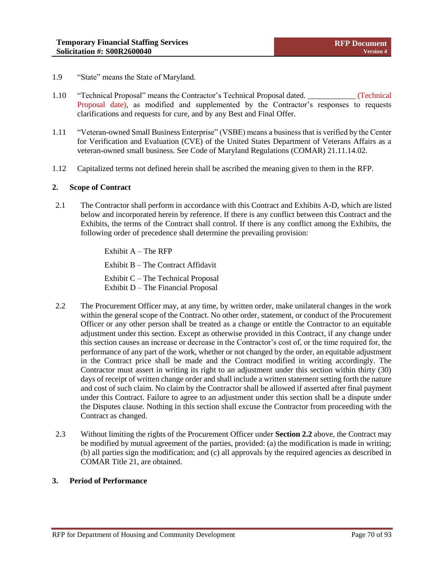- 1.9 "State" means the State of Maryland.
- 1.10 "Technical Proposal" means the Contractor's Technical Proposal dated. \_\_\_\_\_\_\_\_\_\_\_\_ (Technical Proposal date), as modified and supplemented by the Contractor's responses to requests clarifications and requests for cure, and by any Best and Final Offer.
- 1.11 "Veteran-owned Small Business Enterprise" (VSBE) means a business that is verified by the Center for Verification and Evaluation (CVE) of the United States Department of Veterans Affairs as a veteran-owned small business. See Code of Maryland Regulations (COMAR) 21.11.14.02.
- 1.12 Capitalized terms not defined herein shall be ascribed the meaning given to them in the RFP.

#### **2. Scope of Contract**

2.1 The Contractor shall perform in accordance with this Contract and Exhibits A-D, which are listed below and incorporated herein by reference. If there is any conflict between this Contract and the Exhibits, the terms of the Contract shall control. If there is any conflict among the Exhibits, the following order of precedence shall determine the prevailing provision:

Exhibit  $A$  – The RFP

Exhibit B – The Contract Affidavit

Exhibit C – The Technical Proposal Exhibit D – The Financial Proposal

- 2.2 The Procurement Officer may, at any time, by written order, make unilateral changes in the work within the general scope of the Contract. No other order, statement, or conduct of the Procurement Officer or any other person shall be treated as a change or entitle the Contractor to an equitable adjustment under this section. Except as otherwise provided in this Contract, if any change under this section causes an increase or decrease in the Contractor's cost of, or the time required for, the performance of any part of the work, whether or not changed by the order, an equitable adjustment in the Contract price shall be made and the Contract modified in writing accordingly. The Contractor must assert in writing its right to an adjustment under this section within thirty (30) days of receipt of written change order and shall include a written statement setting forth the nature and cost of such claim. No claim by the Contractor shall be allowed if asserted after final payment under this Contract. Failure to agree to an adjustment under this section shall be a dispute under the Disputes clause. Nothing in this section shall excuse the Contractor from proceeding with the Contract as changed.
- 2.3 Without limiting the rights of the Procurement Officer under **Section 2.2** above, the Contract may be modified by mutual agreement of the parties, provided: (a) the modification is made in writing; (b) all parties sign the modification; and (c) all approvals by the required agencies as described in COMAR Title 21, are obtained.

#### **3. Period of Performance**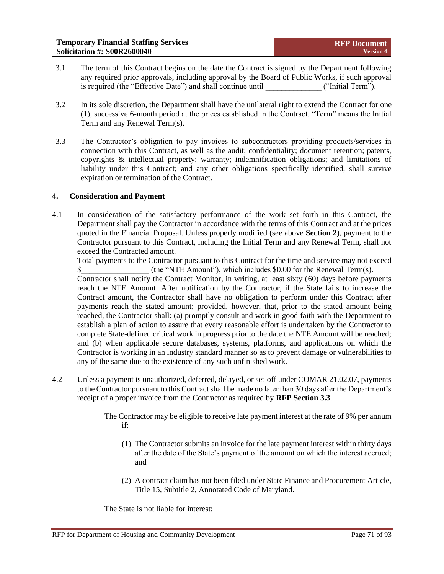- 3.1 The term of this Contract begins on the date the Contract is signed by the Department following any required prior approvals, including approval by the Board of Public Works, if such approval is required (the "Effective Date") and shall continue until ("Initial Term").
- 3.2 In its sole discretion, the Department shall have the unilateral right to extend the Contract for one (1), successive 6-month period at the prices established in the Contract. "Term" means the Initial Term and any Renewal Term(s).
- 3.3 The Contractor's obligation to pay invoices to subcontractors providing products/services in connection with this Contract, as well as the audit; confidentiality; document retention; patents, copyrights & intellectual property; warranty; indemnification obligations; and limitations of liability under this Contract; and any other obligations specifically identified, shall survive expiration or termination of the Contract.

#### **4. Consideration and Payment**

4.1 In consideration of the satisfactory performance of the work set forth in this Contract, the Department shall pay the Contractor in accordance with the terms of this Contract and at the prices quoted in the Financial Proposal. Unless properly modified (see above **Section 2**), payment to the Contractor pursuant to this Contract, including the Initial Term and any Renewal Term, shall not exceed the Contracted amount.

Total payments to the Contractor pursuant to this Contract for the time and service may not exceed \$ (the "NTE Amount"), which includes \$0.00 for the Renewal Term(s).

Contractor shall notify the Contract Monitor, in writing, at least sixty (60) days before payments reach the NTE Amount. After notification by the Contractor, if the State fails to increase the Contract amount, the Contractor shall have no obligation to perform under this Contract after payments reach the stated amount; provided, however, that, prior to the stated amount being reached, the Contractor shall: (a) promptly consult and work in good faith with the Department to establish a plan of action to assure that every reasonable effort is undertaken by the Contractor to complete State-defined critical work in progress prior to the date the NTE Amount will be reached; and (b) when applicable secure databases, systems, platforms, and applications on which the Contractor is working in an industry standard manner so as to prevent damage or vulnerabilities to any of the same due to the existence of any such unfinished work.

- 4.2 Unless a payment is unauthorized, deferred, delayed, or set-off under COMAR 21.02.07, payments to the Contractor pursuant to this Contract shall be made no later than 30 days after the Department's receipt of a proper invoice from the Contractor as required by **RFP Section 3.3**.
	- The Contractor may be eligible to receive late payment interest at the rate of 9% per annum if:
		- (1) The Contractor submits an invoice for the late payment interest within thirty days after the date of the State's payment of the amount on which the interest accrued; and
		- (2) A contract claim has not been filed under State Finance and Procurement Article, Title 15, Subtitle 2, Annotated Code of Maryland.

The State is not liable for interest: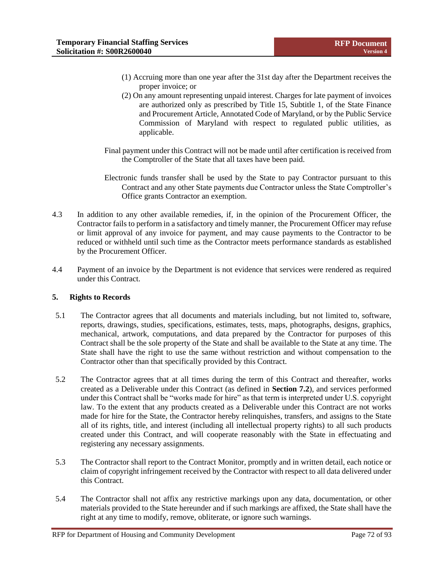- (1) Accruing more than one year after the 31st day after the Department receives the proper invoice; or
- (2) On any amount representing unpaid interest. Charges for late payment of invoices are authorized only as prescribed by Title 15, Subtitle 1, of the State Finance and Procurement Article, Annotated Code of Maryland, or by the Public Service Commission of Maryland with respect to regulated public utilities, as applicable.
- Final payment under this Contract will not be made until after certification is received from the Comptroller of the State that all taxes have been paid.
- Electronic funds transfer shall be used by the State to pay Contractor pursuant to this Contract and any other State payments due Contractor unless the State Comptroller's Office grants Contractor an exemption.
- 4.3 In addition to any other available remedies, if, in the opinion of the Procurement Officer, the Contractor fails to perform in a satisfactory and timely manner, the Procurement Officer may refuse or limit approval of any invoice for payment, and may cause payments to the Contractor to be reduced or withheld until such time as the Contractor meets performance standards as established by the Procurement Officer.
- 4.4 Payment of an invoice by the Department is not evidence that services were rendered as required under this Contract.

#### **5. Rights to Records**

- 5.1 The Contractor agrees that all documents and materials including, but not limited to, software, reports, drawings, studies, specifications, estimates, tests, maps, photographs, designs, graphics, mechanical, artwork, computations, and data prepared by the Contractor for purposes of this Contract shall be the sole property of the State and shall be available to the State at any time. The State shall have the right to use the same without restriction and without compensation to the Contractor other than that specifically provided by this Contract.
- 5.2 The Contractor agrees that at all times during the term of this Contract and thereafter, works created as a Deliverable under this Contract (as defined in **Section 7.2**), and services performed under this Contract shall be "works made for hire" as that term is interpreted under U.S. copyright law. To the extent that any products created as a Deliverable under this Contract are not works made for hire for the State, the Contractor hereby relinquishes, transfers, and assigns to the State all of its rights, title, and interest (including all intellectual property rights) to all such products created under this Contract, and will cooperate reasonably with the State in effectuating and registering any necessary assignments.
- 5.3 The Contractor shall report to the Contract Monitor, promptly and in written detail, each notice or claim of copyright infringement received by the Contractor with respect to all data delivered under this Contract.
- 5.4 The Contractor shall not affix any restrictive markings upon any data, documentation, or other materials provided to the State hereunder and if such markings are affixed, the State shall have the right at any time to modify, remove, obliterate, or ignore such warnings.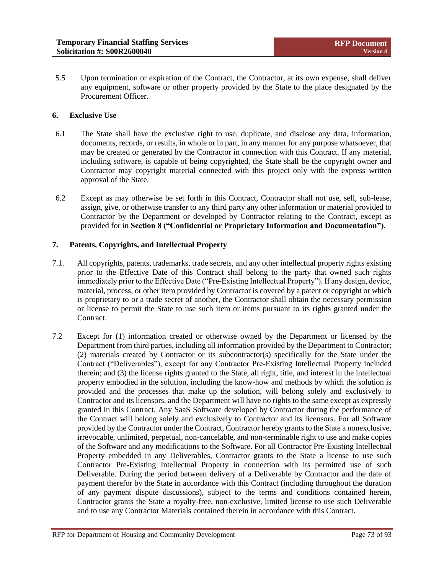5.5 Upon termination or expiration of the Contract, the Contractor, at its own expense, shall deliver any equipment, software or other property provided by the State to the place designated by the Procurement Officer.

# **6. Exclusive Use**

- 6.1 The State shall have the exclusive right to use, duplicate, and disclose any data, information, documents, records, or results, in whole or in part, in any manner for any purpose whatsoever, that may be created or generated by the Contractor in connection with this Contract. If any material, including software, is capable of being copyrighted, the State shall be the copyright owner and Contractor may copyright material connected with this project only with the express written approval of the State.
- 6.2 Except as may otherwise be set forth in this Contract, Contractor shall not use, sell, sub-lease, assign, give, or otherwise transfer to any third party any other information or material provided to Contractor by the Department or developed by Contractor relating to the Contract, except as provided for in **Section 8 ("Confidential or Proprietary Information and Documentation")**.

# **7. Patents, Copyrights, and Intellectual Property**

- 7.1. All copyrights, patents, trademarks, trade secrets, and any other intellectual property rights existing prior to the Effective Date of this Contract shall belong to the party that owned such rights immediately prior to the Effective Date ("Pre-Existing Intellectual Property"). If any design, device, material, process, or other item provided by Contractor is covered by a patent or copyright or which is proprietary to or a trade secret of another, the Contractor shall obtain the necessary permission or license to permit the State to use such item or items pursuant to its rights granted under the Contract.
- 7.2 Except for (1) information created or otherwise owned by the Department or licensed by the Department from third parties, including all information provided by the Department to Contractor; (2) materials created by Contractor or its subcontractor(s) specifically for the State under the Contract ("Deliverables"), except for any Contractor Pre-Existing Intellectual Property included therein; and (3) the license rights granted to the State, all right, title, and interest in the intellectual property embodied in the solution, including the know-how and methods by which the solution is provided and the processes that make up the solution, will belong solely and exclusively to Contractor and its licensors, and the Department will have no rights to the same except as expressly granted in this Contract. Any SaaS Software developed by Contractor during the performance of the Contract will belong solely and exclusively to Contractor and its licensors. For all Software provided by the Contractor under the Contract, Contractor hereby grants to the State a nonexclusive, irrevocable, unlimited, perpetual, non-cancelable, and non-terminable right to use and make copies of the Software and any modifications to the Software. For all Contractor Pre-Existing Intellectual Property embedded in any Deliverables, Contractor grants to the State a license to use such Contractor Pre-Existing Intellectual Property in connection with its permitted use of such Deliverable. During the period between delivery of a Deliverable by Contractor and the date of payment therefor by the State in accordance with this Contract (including throughout the duration of any payment dispute discussions), subject to the terms and conditions contained herein, Contractor grants the State a royalty-free, non-exclusive, limited license to use such Deliverable and to use any Contractor Materials contained therein in accordance with this Contract.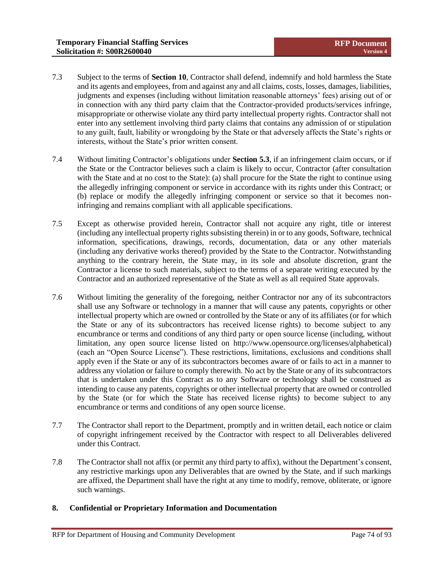- 7.3 Subject to the terms of **Section 10**, Contractor shall defend, indemnify and hold harmless the State and its agents and employees, from and against any and all claims, costs, losses, damages, liabilities, judgments and expenses (including without limitation reasonable attorneys' fees) arising out of or in connection with any third party claim that the Contractor-provided products/services infringe, misappropriate or otherwise violate any third party intellectual property rights. Contractor shall not enter into any settlement involving third party claims that contains any admission of or stipulation to any guilt, fault, liability or wrongdoing by the State or that adversely affects the State's rights or interests, without the State's prior written consent.
- 7.4 Without limiting Contractor's obligations under **Section 5.3**, if an infringement claim occurs, or if the State or the Contractor believes such a claim is likely to occur, Contractor (after consultation with the State and at no cost to the State): (a) shall procure for the State the right to continue using the allegedly infringing component or service in accordance with its rights under this Contract; or (b) replace or modify the allegedly infringing component or service so that it becomes noninfringing and remains compliant with all applicable specifications.
- 7.5 Except as otherwise provided herein, Contractor shall not acquire any right, title or interest (including any intellectual property rights subsisting therein) in or to any goods, Software, technical information, specifications, drawings, records, documentation, data or any other materials (including any derivative works thereof) provided by the State to the Contractor. Notwithstanding anything to the contrary herein, the State may, in its sole and absolute discretion, grant the Contractor a license to such materials, subject to the terms of a separate writing executed by the Contractor and an authorized representative of the State as well as all required State approvals.
- 7.6 Without limiting the generality of the foregoing, neither Contractor nor any of its subcontractors shall use any Software or technology in a manner that will cause any patents, copyrights or other intellectual property which are owned or controlled by the State or any of its affiliates (or for which the State or any of its subcontractors has received license rights) to become subject to any encumbrance or terms and conditions of any third party or open source license (including, without limitation, any open source license listed on http://www.opensource.org/licenses/alphabetical) (each an "Open Source License"). These restrictions, limitations, exclusions and conditions shall apply even if the State or any of its subcontractors becomes aware of or fails to act in a manner to address any violation or failure to comply therewith. No act by the State or any of its subcontractors that is undertaken under this Contract as to any Software or technology shall be construed as intending to cause any patents, copyrights or other intellectual property that are owned or controlled by the State (or for which the State has received license rights) to become subject to any encumbrance or terms and conditions of any open source license.
- 7.7 The Contractor shall report to the Department, promptly and in written detail, each notice or claim of copyright infringement received by the Contractor with respect to all Deliverables delivered under this Contract.
- 7.8 The Contractor shall not affix (or permit any third party to affix), without the Department's consent, any restrictive markings upon any Deliverables that are owned by the State, and if such markings are affixed, the Department shall have the right at any time to modify, remove, obliterate, or ignore such warnings.

# **8. Confidential or Proprietary Information and Documentation**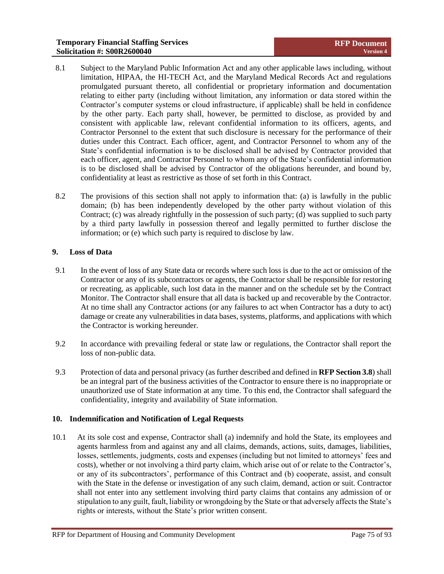- 8.1 Subject to the Maryland Public Information Act and any other applicable laws including, without limitation, HIPAA, the HI-TECH Act, and the Maryland Medical Records Act and regulations promulgated pursuant thereto, all confidential or proprietary information and documentation relating to either party (including without limitation, any information or data stored within the Contractor's computer systems or cloud infrastructure, if applicable) shall be held in confidence by the other party. Each party shall, however, be permitted to disclose, as provided by and consistent with applicable law, relevant confidential information to its officers, agents, and Contractor Personnel to the extent that such disclosure is necessary for the performance of their duties under this Contract. Each officer, agent, and Contractor Personnel to whom any of the State's confidential information is to be disclosed shall be advised by Contractor provided that each officer, agent, and Contractor Personnel to whom any of the State's confidential information is to be disclosed shall be advised by Contractor of the obligations hereunder, and bound by, confidentiality at least as restrictive as those of set forth in this Contract.
- 8.2 The provisions of this section shall not apply to information that: (a) is lawfully in the public domain; (b) has been independently developed by the other party without violation of this Contract; (c) was already rightfully in the possession of such party; (d) was supplied to such party by a third party lawfully in possession thereof and legally permitted to further disclose the information; or (e) which such party is required to disclose by law.

# **9. Loss of Data**

- 9.1 In the event of loss of any State data or records where such loss is due to the act or omission of the Contractor or any of its subcontractors or agents, the Contractor shall be responsible for restoring or recreating, as applicable, such lost data in the manner and on the schedule set by the Contract Monitor. The Contractor shall ensure that all data is backed up and recoverable by the Contractor. At no time shall any Contractor actions (or any failures to act when Contractor has a duty to act) damage or create any vulnerabilities in data bases, systems, platforms, and applications with which the Contractor is working hereunder.
- 9.2 In accordance with prevailing federal or state law or regulations, the Contractor shall report the loss of non-public data.
- 9.3 Protection of data and personal privacy (as further described and defined in **RFP Section 3.8**) shall be an integral part of the business activities of the Contractor to ensure there is no inappropriate or unauthorized use of State information at any time. To this end, the Contractor shall safeguard the confidentiality, integrity and availability of State information.

# **10. Indemnification and Notification of Legal Requests**

10.1 At its sole cost and expense, Contractor shall (a) indemnify and hold the State, its employees and agents harmless from and against any and all claims, demands, actions, suits, damages, liabilities, losses, settlements, judgments, costs and expenses (including but not limited to attorneys' fees and costs), whether or not involving a third party claim, which arise out of or relate to the Contractor's, or any of its subcontractors', performance of this Contract and (b) cooperate, assist, and consult with the State in the defense or investigation of any such claim, demand, action or suit. Contractor shall not enter into any settlement involving third party claims that contains any admission of or stipulation to any guilt, fault, liability or wrongdoing by the State or that adversely affects the State's rights or interests, without the State's prior written consent.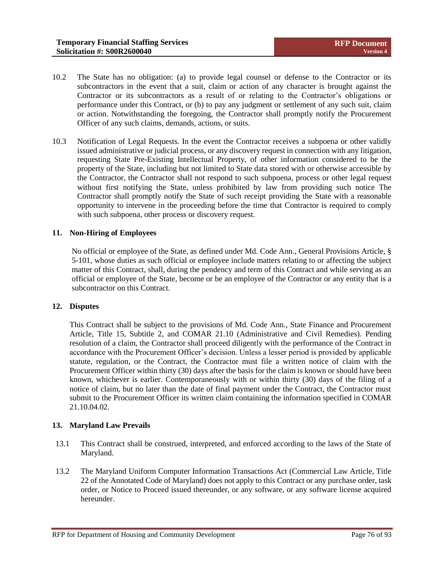- 10.2 The State has no obligation: (a) to provide legal counsel or defense to the Contractor or its subcontractors in the event that a suit, claim or action of any character is brought against the Contractor or its subcontractors as a result of or relating to the Contractor's obligations or performance under this Contract, or (b) to pay any judgment or settlement of any such suit, claim or action. Notwithstanding the foregoing, the Contractor shall promptly notify the Procurement Officer of any such claims, demands, actions, or suits.
- 10.3 Notification of Legal Requests. In the event the Contractor receives a subpoena or other validly issued administrative or judicial process, or any discovery request in connection with any litigation, requesting State Pre-Existing Intellectual Property, of other information considered to be the property of the State, including but not limited to State data stored with or otherwise accessible by the Contractor, the Contractor shall not respond to such subpoena, process or other legal request without first notifying the State, unless prohibited by law from providing such notice The Contractor shall promptly notify the State of such receipt providing the State with a reasonable opportunity to intervene in the proceeding before the time that Contractor is required to comply with such subpoena, other process or discovery request.

# **11. Non-Hiring of Employees**

No official or employee of the State, as defined under Md. Code Ann., General Provisions Article, § 5-101, whose duties as such official or employee include matters relating to or affecting the subject matter of this Contract, shall, during the pendency and term of this Contract and while serving as an official or employee of the State, become or be an employee of the Contractor or any entity that is a subcontractor on this Contract.

#### **12. Disputes**

This Contract shall be subject to the provisions of Md. Code Ann., State Finance and Procurement Article, Title 15, Subtitle 2, and COMAR 21.10 (Administrative and Civil Remedies). Pending resolution of a claim, the Contractor shall proceed diligently with the performance of the Contract in accordance with the Procurement Officer's decision. Unless a lesser period is provided by applicable statute, regulation, or the Contract, the Contractor must file a written notice of claim with the Procurement Officer within thirty (30) days after the basis for the claim is known or should have been known, whichever is earlier. Contemporaneously with or within thirty (30) days of the filing of a notice of claim, but no later than the date of final payment under the Contract, the Contractor must submit to the Procurement Officer its written claim containing the information specified in COMAR 21.10.04.02.

# **13. Maryland Law Prevails**

- 13.1 This Contract shall be construed, interpreted, and enforced according to the laws of the State of Maryland.
- 13.2 The Maryland Uniform Computer Information Transactions Act (Commercial Law Article, Title 22 of the Annotated Code of Maryland) does not apply to this Contract or any purchase order, task order, or Notice to Proceed issued thereunder, or any software, or any software license acquired hereunder.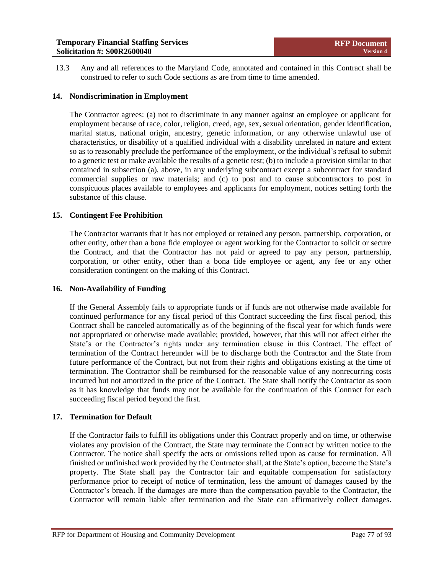13.3 Any and all references to the Maryland Code, annotated and contained in this Contract shall be construed to refer to such Code sections as are from time to time amended.

# **14. Nondiscrimination in Employment**

The Contractor agrees: (a) not to discriminate in any manner against an employee or applicant for employment because of race, color, religion, creed, age, sex, sexual orientation, gender identification, marital status, national origin, ancestry, genetic information, or any otherwise unlawful use of characteristics, or disability of a qualified individual with a disability unrelated in nature and extent so as to reasonably preclude the performance of the employment, or the individual's refusal to submit to a genetic test or make available the results of a genetic test; (b) to include a provision similar to that contained in subsection (a), above, in any underlying subcontract except a subcontract for standard commercial supplies or raw materials; and (c) to post and to cause subcontractors to post in conspicuous places available to employees and applicants for employment, notices setting forth the substance of this clause.

# **15. Contingent Fee Prohibition**

The Contractor warrants that it has not employed or retained any person, partnership, corporation, or other entity, other than a bona fide employee or agent working for the Contractor to solicit or secure the Contract, and that the Contractor has not paid or agreed to pay any person, partnership, corporation, or other entity, other than a bona fide employee or agent, any fee or any other consideration contingent on the making of this Contract.

# **16. Non-Availability of Funding**

If the General Assembly fails to appropriate funds or if funds are not otherwise made available for continued performance for any fiscal period of this Contract succeeding the first fiscal period, this Contract shall be canceled automatically as of the beginning of the fiscal year for which funds were not appropriated or otherwise made available; provided, however, that this will not affect either the State's or the Contractor's rights under any termination clause in this Contract. The effect of termination of the Contract hereunder will be to discharge both the Contractor and the State from future performance of the Contract, but not from their rights and obligations existing at the time of termination. The Contractor shall be reimbursed for the reasonable value of any nonrecurring costs incurred but not amortized in the price of the Contract. The State shall notify the Contractor as soon as it has knowledge that funds may not be available for the continuation of this Contract for each succeeding fiscal period beyond the first.

# **17. Termination for Default**

If the Contractor fails to fulfill its obligations under this Contract properly and on time, or otherwise violates any provision of the Contract, the State may terminate the Contract by written notice to the Contractor. The notice shall specify the acts or omissions relied upon as cause for termination. All finished or unfinished work provided by the Contractor shall, at the State's option, become the State's property. The State shall pay the Contractor fair and equitable compensation for satisfactory performance prior to receipt of notice of termination, less the amount of damages caused by the Contractor's breach. If the damages are more than the compensation payable to the Contractor, the Contractor will remain liable after termination and the State can affirmatively collect damages.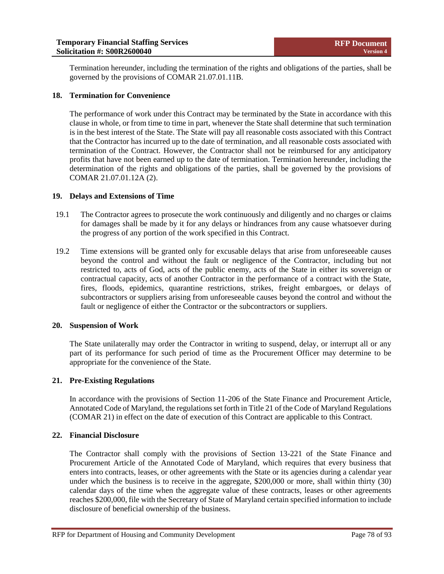Termination hereunder, including the termination of the rights and obligations of the parties, shall be governed by the provisions of COMAR 21.07.01.11B.

# **18. Termination for Convenience**

The performance of work under this Contract may be terminated by the State in accordance with this clause in whole, or from time to time in part, whenever the State shall determine that such termination is in the best interest of the State. The State will pay all reasonable costs associated with this Contract that the Contractor has incurred up to the date of termination, and all reasonable costs associated with termination of the Contract. However, the Contractor shall not be reimbursed for any anticipatory profits that have not been earned up to the date of termination. Termination hereunder, including the determination of the rights and obligations of the parties, shall be governed by the provisions of COMAR 21.07.01.12A (2).

# **19. Delays and Extensions of Time**

- 19.1 The Contractor agrees to prosecute the work continuously and diligently and no charges or claims for damages shall be made by it for any delays or hindrances from any cause whatsoever during the progress of any portion of the work specified in this Contract.
- 19.2 Time extensions will be granted only for excusable delays that arise from unforeseeable causes beyond the control and without the fault or negligence of the Contractor, including but not restricted to, acts of God, acts of the public enemy, acts of the State in either its sovereign or contractual capacity, acts of another Contractor in the performance of a contract with the State, fires, floods, epidemics, quarantine restrictions, strikes, freight embargoes, or delays of subcontractors or suppliers arising from unforeseeable causes beyond the control and without the fault or negligence of either the Contractor or the subcontractors or suppliers.

# **20. Suspension of Work**

The State unilaterally may order the Contractor in writing to suspend, delay, or interrupt all or any part of its performance for such period of time as the Procurement Officer may determine to be appropriate for the convenience of the State.

# **21. Pre-Existing Regulations**

In accordance with the provisions of Section 11-206 of the State Finance and Procurement Article, Annotated Code of Maryland, the regulations set forth in Title 21 of the Code of Maryland Regulations (COMAR 21) in effect on the date of execution of this Contract are applicable to this Contract.

# **22. Financial Disclosure**

The Contractor shall comply with the provisions of Section 13-221 of the State Finance and Procurement Article of the Annotated Code of Maryland, which requires that every business that enters into contracts, leases, or other agreements with the State or its agencies during a calendar year under which the business is to receive in the aggregate, \$200,000 or more, shall within thirty (30) calendar days of the time when the aggregate value of these contracts, leases or other agreements reaches \$200,000, file with the Secretary of State of Maryland certain specified information to include disclosure of beneficial ownership of the business.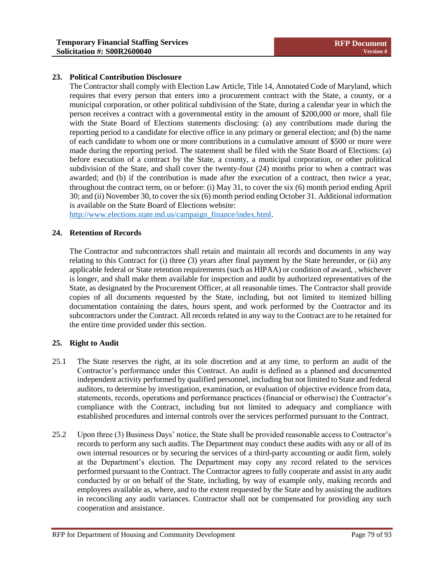# **23. Political Contribution Disclosure**

The Contractor shall comply with Election Law Article, Title 14, Annotated Code of Maryland, which requires that every person that enters into a procurement contract with the State, a county, or a municipal corporation, or other political subdivision of the State, during a calendar year in which the person receives a contract with a governmental entity in the amount of \$200,000 or more, shall file with the State Board of Elections statements disclosing: (a) any contributions made during the reporting period to a candidate for elective office in any primary or general election; and (b) the name of each candidate to whom one or more contributions in a cumulative amount of \$500 or more were made during the reporting period. The statement shall be filed with the State Board of Elections: (a) before execution of a contract by the State, a county, a municipal corporation, or other political subdivision of the State, and shall cover the twenty-four (24) months prior to when a contract was awarded; and (b) if the contribution is made after the execution of a contract, then twice a year, throughout the contract term, on or before: (i) May 31, to cover the six (6) month period ending April 30; and (ii) November 30, to cover the six (6) month period ending October 31. Additional information is available on the State Board of Elections website:

[http://www.elections.state.md.us/campaign\\_finance/index.html.](http://www.elections.state.md.us/campaign_finance/index.html)

# **24. Retention of Records**

The Contractor and subcontractors shall retain and maintain all records and documents in any way relating to this Contract for (i) three (3) years after final payment by the State hereunder, or (ii) any applicable federal or State retention requirements (such as HIPAA) or condition of award, , whichever is longer, and shall make them available for inspection and audit by authorized representatives of the State, as designated by the Procurement Officer, at all reasonable times. The Contractor shall provide copies of all documents requested by the State, including, but not limited to itemized billing documentation containing the dates, hours spent, and work performed by the Contractor and its subcontractors under the Contract. All records related in any way to the Contract are to be retained for the entire time provided under this section.

# **25. Right to Audit**

- 25.1 The State reserves the right, at its sole discretion and at any time, to perform an audit of the Contractor's performance under this Contract. An audit is defined as a planned and documented independent activity performed by qualified personnel, including but not limited to State and federal auditors, to determine by investigation, examination, or evaluation of objective evidence from data, statements, records, operations and performance practices (financial or otherwise) the Contractor's compliance with the Contract, including but not limited to adequacy and compliance with established procedures and internal controls over the services performed pursuant to the Contract.
- 25.2 Upon three (3) Business Days' notice, the State shall be provided reasonable access to Contractor's records to perform any such audits. The Department may conduct these audits with any or all of its own internal resources or by securing the services of a third-party accounting or audit firm, solely at the Department's election. The Department may copy any record related to the services performed pursuant to the Contract. The Contractor agrees to fully cooperate and assist in any audit conducted by or on behalf of the State, including, by way of example only, making records and employees available as, where, and to the extent requested by the State and by assisting the auditors in reconciling any audit variances. Contractor shall not be compensated for providing any such cooperation and assistance.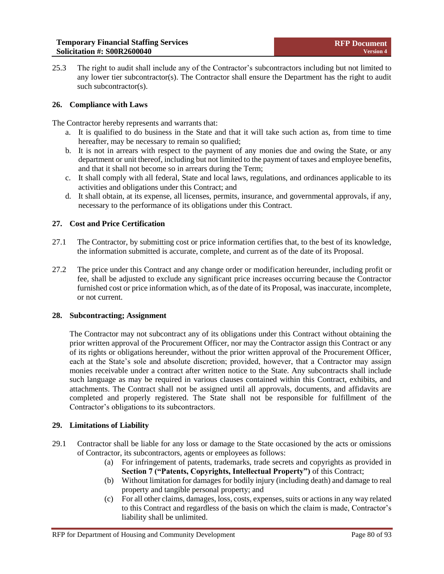25.3 The right to audit shall include any of the Contractor's subcontractors including but not limited to any lower tier subcontractor(s). The Contractor shall ensure the Department has the right to audit such subcontractor(s).

# **26. Compliance with Laws**

The Contractor hereby represents and warrants that:

- a. It is qualified to do business in the State and that it will take such action as, from time to time hereafter, may be necessary to remain so qualified;
- b. It is not in arrears with respect to the payment of any monies due and owing the State, or any department or unit thereof, including but not limited to the payment of taxes and employee benefits, and that it shall not become so in arrears during the Term;
- c. It shall comply with all federal, State and local laws, regulations, and ordinances applicable to its activities and obligations under this Contract; and
- d. It shall obtain, at its expense, all licenses, permits, insurance, and governmental approvals, if any, necessary to the performance of its obligations under this Contract.

### **27. Cost and Price Certification**

- 27.1 The Contractor, by submitting cost or price information certifies that, to the best of its knowledge, the information submitted is accurate, complete, and current as of the date of its Proposal.
- 27.2 The price under this Contract and any change order or modification hereunder, including profit or fee, shall be adjusted to exclude any significant price increases occurring because the Contractor furnished cost or price information which, as of the date of its Proposal, was inaccurate, incomplete, or not current.

#### **28. Subcontracting; Assignment**

The Contractor may not subcontract any of its obligations under this Contract without obtaining the prior written approval of the Procurement Officer, nor may the Contractor assign this Contract or any of its rights or obligations hereunder, without the prior written approval of the Procurement Officer, each at the State's sole and absolute discretion; provided, however, that a Contractor may assign monies receivable under a contract after written notice to the State. Any subcontracts shall include such language as may be required in various clauses contained within this Contract, exhibits, and attachments. The Contract shall not be assigned until all approvals, documents, and affidavits are completed and properly registered. The State shall not be responsible for fulfillment of the Contractor's obligations to its subcontractors.

# **29. Limitations of Liability**

- 29.1 Contractor shall be liable for any loss or damage to the State occasioned by the acts or omissions of Contractor, its subcontractors, agents or employees as follows:
	- (a) For infringement of patents, trademarks, trade secrets and copyrights as provided in **Section 7 ("Patents, Copyrights, Intellectual Property")** of this Contract;
	- (b) Without limitation for damages for bodily injury (including death) and damage to real property and tangible personal property; and
	- (c) For all other claims, damages, loss, costs, expenses, suits or actions in any way related to this Contract and regardless of the basis on which the claim is made, Contractor's liability shall be unlimited.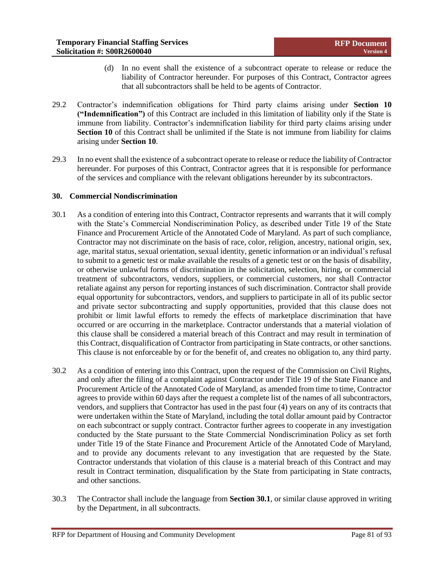- (d) In no event shall the existence of a subcontract operate to release or reduce the liability of Contractor hereunder. For purposes of this Contract, Contractor agrees that all subcontractors shall be held to be agents of Contractor.
- 29.2 Contractor's indemnification obligations for Third party claims arising under **Section 10 ("Indemnification")** of this Contract are included in this limitation of liability only if the State is immune from liability. Contractor's indemnification liability for third party claims arising under **Section 10** of this Contract shall be unlimited if the State is not immune from liability for claims arising under **Section 10**.
- 29.3 In no event shall the existence of a subcontract operate to release or reduce the liability of Contractor hereunder. For purposes of this Contract, Contractor agrees that it is responsible for performance of the services and compliance with the relevant obligations hereunder by its subcontractors.

# **30. Commercial Nondiscrimination**

- 30.1 As a condition of entering into this Contract, Contractor represents and warrants that it will comply with the State's Commercial Nondiscrimination Policy, as described under Title 19 of the State Finance and Procurement Article of the Annotated Code of Maryland. As part of such compliance, Contractor may not discriminate on the basis of race, color, religion, ancestry, national origin, sex, age, marital status, sexual orientation, sexual identity, genetic information or an individual's refusal to submit to a genetic test or make available the results of a genetic test or on the basis of disability, or otherwise unlawful forms of discrimination in the solicitation, selection, hiring, or commercial treatment of subcontractors, vendors, suppliers, or commercial customers, nor shall Contractor retaliate against any person for reporting instances of such discrimination. Contractor shall provide equal opportunity for subcontractors, vendors, and suppliers to participate in all of its public sector and private sector subcontracting and supply opportunities, provided that this clause does not prohibit or limit lawful efforts to remedy the effects of marketplace discrimination that have occurred or are occurring in the marketplace. Contractor understands that a material violation of this clause shall be considered a material breach of this Contract and may result in termination of this Contract, disqualification of Contractor from participating in State contracts, or other sanctions. This clause is not enforceable by or for the benefit of, and creates no obligation to, any third party.
- 30.2 As a condition of entering into this Contract, upon the request of the Commission on Civil Rights, and only after the filing of a complaint against Contractor under Title 19 of the State Finance and Procurement Article of the Annotated Code of Maryland, as amended from time to time, Contractor agrees to provide within 60 days after the request a complete list of the names of all subcontractors, vendors, and suppliers that Contractor has used in the past four (4) years on any of its contracts that were undertaken within the State of Maryland, including the total dollar amount paid by Contractor on each subcontract or supply contract. Contractor further agrees to cooperate in any investigation conducted by the State pursuant to the State Commercial Nondiscrimination Policy as set forth under Title 19 of the State Finance and Procurement Article of the Annotated Code of Maryland, and to provide any documents relevant to any investigation that are requested by the State. Contractor understands that violation of this clause is a material breach of this Contract and may result in Contract termination, disqualification by the State from participating in State contracts, and other sanctions.
- 30.3 The Contractor shall include the language from **Section 30.1**, or similar clause approved in writing by the Department, in all subcontracts.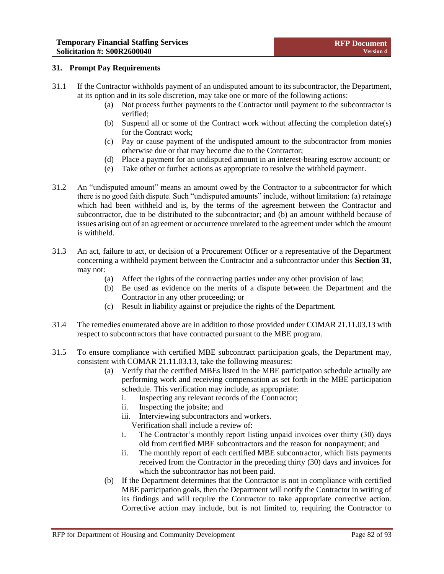# **31. Prompt Pay Requirements**

- 31.1 If the Contractor withholds payment of an undisputed amount to its subcontractor, the Department, at its option and in its sole discretion, may take one or more of the following actions:
	- (a) Not process further payments to the Contractor until payment to the subcontractor is verified;
	- (b) Suspend all or some of the Contract work without affecting the completion date(s) for the Contract work;
	- (c) Pay or cause payment of the undisputed amount to the subcontractor from monies otherwise due or that may become due to the Contractor;
	- (d) Place a payment for an undisputed amount in an interest-bearing escrow account; or
	- (e) Take other or further actions as appropriate to resolve the withheld payment.
- 31.2 An "undisputed amount" means an amount owed by the Contractor to a subcontractor for which there is no good faith dispute. Such "undisputed amounts" include, without limitation: (a) retainage which had been withheld and is, by the terms of the agreement between the Contractor and subcontractor, due to be distributed to the subcontractor; and (b) an amount withheld because of issues arising out of an agreement or occurrence unrelated to the agreement under which the amount is withheld.
- 31.3 An act, failure to act, or decision of a Procurement Officer or a representative of the Department concerning a withheld payment between the Contractor and a subcontractor under this **Section 31**, may not:
	- (a) Affect the rights of the contracting parties under any other provision of law;
	- (b) Be used as evidence on the merits of a dispute between the Department and the Contractor in any other proceeding; or
	- (c) Result in liability against or prejudice the rights of the Department.
- 31.4 The remedies enumerated above are in addition to those provided under COMAR 21.11.03.13 with respect to subcontractors that have contracted pursuant to the MBE program.
- 31.5 To ensure compliance with certified MBE subcontract participation goals, the Department may, consistent with COMAR 21.11.03.13, take the following measures:
	- (a) Verify that the certified MBEs listed in the MBE participation schedule actually are performing work and receiving compensation as set forth in the MBE participation schedule. This verification may include, as appropriate:
		- i. Inspecting any relevant records of the Contractor;
		- ii. Inspecting the jobsite; and
		- iii. Interviewing subcontractors and workers.
			- Verification shall include a review of:
		- i. The Contractor's monthly report listing unpaid invoices over thirty (30) days old from certified MBE subcontractors and the reason for nonpayment; and
		- ii. The monthly report of each certified MBE subcontractor, which lists payments received from the Contractor in the preceding thirty (30) days and invoices for which the subcontractor has not been paid.
	- (b) If the Department determines that the Contractor is not in compliance with certified MBE participation goals, then the Department will notify the Contractor in writing of its findings and will require the Contractor to take appropriate corrective action. Corrective action may include, but is not limited to, requiring the Contractor to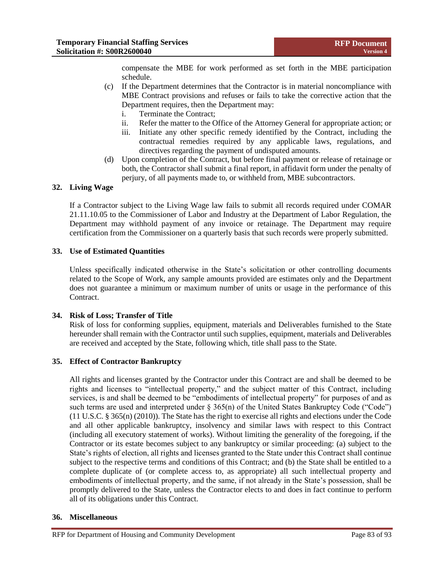compensate the MBE for work performed as set forth in the MBE participation schedule.

- (c) If the Department determines that the Contractor is in material noncompliance with MBE Contract provisions and refuses or fails to take the corrective action that the Department requires, then the Department may:
	- i. Terminate the Contract;
	- ii. Refer the matter to the Office of the Attorney General for appropriate action; or
	- iii. Initiate any other specific remedy identified by the Contract, including the contractual remedies required by any applicable laws, regulations, and directives regarding the payment of undisputed amounts.
- (d) Upon completion of the Contract, but before final payment or release of retainage or both, the Contractor shall submit a final report, in affidavit form under the penalty of perjury, of all payments made to, or withheld from, MBE subcontractors.

# **32. Living Wage**

If a Contractor subject to the Living Wage law fails to submit all records required under COMAR 21.11.10.05 to the Commissioner of Labor and Industry at the Department of Labor Regulation, the Department may withhold payment of any invoice or retainage. The Department may require certification from the Commissioner on a quarterly basis that such records were properly submitted.

# **33. Use of Estimated Quantities**

Unless specifically indicated otherwise in the State's solicitation or other controlling documents related to the Scope of Work, any sample amounts provided are estimates only and the Department does not guarantee a minimum or maximum number of units or usage in the performance of this Contract.

# **34. Risk of Loss; Transfer of Title**

Risk of loss for conforming supplies, equipment, materials and Deliverables furnished to the State hereunder shall remain with the Contractor until such supplies, equipment, materials and Deliverables are received and accepted by the State, following which, title shall pass to the State.

# **35. Effect of Contractor Bankruptcy**

All rights and licenses granted by the Contractor under this Contract are and shall be deemed to be rights and licenses to "intellectual property," and the subject matter of this Contract, including services, is and shall be deemed to be "embodiments of intellectual property" for purposes of and as such terms are used and interpreted under  $\S 365(n)$  of the United States Bankruptcy Code ("Code") (11 U.S.C. § 365(n) (2010)). The State has the right to exercise all rights and elections under the Code and all other applicable bankruptcy, insolvency and similar laws with respect to this Contract (including all executory statement of works). Without limiting the generality of the foregoing, if the Contractor or its estate becomes subject to any bankruptcy or similar proceeding: (a) subject to the State's rights of election, all rights and licenses granted to the State under this Contract shall continue subject to the respective terms and conditions of this Contract; and (b) the State shall be entitled to a complete duplicate of (or complete access to, as appropriate) all such intellectual property and embodiments of intellectual property, and the same, if not already in the State's possession, shall be promptly delivered to the State, unless the Contractor elects to and does in fact continue to perform all of its obligations under this Contract.

# **36. Miscellaneous**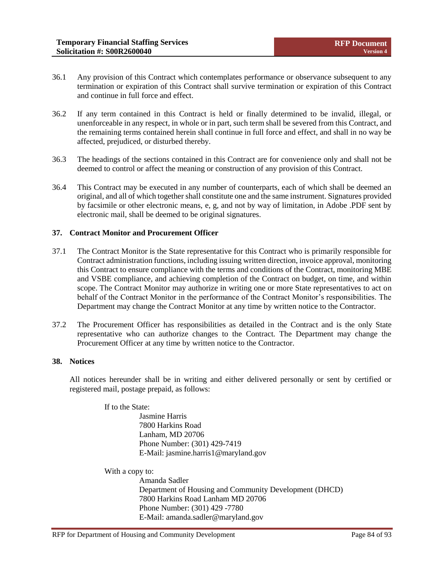- 36.1 Any provision of this Contract which contemplates performance or observance subsequent to any termination or expiration of this Contract shall survive termination or expiration of this Contract and continue in full force and effect.
- 36.2 If any term contained in this Contract is held or finally determined to be invalid, illegal, or unenforceable in any respect, in whole or in part, such term shall be severed from this Contract, and the remaining terms contained herein shall continue in full force and effect, and shall in no way be affected, prejudiced, or disturbed thereby.
- 36.3 The headings of the sections contained in this Contract are for convenience only and shall not be deemed to control or affect the meaning or construction of any provision of this Contract.
- 36.4 This Contract may be executed in any number of counterparts, each of which shall be deemed an original, and all of which together shall constitute one and the same instrument. Signatures provided by facsimile or other electronic means, e, g, and not by way of limitation, in Adobe .PDF sent by electronic mail, shall be deemed to be original signatures.

# **37. Contract Monitor and Procurement Officer**

- 37.1 The Contract Monitor is the State representative for this Contract who is primarily responsible for Contract administration functions, including issuing written direction, invoice approval, monitoring this Contract to ensure compliance with the terms and conditions of the Contract, monitoring MBE and VSBE compliance, and achieving completion of the Contract on budget, on time, and within scope. The Contract Monitor may authorize in writing one or more State representatives to act on behalf of the Contract Monitor in the performance of the Contract Monitor's responsibilities. The Department may change the Contract Monitor at any time by written notice to the Contractor.
- 37.2 The Procurement Officer has responsibilities as detailed in the Contract and is the only State representative who can authorize changes to the Contract. The Department may change the Procurement Officer at any time by written notice to the Contractor.

# **38. Notices**

All notices hereunder shall be in writing and either delivered personally or sent by certified or registered mail, postage prepaid, as follows:

If to the State:

Jasmine Harris 7800 Harkins Road Lanham, MD 20706 Phone Number: (301) 429-7419 E-Mail: jasmine.harris1@maryland.gov

With a copy to:

Amanda Sadler Department of Housing and Community Development (DHCD) 7800 Harkins Road Lanham MD 20706 Phone Number: (301) 429 -7780 E-Mail: amanda.sadler@maryland.gov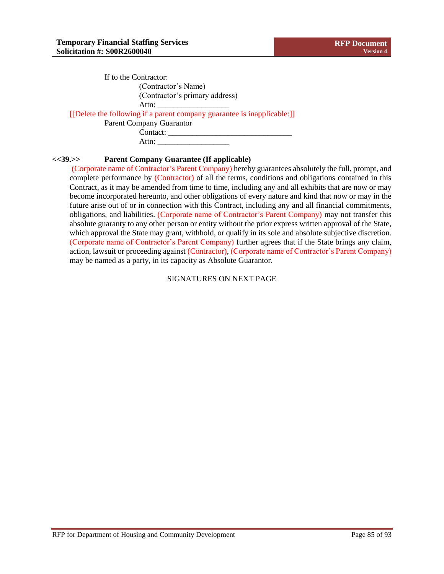| If to the Contractor:                                                   |
|-------------------------------------------------------------------------|
| (Contractor's Name)                                                     |
| (Contractor's primary address)                                          |
| Attn:                                                                   |
| [[Delete the following if a parent company guarantee is inapplicable:]] |
| <b>Parent Company Guarantor</b>                                         |
| Contact:                                                                |
| Attn:                                                                   |

# **<<39.>> Parent Company Guarantee (If applicable)**

(Corporate name of Contractor's Parent Company) hereby guarantees absolutely the full, prompt, and complete performance by (Contractor) of all the terms, conditions and obligations contained in this Contract, as it may be amended from time to time, including any and all exhibits that are now or may become incorporated hereunto, and other obligations of every nature and kind that now or may in the future arise out of or in connection with this Contract, including any and all financial commitments, obligations, and liabilities. (Corporate name of Contractor's Parent Company) may not transfer this absolute guaranty to any other person or entity without the prior express written approval of the State, which approval the State may grant, withhold, or qualify in its sole and absolute subjective discretion. (Corporate name of Contractor's Parent Company) further agrees that if the State brings any claim, action, lawsuit or proceeding against (Contractor), (Corporate name of Contractor's Parent Company) may be named as a party, in its capacity as Absolute Guarantor.

SIGNATURES ON NEXT PAGE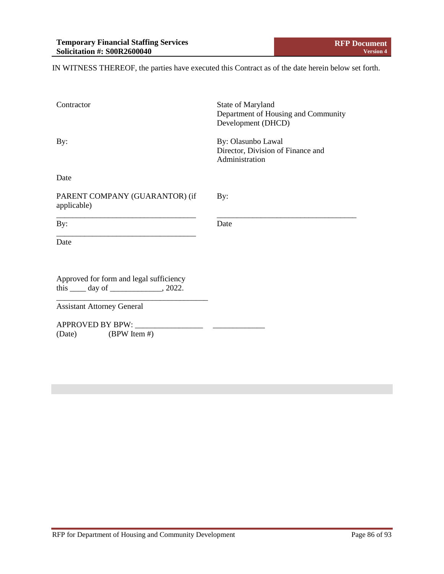IN WITNESS THEREOF, the parties have executed this Contract as of the date herein below set forth.

| Contractor                                                                           | State of Maryland<br>Department of Housing and Community<br>Development (DHCD) |
|--------------------------------------------------------------------------------------|--------------------------------------------------------------------------------|
| By:                                                                                  | By: Olasunbo Lawal<br>Director, Division of Finance and<br>Administration      |
| Date                                                                                 |                                                                                |
| PARENT COMPANY (GUARANTOR) (if<br>applicable)                                        | By:                                                                            |
| By:                                                                                  | Date                                                                           |
| Date                                                                                 |                                                                                |
| Approved for form and legal sufficiency<br>this $\_\_\_$ day of $\_\_\_\_\_$ , 2022. |                                                                                |
| <b>Assistant Attorney General</b>                                                    |                                                                                |
| APPROVED BY BPW: _________________<br>(Date) (BPW Item #)                            |                                                                                |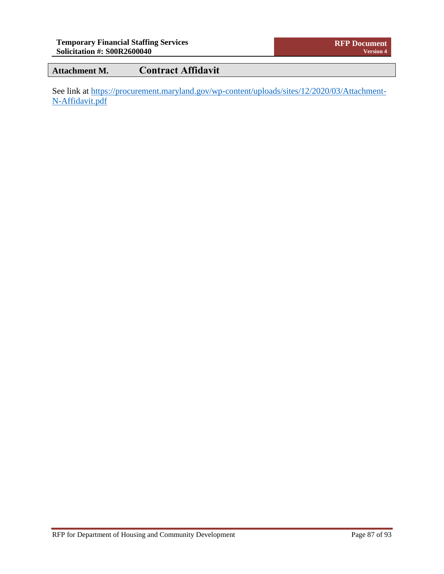**Attachment M. Contract Affidavit**

See link at [https://procurement.maryland.gov/wp-content/uploads/sites/12/2020/03/Attachment-](https://procurement.maryland.gov/wp-content/uploads/sites/12/2020/03/Attachment-N-Affidavit.pdf)[N-Affidavit.pdf](https://procurement.maryland.gov/wp-content/uploads/sites/12/2020/03/Attachment-N-Affidavit.pdf)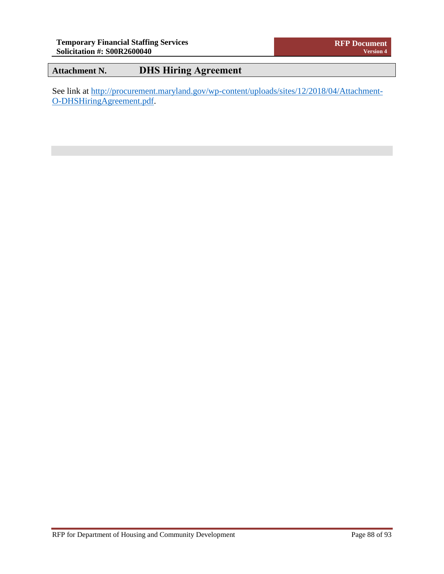# **Attachment N. DHS Hiring Agreement**

See link at [http://procurement.maryland.gov/wp-content/uploads/sites/12/2018/04/Attachment-](http://procurement.maryland.gov/wp-content/uploads/sites/12/2018/04/Attachment-O-DHSHiringAgreement.pdf)[O-DHSHiringAgreement.pdf.](http://procurement.maryland.gov/wp-content/uploads/sites/12/2018/04/Attachment-O-DHSHiringAgreement.pdf)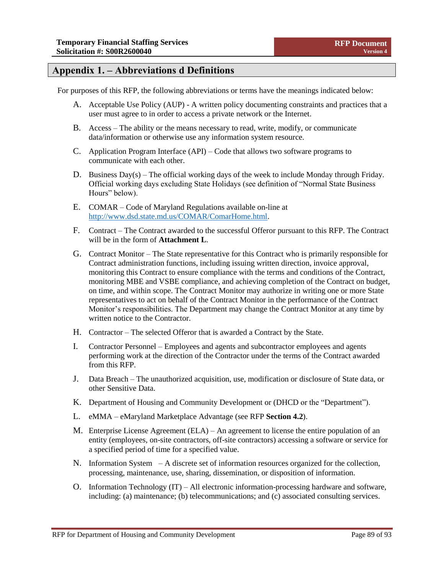# **Appendix 1. – Abbreviations d Definitions**

For purposes of this RFP, the following abbreviations or terms have the meanings indicated below:

- A. Acceptable Use Policy (AUP) A written policy documenting constraints and practices that a user must agree to in order to access a private network or the Internet.
- B. Access The ability or the means necessary to read, write, modify, or communicate data/information or otherwise use any information system resource.
- C. Application Program Interface (API) Code that allows two software programs to communicate with each other.
- D. Business Day(s) The official working days of the week to include Monday through Friday. Official working days excluding State Holidays (see definition of "Normal State Business Hours" below).
- E. COMAR Code of Maryland Regulations available on-line at [http://www.dsd.state.md.us/COMAR/ComarHome.html.](http://www.dsd.state.md.us/COMAR/ComarHome.html)
- F. Contract The Contract awarded to the successful Offeror pursuant to this RFP. The Contract will be in the form of **Attachment L**.
- G. Contract Monitor The State representative for this Contract who is primarily responsible for Contract administration functions, including issuing written direction, invoice approval, monitoring this Contract to ensure compliance with the terms and conditions of the Contract, monitoring MBE and VSBE compliance, and achieving completion of the Contract on budget, on time, and within scope. The Contract Monitor may authorize in writing one or more State representatives to act on behalf of the Contract Monitor in the performance of the Contract Monitor's responsibilities. The Department may change the Contract Monitor at any time by written notice to the Contractor.
- H. Contractor The selected Offeror that is awarded a Contract by the State.
- I. Contractor Personnel Employees and agents and subcontractor employees and agents performing work at the direction of the Contractor under the terms of the Contract awarded from this RFP.
- J. Data Breach The unauthorized acquisition, use, modification or disclosure of State data, or other Sensitive Data.
- K. Department of Housing and Community Development or (DHCD or the "Department").
- L. eMMA eMaryland Marketplace Advantage (see RFP **Section 4.2**).
- M. Enterprise License Agreement (ELA) An agreement to license the entire population of an entity (employees, on-site contractors, off-site contractors) accessing a software or service for a specified period of time for a specified value.
- N. Information System A discrete set of information resources organized for the collection, processing, maintenance, use, sharing, dissemination, or disposition of information.
- O. Information Technology (IT) All electronic information-processing hardware and software, including: (a) maintenance; (b) telecommunications; and (c) associated consulting services.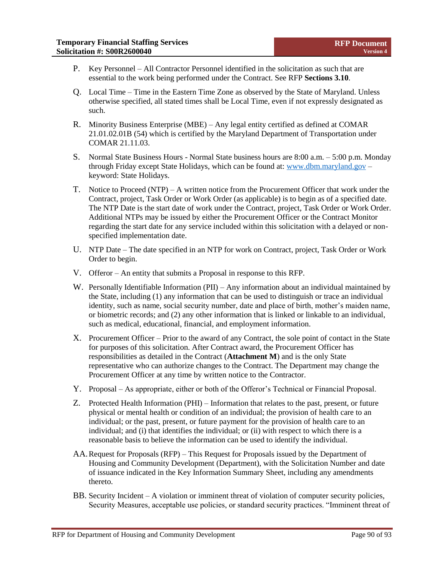- P. Key Personnel All Contractor Personnel identified in the solicitation as such that are essential to the work being performed under the Contract. See RFP **Sections 3.10**.
- Q. Local Time Time in the Eastern Time Zone as observed by the State of Maryland. Unless otherwise specified, all stated times shall be Local Time, even if not expressly designated as such.
- R. Minority Business Enterprise (MBE) Any legal entity certified as defined at COMAR 21.01.02.01B (54) which is certified by the Maryland Department of Transportation under COMAR 21.11.03.
- S. Normal State Business Hours Normal State business hours are 8:00 a.m. 5:00 p.m. Monday through Friday except State Holidays, which can be found at: www.dbm.maryland.gov – keyword: State Holidays.
- T. Notice to Proceed (NTP) A written notice from the Procurement Officer that work under the Contract, project, Task Order or Work Order (as applicable) is to begin as of a specified date. The NTP Date is the start date of work under the Contract, project, Task Order or Work Order. Additional NTPs may be issued by either the Procurement Officer or the Contract Monitor regarding the start date for any service included within this solicitation with a delayed or nonspecified implementation date.
- U. NTP Date The date specified in an NTP for work on Contract, project, Task Order or Work Order to begin.
- V. Offeror An entity that submits a Proposal in response to this RFP.
- W. Personally Identifiable Information (PII) Any information about an individual maintained by the State, including (1) any information that can be used to distinguish or trace an individual identity, such as name, social security number, date and place of birth, mother's maiden name, or biometric records; and (2) any other information that is linked or linkable to an individual, such as medical, educational, financial, and employment information.
- X. Procurement Officer Prior to the award of any Contract, the sole point of contact in the State for purposes of this solicitation. After Contract award, the Procurement Officer has responsibilities as detailed in the Contract (**Attachment M**) and is the only State representative who can authorize changes to the Contract. The Department may change the Procurement Officer at any time by written notice to the Contractor.
- Y. Proposal As appropriate, either or both of the Offeror's Technical or Financial Proposal.
- Z. Protected Health Information (PHI) Information that relates to the past, present, or future physical or mental health or condition of an individual; the provision of health care to an individual; or the past, present, or future payment for the provision of health care to an individual; and (i) that identifies the individual; or (ii) with respect to which there is a reasonable basis to believe the information can be used to identify the individual.
- AA.Request for Proposals (RFP) This Request for Proposals issued by the Department of Housing and Community Development (Department), with the Solicitation Number and date of issuance indicated in the Key Information Summary Sheet, including any amendments thereto.
- BB. Security Incident A violation or imminent threat of violation of computer security policies, Security Measures, acceptable use policies, or standard security practices. "Imminent threat of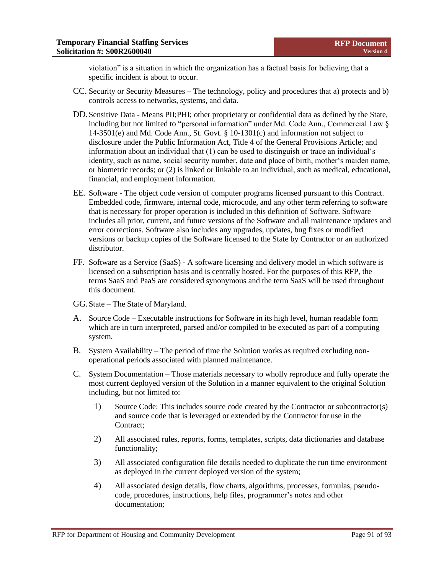violation" is a situation in which the organization has a factual basis for believing that a specific incident is about to occur.

- CC. Security or Security Measures The technology, policy and procedures that a) protects and b) controls access to networks, systems, and data.
- DD.Sensitive Data Means PII;PHI; other proprietary or confidential data as defined by the State, including but not limited to "personal information" under Md. Code Ann., Commercial Law § 14-3501(e) and Md. Code Ann., St. Govt. § 10-1301(c) and information not subject to disclosure under the Public Information Act, Title 4 of the General Provisions Article; and information about an individual that (1) can be used to distinguish or trace an individual's identity, such as name, social security number, date and place of birth, mother's maiden name, or biometric records; or (2) is linked or linkable to an individual, such as medical, educational, financial, and employment information.
- EE. Software The object code version of computer programs licensed pursuant to this Contract. Embedded code, firmware, internal code, microcode, and any other term referring to software that is necessary for proper operation is included in this definition of Software. Software includes all prior, current, and future versions of the Software and all maintenance updates and error corrections. Software also includes any upgrades, updates, bug fixes or modified versions or backup copies of the Software licensed to the State by Contractor or an authorized distributor.
- FF. Software as a Service (SaaS) A software licensing and delivery model in which software is licensed on a subscription basis and is centrally hosted. For the purposes of this RFP, the terms SaaS and PaaS are considered synonymous and the term SaaS will be used throughout this document.
- GG.State The State of Maryland.
- A. Source Code Executable instructions for Software in its high level, human readable form which are in turn interpreted, parsed and/or compiled to be executed as part of a computing system.
- B. System Availability The period of time the Solution works as required excluding nonoperational periods associated with planned maintenance.
- C. System Documentation Those materials necessary to wholly reproduce and fully operate the most current deployed version of the Solution in a manner equivalent to the original Solution including, but not limited to:
	- 1) Source Code: This includes source code created by the Contractor or subcontractor(s) and source code that is leveraged or extended by the Contractor for use in the Contract;
	- 2) All associated rules, reports, forms, templates, scripts, data dictionaries and database functionality;
	- 3) All associated configuration file details needed to duplicate the run time environment as deployed in the current deployed version of the system;
	- 4) All associated design details, flow charts, algorithms, processes, formulas, pseudocode, procedures, instructions, help files, programmer's notes and other documentation;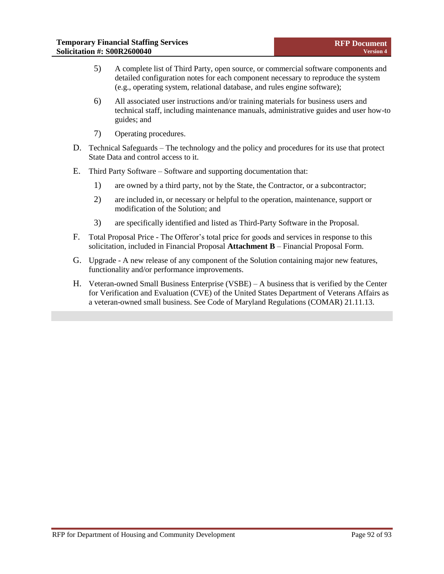- 5) A complete list of Third Party, open source, or commercial software components and detailed configuration notes for each component necessary to reproduce the system (e.g., operating system, relational database, and rules engine software);
- 6) All associated user instructions and/or training materials for business users and technical staff, including maintenance manuals, administrative guides and user how-to guides; and
- 7) Operating procedures.
- D. Technical Safeguards The technology and the policy and procedures for its use that protect State Data and control access to it.
- E. Third Party Software Software and supporting documentation that:
	- 1) are owned by a third party, not by the State, the Contractor, or a subcontractor;
	- 2) are included in, or necessary or helpful to the operation, maintenance, support or modification of the Solution; and
	- 3) are specifically identified and listed as Third-Party Software in the Proposal.
- F. Total Proposal Price The Offeror's total price for goods and services in response to this solicitation, included in Financial Proposal **Attachment B** – Financial Proposal Form.
- G. Upgrade A new release of any component of the Solution containing major new features, functionality and/or performance improvements.
- H. Veteran-owned Small Business Enterprise (VSBE) A business that is verified by the Center for Verification and Evaluation (CVE) of the United States Department of Veterans Affairs as a veteran-owned small business. See Code of Maryland Regulations (COMAR) 21.11.13.